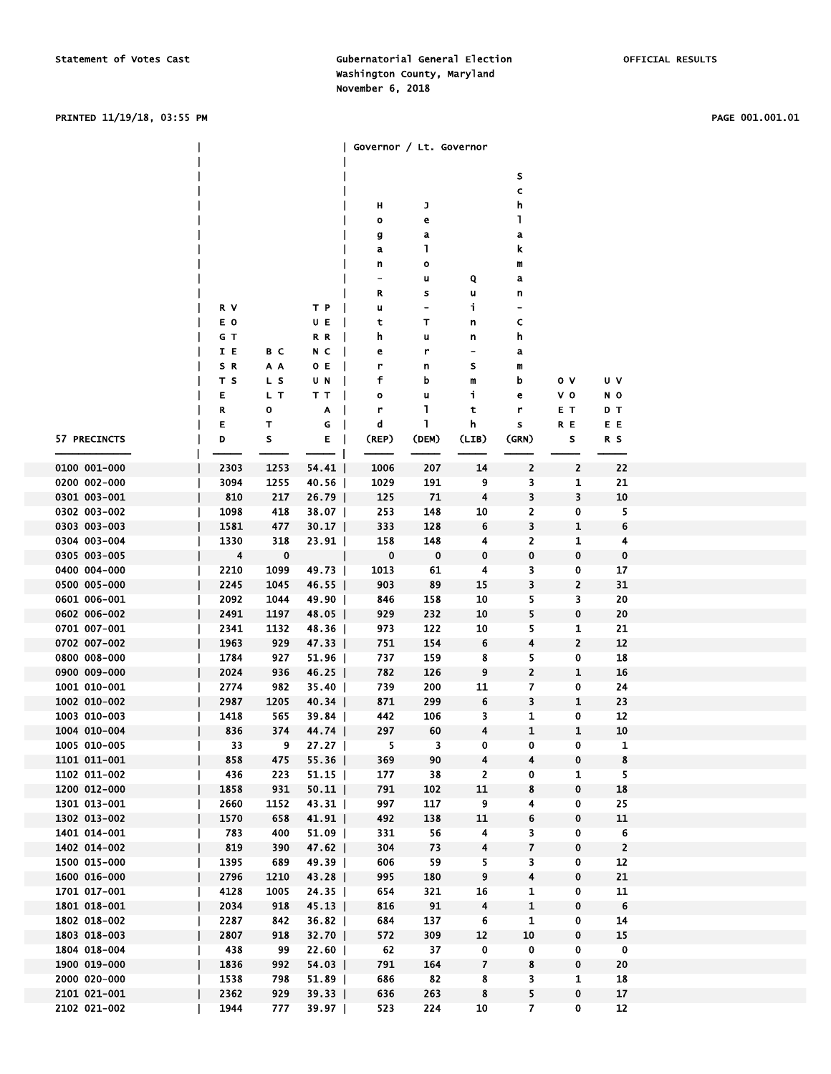# PRINTED 11/19/18, 03:55 PM PAGE 001.001.01

|                              |             |            |                      | Governor / Lt. Governor |            |                                 |                         |                  |                               |  |
|------------------------------|-------------|------------|----------------------|-------------------------|------------|---------------------------------|-------------------------|------------------|-------------------------------|--|
|                              |             |            |                      |                         |            |                                 |                         |                  |                               |  |
|                              |             |            |                      |                         |            |                                 | s<br>C                  |                  |                               |  |
|                              |             |            |                      | н                       | J          |                                 | h                       |                  |                               |  |
|                              |             |            |                      | o                       | e          |                                 | 1                       |                  |                               |  |
|                              |             |            |                      | g                       | a          |                                 | a                       |                  |                               |  |
|                              |             |            |                      | a                       | 1          |                                 | k                       |                  |                               |  |
|                              |             |            |                      | n                       | o          |                                 | m                       |                  |                               |  |
|                              |             |            |                      | -                       | u          | Q                               | a                       |                  |                               |  |
|                              |             |            |                      | R                       | s          | u                               | n                       |                  |                               |  |
|                              | R V         |            | ТP                   | u                       | -          | i                               |                         |                  |                               |  |
|                              | E O         |            | UΕ                   | t                       | Т          | n                               | С                       |                  |                               |  |
|                              | GТ          |            | R R                  | h                       | u          | n                               | h                       |                  |                               |  |
|                              | ΙE          | вс         | NС                   | e                       | r          |                                 | a                       |                  |                               |  |
|                              | S R         | A A        | 0 E                  | r                       | n          | s                               | m                       |                  |                               |  |
|                              | T S         | LS         | UΝ                   | f                       | b          | m                               | b                       | o v              | UV                            |  |
|                              | Е           | L T        | тт                   | o                       | u          | i                               | e                       | v o              | N O                           |  |
|                              | R           | 0          | Α                    | r                       | 1          | t                               | r                       | EТ               | DТ                            |  |
|                              | Е           | Τ          | G                    | d                       | 1          | h                               | s                       | R E              | E E                           |  |
| 57 PRECINCTS                 | D           | s          | Ε                    | (REP)                   | (DEM)      | (LIB)                           | (GRN)                   | s                | R S                           |  |
|                              |             |            |                      |                         |            |                                 |                         |                  |                               |  |
| 0100 001-000                 | 2303        | 1253       | $54.41$              | 1006                    | 207        | 14                              | 2                       | 2                | 22                            |  |
| 0200 002-000                 | 3094        | 1255       | 40.56                | 1029                    | 191        | 9                               | 3                       | 1                | 21                            |  |
| 0301 003-001                 | 810         | 217        | 26.79                | 125                     | ${\bf 71}$ | 4                               | 3                       | 3                | 10                            |  |
| 0302 003-002                 | 1098        | 418        | 38.07                | 253                     | 148        | 10                              | 2                       | 0                | 5                             |  |
| 0303 003-003                 | 1581        | 477        | $30.17$              | 333                     | 128        | 6                               | 3                       | 1                | 6                             |  |
| 0304 003-004                 | 1330        | 318        | $23.91$              | 158                     | 148        | 4                               | 2                       | 1                | 4                             |  |
| 0305 003-005                 | 4           | $\pmb{0}$  |                      | 0                       | 0          | 0                               | 0                       | 0                | 0                             |  |
| 0400 004-000                 | 2210        | 1099       | 49.73                | 1013                    | 61         | 4                               | 3                       | 0                | 17                            |  |
| 0500 005-000                 | 2245        | 1045       | $46.55$              | 903                     | 89         | 15                              | 3                       | 2                | 31                            |  |
| 0601 006-001                 | 2092        | 1044       | 49.90                | 846                     | 158        | 10                              | 5                       | 3                | 20                            |  |
| 0602 006-002                 | 2491        | 1197       | 48.05                | 929                     | 232        | 10                              | 5                       | 0                | 20                            |  |
| 0701 007-001                 | 2341        | 1132       | 48.36                | 973                     | 122        | 10                              | 5                       | 1                | 21                            |  |
| 0702 007-002                 | 1963        | 929        | 47.33                | 751                     | 154        | 6                               | 4                       | $\mathbf{z}$     | 12                            |  |
| 0800 008-000                 | 1784        | 927        | 51.96                | 737                     | 159        | 8                               | 5                       | 0                | 18                            |  |
| 0900 009-000                 | 2024        | 936        | 46.25                | 782                     | 126        | 9                               | 2                       | 1                | 16                            |  |
| 1001 010-001                 | 2774        | 982        | $35.40$              | 739                     | 200        | 11                              | 7                       | 0                | 24                            |  |
| 1002 010-002                 | 2987        | 1205       | 40.34                | 871                     | 299        | 6                               | 3                       | 1                | 23                            |  |
| 1003 010-003                 | 1418        | 565        | 39.84                | 442                     | 106        | 3                               | 1                       | 0                | 12                            |  |
| 1004 010-004                 | 836         | 374        | 44.74                | 297                     | 60         | 4                               | 1                       | 1                | 10                            |  |
| 1005 010-005                 | 33          | 9          | 27.27                | 5                       | 3          | 0                               | 0                       | 0                | 1                             |  |
| 1101 011-001                 | 858         | 475        | $55.36$              | 369                     | 90         | 4                               | 4                       | 0                | 8                             |  |
| 1102 011-002                 | 436         | 223        | 51.15                | 177                     | 38         | 2                               | 0                       | 1                | 5                             |  |
| 1200 012-000                 | 1858        | 931        | 50.11                | 791                     | 102        | 11                              | 8                       | $\pmb{0}$        | 18                            |  |
| 1301 013-001                 | 2660        | 1152       | $43.31$              | 997                     | 117        | $\boldsymbol{9}$                | 4                       | 0                | 25                            |  |
| 1302 013-002                 | 1570        | 658        | 41.91                | 492                     | 138        | 11                              | 6                       | 0                | 11                            |  |
| 1401 014-001                 | 783         | 400        | 51.09                | 331                     | 56         | 4                               | 3                       | 0                | 6                             |  |
| 1402 014-002                 | 819         | 390        | 47.62                | 304                     | 73         | 4                               | 7                       | 0                | $\overline{2}$                |  |
| 1500 015-000                 | 1395        | 689        | 49.39                | 606                     | 59         | 5                               | 3                       | 0                | 12 <sub>2</sub>               |  |
| 1600 016-000                 | 2796        | 1210       | $43.28$              | 995                     | 180        | 9                               | $\overline{\mathbf{4}}$ | $\mathbf 0$      | 21                            |  |
| 1701 017-001                 | 4128        | 1005       | $24.35$  <br>$45.13$ | 654                     | 321        | 16<br>$\overline{\mathbf{4}}$   | 1                       | 0                | 11                            |  |
| 1801 018-001<br>1802 018-002 | 2034        | 918<br>842 |                      | 816                     | 91         |                                 | $\mathbf{1}$            | 0                | - 6                           |  |
|                              | 2287        |            | $36.82$              | 684                     | 137        | 6                               | $\mathbf{1}$<br>10      | 0<br>$\mathbf 0$ | 14                            |  |
| 1803 018-003                 | 2807        | 918        | $32.70$              | 572                     | 309        | 12                              |                         | 0                | 15<br>$\overline{\mathbf{0}}$ |  |
| 1804 018-004<br>1900 019-000 | 438<br>1836 | 99<br>992  | $22.60$  <br>$54.03$ | 62<br>791               | 37<br>164  | $\mathbf 0$<br>$\boldsymbol{7}$ | 0<br>$\bf8$             | 0                | 20                            |  |
| 2000 020-000                 | 1538        | 798        | $51.89$              | 686                     | - 82       |                                 | 3                       | 1                | 18                            |  |
|                              | 2362        | 929        |                      | 636                     | 263        | 8                               | 5                       | 0                | 17                            |  |
| 2101 021-001<br>2102 021-002 | 1944        | 777        | 39.33<br>39.97       | 523                     | 224        | 8<br>10                         | $\overline{\mathbf{z}}$ | 0                | 12                            |  |
|                              |             |            |                      |                         |            |                                 |                         |                  |                               |  |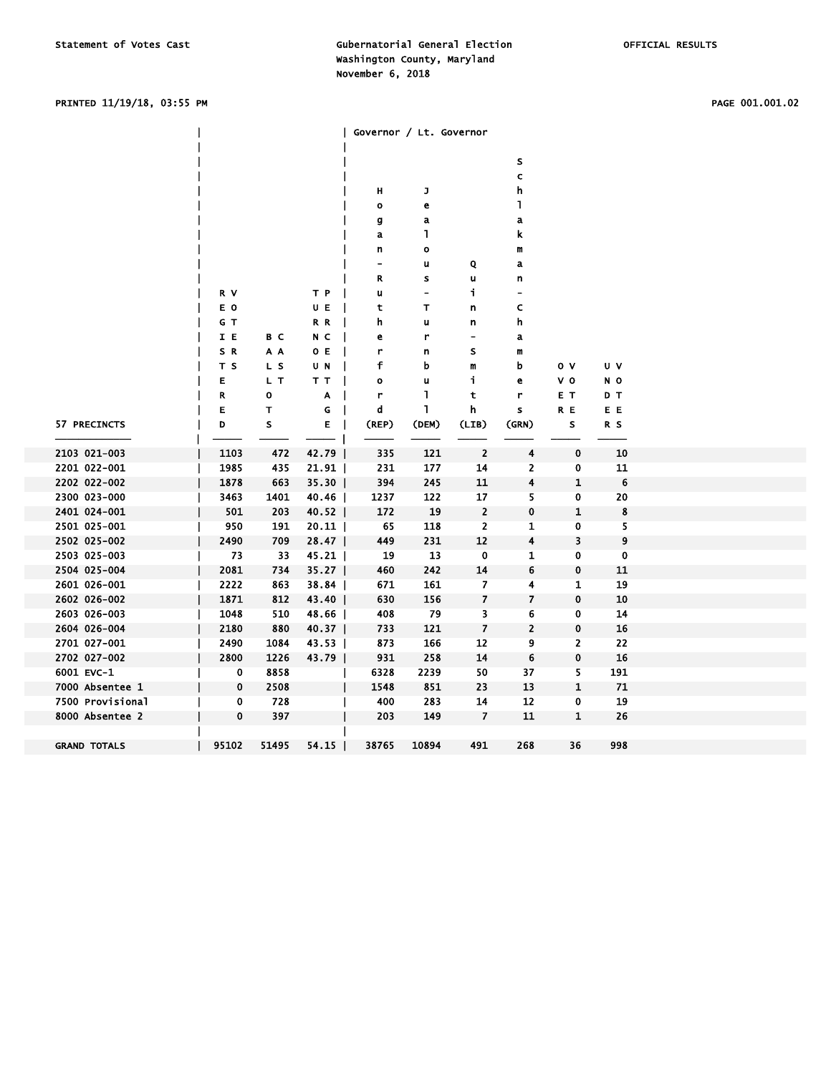# PRINTED 11/19/18, 03:55 PM PAGE 001.001.02

|                     |       |       |       | Governor / Lt. Governor      |                              |                 |                          |              |     |  |
|---------------------|-------|-------|-------|------------------------------|------------------------------|-----------------|--------------------------|--------------|-----|--|
|                     |       |       |       |                              |                              |                 | S                        |              |     |  |
|                     |       |       |       |                              |                              |                 | $\mathbf c$              |              |     |  |
|                     |       |       |       | н                            | J                            |                 | h                        |              |     |  |
|                     |       |       |       | o                            | e                            |                 | L                        |              |     |  |
|                     |       |       |       | g                            | a                            |                 | a                        |              |     |  |
|                     |       |       |       | a                            | ı                            |                 | k                        |              |     |  |
|                     |       |       |       | n                            | $\mathbf{o}$                 |                 | m                        |              |     |  |
|                     |       |       |       | $\qquad \qquad \blacksquare$ | u                            | Q               | a                        |              |     |  |
|                     |       |       |       | R                            | s                            | u               | n                        |              |     |  |
|                     | R V   |       | T P   | u                            | $\qquad \qquad \blacksquare$ | i               | $\overline{\phantom{0}}$ |              |     |  |
|                     | E O   |       | UE    | t                            | т                            | n               | c                        |              |     |  |
|                     | G T   |       | R R   | h                            | u                            | n               | h                        |              |     |  |
|                     | IE    | B C   | N C   | e                            | r                            | $\qquad \qquad$ | a                        |              |     |  |
|                     | SR    | A A   | 0 E   | r                            | n                            | S               | m                        |              |     |  |
|                     | T S   | L S   | U N   | f                            | b                            | m               | b                        | o v          | U V |  |
|                     | Е     | L T   | тт    | o                            | u                            | i               | e                        | v o          | N O |  |
|                     | R     | 0     | Α     | r                            | ı                            | t               | r                        | EТ           | DТ  |  |
|                     | E     | Т     | G     | d                            | ı                            | h               | s                        | R E          | E E |  |
| 57 PRECINCTS        | D     | S     | Е     | (REP)                        | (DEM)                        | (LIB)           | (GRN)                    | S            | R S |  |
|                     |       |       |       |                              |                              |                 |                          |              |     |  |
| 2103 021-003        | 1103  | 472   | 42.79 | 335                          | 121                          | 2               | 4                        | 0            | 10  |  |
| 2201 022-001        | 1985  | 435   | 21.91 | 231                          | 177                          | 14              | 2                        | 0            | 11  |  |
| 2202 022-002        | 1878  | 663   | 35.30 | 394                          | 245                          | 11              | 4                        | $\mathbf{1}$ | 6   |  |
| 2300 023-000        | 3463  | 1401  | 40.46 | 1237                         | 122                          | 17              | 5                        | 0            | 20  |  |
| 2401 024-001        | 501   | 203   | 40.52 | 172                          | 19                           | 2               | 0                        | 1            | 8   |  |
| 2501 025-001        | 950   | 191   | 20.11 | 65                           | 118                          | 2               | 1                        | 0            | 5   |  |
| 2502 025-002        | 2490  | 709   | 28.47 | 449                          | 231                          | 12              | 4                        | 3            | 9   |  |
| 2503 025-003        | 73    | 33    | 45.21 | 19                           | 13                           | 0               | 1                        | 0            | 0   |  |
| 2504 025-004        | 2081  | 734   | 35.27 | 460                          | 242                          | 14              | 6                        | 0            | 11  |  |
| 2601 026-001        | 2222  | 863   | 38.84 | 671                          | 161                          | 7               | 4                        | 1            | 19  |  |
| 2602 026-002        | 1871  | 812   | 43.40 | 630                          | 156                          | 7               | $\overline{7}$           | 0            | 10  |  |
| 2603 026-003        | 1048  | 510   | 48.66 | 408                          | 79                           | 3               | 6                        | 0            | 14  |  |
| 2604 026-004        | 2180  | 880   | 40.37 | 733                          | 121                          | 7               | $\overline{\mathbf{c}}$  | 0            | 16  |  |
| 2701 027-001        | 2490  | 1084  | 43.53 | 873                          | 166                          | 12              | 9                        | 2            | 22  |  |
| 2702 027-002        | 2800  | 1226  | 43.79 | 931                          | 258                          | 14              | 6                        | 0            | 16  |  |
| 6001 EVC-1          | 0     | 8858  |       | 6328                         | 2239                         | 50              | 37                       | 5            | 191 |  |
| 7000 Absentee 1     | 0     | 2508  |       | 1548                         | 851                          | 23              | 13                       | 1            | 71  |  |
| 7500 Provisional    | 0     | 728   |       | 400                          | 283                          | 14              | 12                       | 0            | 19  |  |
| 8000 Absentee 2     | 0     | 397   |       | 203                          | 149                          | 7               | 11                       | $\mathbf{1}$ | 26  |  |
|                     |       |       |       |                              |                              |                 |                          |              |     |  |
| <b>GRAND TOTALS</b> | 95102 | 51495 | 54.15 | 38765                        | 10894                        | 491             | 268                      | 36           | 998 |  |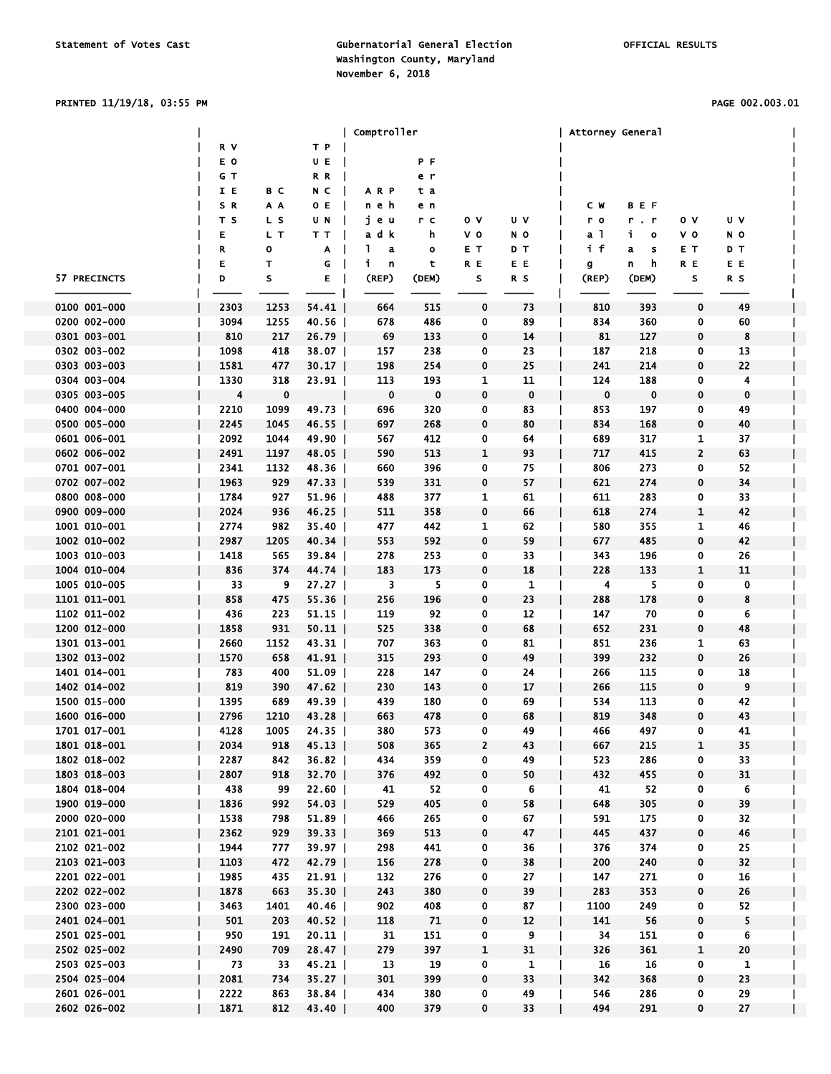PRINTED 11/19/18, 03:55 PM PAGE 002.003.01

|              |      |      |         | Comptroller             |             |                |              | Attorney General |                 |                |             |  |
|--------------|------|------|---------|-------------------------|-------------|----------------|--------------|------------------|-----------------|----------------|-------------|--|
|              | R V  |      | T P     |                         |             |                |              |                  |                 |                |             |  |
|              | E O  |      | UE      |                         | P F         |                |              |                  |                 |                |             |  |
|              | GT   |      | R R     |                         | e r         |                |              |                  |                 |                |             |  |
|              | I E  | вс   | N C     | A R P                   | t a         |                |              |                  |                 |                |             |  |
|              | S R  | ΑA   | O E     | neh                     | еn          |                |              | сw               | <b>BEF</b>      |                |             |  |
|              | T S  | L S  | U N     | jеu                     | r c         | οv             | U V          | r o              | r.r             | οv             | U V         |  |
|              | E    | L T  | тт      | adk                     | h           | vο             | NО           | a 1              | i.<br>$\bullet$ | v o            | N O         |  |
|              | R    | 0    | Α       | Т.<br>a                 | o           | EТ             | DТ           | i f              | a<br>s          | EТ             | DТ          |  |
|              | Е    | т    | G       | j.<br>n                 | t           | R E            | E E          | g                | h<br>n          | R E            | EЕ          |  |
| 57 PRECINCTS | D    | s    | Е       | (REP)                   | (DEM)       | s              | R S          | (REP)            | (DEM)           | s              | R S         |  |
|              |      |      |         |                         |             |                |              |                  |                 |                |             |  |
| 0100 001-000 | 2303 | 1253 | 54.41   | 664                     | 515         | 0              | 73           | 810              | 393             | $\mathbf 0$    | 49          |  |
| 0200 002-000 | 3094 | 1255 | 40.56   | 678                     | 486         | 0              | 89           | 834              | 360             | 0              | 60          |  |
| 0301 003-001 | 810  | 217  | $26.79$ |                         | 133         | 0              | 14           | 81               | 127             | 0              | 8           |  |
|              |      |      |         | 69                      |             |                |              |                  |                 |                |             |  |
| 0302 003-002 | 1098 | 418  | 38.07   | 157                     | 238         | 0              | 23           | 187              | 218             | 0              | 13          |  |
| 0303 003-003 | 1581 | 477  | 30.17   | 198                     | 254         | 0              | 25           | 241              | 214             | 0              | 22          |  |
| 0304 003-004 | 1330 | 318  | 23.91   | 113                     | 193         | 1              | 11           | 124              | 188             | 0              | 4           |  |
| 0305 003-005 | 4    | 0    |         | 0                       | $\mathbf 0$ | 0              | 0            | 0                | 0               | 0              | $\mathbf 0$ |  |
| 0400 004-000 | 2210 | 1099 | 49.73   | 696                     | 320         | 0              | 83           | 853              | 197             | 0              | 49          |  |
| 0500 005-000 | 2245 | 1045 | 46.55   | 697                     | 268         | 0              | 80           | 834              | 168             | 0              | 40          |  |
| 0601 006-001 | 2092 | 1044 | 49.90   | 567                     | 412         | 0              | 64           | 689              | 317             | 1              | 37          |  |
| 0602 006-002 | 2491 | 1197 | $48.05$ | 590                     | 513         | 1              | 93           | 717              | 415             | $\overline{2}$ | 63          |  |
| 0701 007-001 | 2341 | 1132 | 48.36   | 660                     | 396         | 0              | 75           | 806              | 273             | 0              | 52          |  |
| 0702 007-002 | 1963 | 929  | 47.33   | 539                     | 331         | 0              | 57           | 621              | 274             | 0              | 34          |  |
| 0800 008-000 | 1784 | 927  | 51.96   | 488                     | 377         | 1              | 61           | 611              | 283             | 0              | 33          |  |
| 0900 009-000 | 2024 | 936  | $46.25$ | 511                     | 358         | 0              | 66           | 618              | 274             | 1              | 42          |  |
| 1001 010-001 | 2774 | 982  | 35.40   | 477                     | 442         | 1              | 62           | 580              | 355             | 1              | 46          |  |
| 1002 010-002 | 2987 | 1205 | $40.34$ | 553                     | 592         | 0              | 59           | 677              | 485             | 0              | 42          |  |
|              |      |      |         |                         |             |                |              |                  |                 |                |             |  |
| 1003 010-003 | 1418 | 565  | 39.84   | 278                     | 253         | 0              | 33           | 343              | 196             | 0              | 26          |  |
| 1004 010-004 | 836  | 374  | 44.74   | 183                     | 173         | 0              | 18           | 228              | 133             | 1              | 11          |  |
| 1005 010-005 | 33   | 9    | 27.27   | $\overline{\mathbf{3}}$ | 5           | 0              | 1            | 4                | 5               | 0              | 0           |  |
| 1101 011-001 | 858  | 475  | $55.36$ | 256                     | 196         | 0              | 23           | 288              | 178             | 0              | 8           |  |
| 1102 011-002 | 436  | 223  | 51.15   | 119                     | 92          | 0              | 12           | 147              | 70              | 0              | 6           |  |
| 1200 012-000 | 1858 | 931  | $50.11$ | 525                     | 338         | 0              | 68           | 652              | 231             | 0              | 48          |  |
| 1301 013-001 | 2660 | 1152 | 43.31   | 707                     | 363         | 0              | 81           | 851              | 236             | 1              | 63          |  |
| 1302 013-002 | 1570 | 658  | 41.91   | 315                     | 293         | 0              | 49           | 399              | 232             | 0              | 26          |  |
| 1401 014-001 | 783  | 400  | 51.09   | 228                     | 147         | 0              | 24           | 266              | 115             | 0              | 18          |  |
| 1402 014-002 | 819  | 390  | 47.62   | 230                     | 143         | 0              | 17           | 266              | 115             | 0              | 9           |  |
| 1500 015-000 | 1395 | 689  | 49.39   | 439                     | 180         | 0              | 69           | 534              | 113             | 0              | 42          |  |
| 1600 016-000 | 2796 | 1210 | 43.28   | 663                     | 478         | 0              | 68           | 819              | 348             | 0              | 43          |  |
| 1701 017-001 | 4128 | 1005 | 24.35   | 380                     | 573         | 0              | 49           | 466              | 497             | 0              | 41          |  |
| 1801 018-001 | 2034 | 918  | $45.13$ | 508                     | 365         | $\overline{2}$ | 43           | 667              | 215             | 1              | 35          |  |
| 1802 018-002 | 2287 | 842  | 36.82   | 434                     | 359         | 0              | 49           | 523              | 286             | 0              | 33          |  |
| 1803 018-003 | 2807 | 918  | $32.70$ | 376                     | 492         | 0              | 50           | 432              | 455             | 0              | 31          |  |
| 1804 018-004 | 438  | 99   | $22.60$ | 41                      | 52          | 0              | 6            | 41               | 52              | 0              | 6           |  |
|              |      |      | $54.03$ |                         | 405         |                |              | 648              |                 |                |             |  |
| 1900 019-000 | 1836 | 992  |         | 529                     |             | 0              | 58           |                  | 305             | 0              | 39          |  |
| 2000 020-000 | 1538 | 798  | $51.89$ | 466                     | 265         | 0              | 67           | 591              | 175             | 0              | 32          |  |
| 2101 021-001 | 2362 | 929  | $39.33$ | 369                     | 513         | 0              | 47           | 445              | 437             | 0              | 46          |  |
| 2102 021-002 | 1944 | 777  | 39.97   | 298                     | 441         | 0              | 36           | 376              | 374             | 0              | 25          |  |
| 2103 021-003 | 1103 | 472  | 42.79   | 156                     | 278         | 0              | 38           | 200              | 240             | 0              | 32          |  |
| 2201 022-001 | 1985 | 435  | 21.91   | 132                     | 276         | 0              | 27           | 147              | 271             | 0              | 16          |  |
| 2202 022-002 | 1878 | 663  | $35.30$ | 243                     | 380         | 0              | 39           | 283              | 353             | 0              | 26          |  |
| 2300 023-000 | 3463 | 1401 | 40.46   | 902                     | 408         | 0              | 87           | 1100             | 249             | 0              | 52          |  |
| 2401 024-001 | 501  | 203  | $40.52$ | 118                     | 71          | 0              | 12           | 141              | 56              | 0              | 5           |  |
| 2501 025-001 | 950  | 191  | $20.11$ | 31                      | 151         | 0              | 9            | 34               | 151             | 0              | 6           |  |
| 2502 025-002 | 2490 | 709  | 28.47   | 279                     | 397         | $\mathbf{1}$   | 31           | 326              | 361             | 1              | 20          |  |
| 2503 025-003 | 73   | 33   | 45.21   | 13                      | 19          | 0              | $\mathbf{1}$ | 16               | 16              | 0              | 1           |  |
| 2504 025-004 | 2081 | 734  | $35.27$ | 301                     | 399         | 0              | 33           | 342              | 368             | 0              | 23          |  |
| 2601 026-001 | 2222 | 863  | $38.84$ | 434                     | 380         | 0              | 49           | 546              | 286             | 0              | 29          |  |
| 2602 026-002 | 1871 | 812  | 43.40   | 400                     | 379         | 0              | 33           | 494              | 291             | 0              | 27          |  |
|              |      |      |         |                         |             |                |              |                  |                 |                |             |  |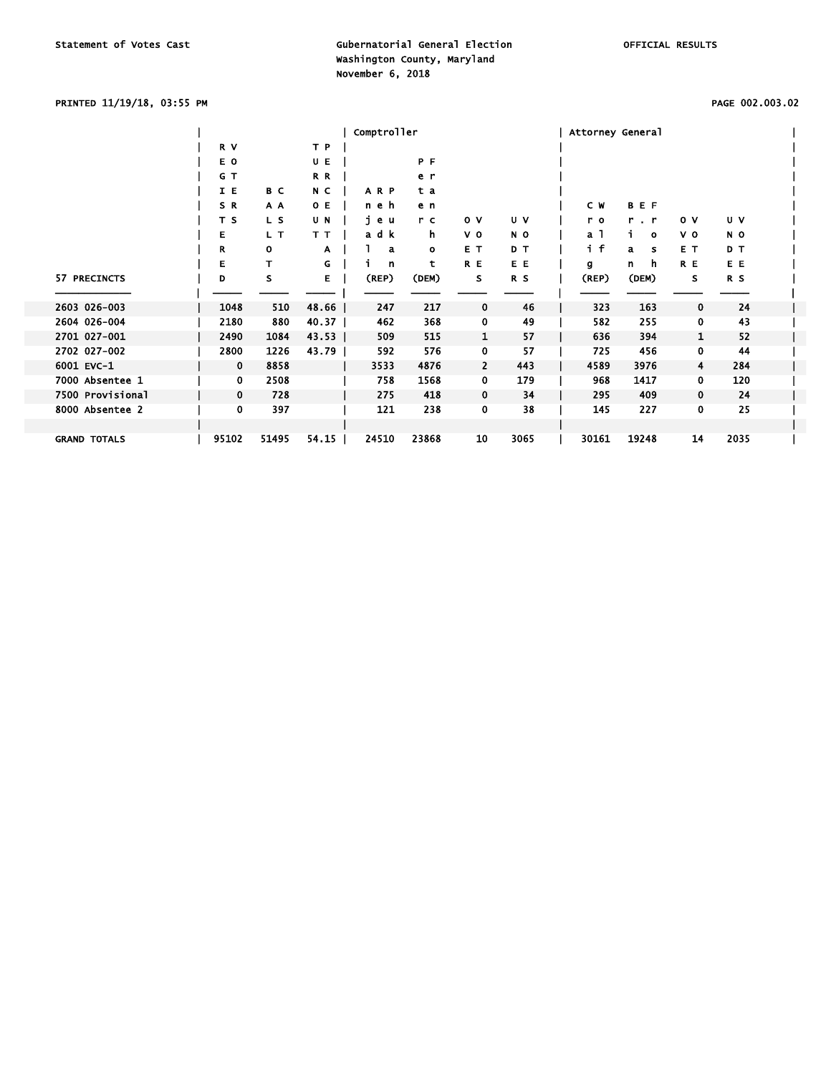# PRINTED 11/19/18, 03:55 PM PAGE 002.003.02

|                     |             |       |         | Comptroller |             |                |            | Attorney General |              |                |            |  |
|---------------------|-------------|-------|---------|-------------|-------------|----------------|------------|------------------|--------------|----------------|------------|--|
|                     | R V         |       | T P     |             |             |                |            |                  |              |                |            |  |
|                     | E O         |       | UE      |             | P F         |                |            |                  |              |                |            |  |
|                     | G T         |       | R R     |             | e r         |                |            |                  |              |                |            |  |
|                     | I E         | B C   | N C     | ARP         | t a         |                |            |                  |              |                |            |  |
|                     | SR          | A A   | O E     | neh         | e n         |                |            | C W              | <b>BEF</b>   |                |            |  |
|                     | T S         | L S   | U N     | jeu         | r c         | 0 <sub>v</sub> | <b>U</b> V | r o              | $r$ , $r$    | $\mathbf{o}$ v | <b>U</b> V |  |
|                     | Е           | L T   | тт      | adk         | h           | v o            | N O        | a 1              | $\mathbf{o}$ | V 0            | N O        |  |
|                     | R           | O     | A       | a           | $\mathbf o$ | E T            | D T        | i f              | a<br>s       | E T            | D T        |  |
|                     | Е           | т     | G       | n           | t           | R E            | E E        | g                | h<br>n       | R E            | E E        |  |
| 57 PRECINCTS        | D           | s     | Е       | (REP)       | (DEM)       | s              | R S        | (REP)            | (DEM)        | s              | R S        |  |
|                     |             |       |         |             |             |                |            |                  |              |                |            |  |
| 2603 026-003        | 1048        | 510   | 48.66   | 247         | 217         | 0              | 46         | 323              | 163          | 0              | 24         |  |
| 2604 026-004        | 2180        | 880   | $40.37$ | 462         | 368         | 0              | 49         | 582              | 255          | 0              | 43         |  |
| 2701 027-001        | 2490        | 1084  | $43.53$ | 509         | 515         | 1              | 57         | 636              | 394          | 1              | 52         |  |
| 2702 027-002        | 2800        | 1226  | 43.79   | 592         | 576         | 0              | 57         | 725              | 456          | 0              | 44         |  |
| 6001 EVC-1          | $\mathbf 0$ | 8858  |         | 3533        | 4876        | $\overline{2}$ | 443        | 4589             | 3976         | 4              | 284        |  |
| 7000 Absentee 1     | 0           | 2508  |         | 758         | 1568        | 0              | 179        | 968              | 1417         | 0              | 120        |  |
| 7500 Provisional    | $\mathbf 0$ | 728   |         | 275         | 418         | 0              | 34         | 295              | 409          | 0              | 24         |  |
| 8000 Absentee 2     | $\mathbf 0$ | 397   |         | 121         | 238         | 0              | 38         | 145              | 227          | 0              | 25         |  |
|                     |             |       |         |             |             |                |            |                  |              |                |            |  |
| <b>GRAND TOTALS</b> | 95102       | 51495 | 54.15   | 24510       | 23868       | 10             | 3065       | 30161            | 19248        | 14             | 2035       |  |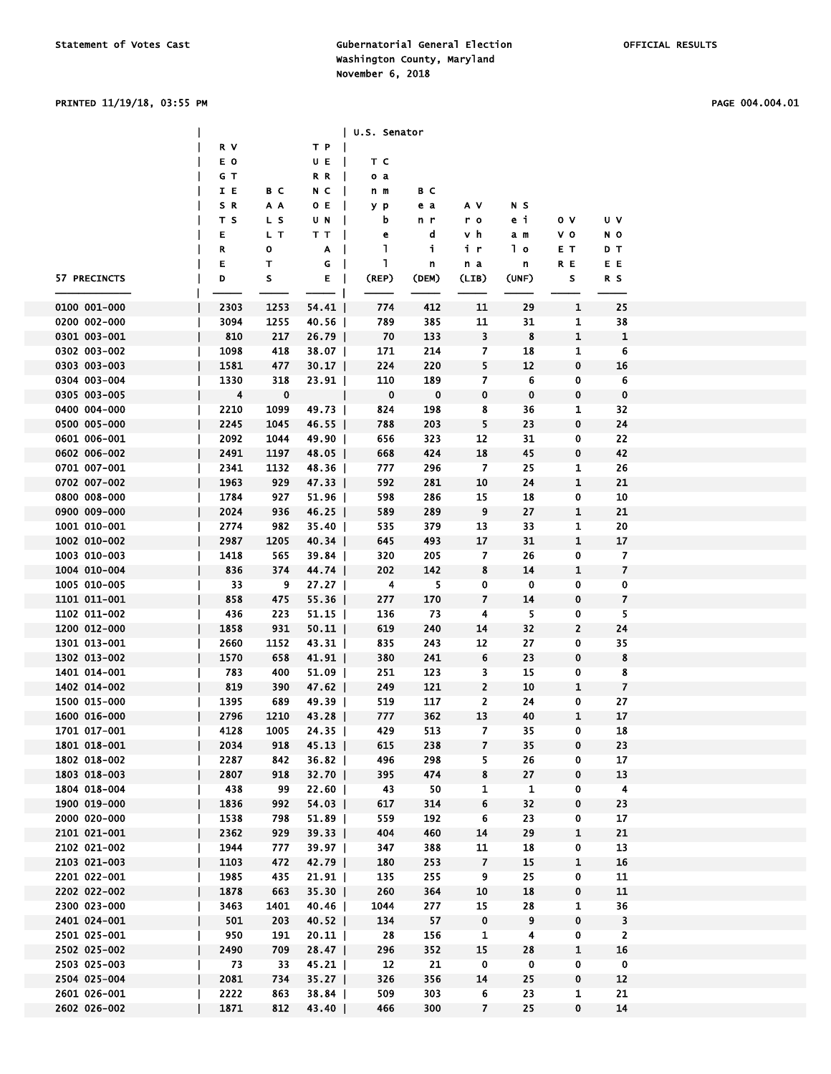PRINTED 11/19/18, 03:55 PM PAGE 004.004.01

|                              |           |          |                             | U.S. Senator          |                          |                     |                         |                |                               |  |
|------------------------------|-----------|----------|-----------------------------|-----------------------|--------------------------|---------------------|-------------------------|----------------|-------------------------------|--|
|                              | R V       |          | TP                          |                       |                          |                     |                         |                |                               |  |
|                              | E O       |          | UE                          | T C                   |                          |                     |                         |                |                               |  |
|                              | GT        |          | RR                          | 0a                    |                          |                     |                         |                |                               |  |
|                              | IE        | вс       | N C<br>$\blacksquare$       | n m                   | вс                       |                     |                         |                |                               |  |
|                              | SR        | ΑA       | O E                         | y p                   | e a                      | A V                 | N S                     |                |                               |  |
|                              | тs        | L S      | U N                         | b                     | n r                      | r o                 | еi                      | 0 <sub>V</sub> | U V                           |  |
|                              | E         | L T      | тт                          | $\mathbf{I}$<br>е     | d                        | v h                 | аm                      | v o            | N O                           |  |
|                              | R         | 0        | А                           | L<br>$\mathbf{I}$     | j.                       | i r                 | l o                     | EТ             | DТ                            |  |
|                              | Е         | Τ        | G<br>$\mathbf{I}$           | L,                    | n                        | n a                 | n                       | R E            | E E                           |  |
| 57 PRECINCTS                 | D         | s        | E I                         | (REP)                 | (DEM)                    | (LIB)               | (UNF)                   | s              | R S                           |  |
|                              |           |          |                             |                       |                          |                     |                         |                |                               |  |
| 0100 001-000                 | 2303      | 1253     | 54.41                       | 774                   | 412                      | 11                  | 29                      | 1              | 25                            |  |
| 0200 002-000                 | 3094      | 1255     | $40.56$                     | 789                   | 385                      | 11                  | 31                      | 1              | 38                            |  |
| 0301 003-001                 | 810       | 217      | $26.79$                     | 70                    | 133                      | 3                   | 8                       | 1              | $\mathbf{1}$                  |  |
| 0302 003-002                 | 1098      | 418      | 38.07                       | 171                   | 214                      | 7                   | 18                      | 1              | 6                             |  |
| 0303 003-003                 | 1581      | 477      | $30.17$                     | 224                   | 220                      | 5                   | 12                      | $\mathbf 0$    | 16                            |  |
| 0304 003-004                 | 1330      | 318      | $23.91$                     | 110                   | 189                      | $\overline{z}$      | 6                       | 0              | 6                             |  |
| 0305 003-005                 | 4         | 0        | $\sim$ $\sim$ $\sim$ $\sim$ | $\bullet$             | $\overline{\phantom{0}}$ | 0                   | $\mathbf 0$             | 0              | $\bf{0}$                      |  |
| 0400 004-000                 | 2210      | 1099     | 49.73                       | 824                   | 198                      | 8                   | 36                      | 1              | 32                            |  |
| 0500 005-000                 | 2245      | 1045     | $46.55$                     | 788                   | 203                      | 5                   | 23                      | 0              | 24                            |  |
| 0601 006-001                 | 2092      | 1044     | 49.90                       | 656                   | 323                      | 12                  | 31                      | 0              | 22                            |  |
| 0602 006-002                 | 2491      | 1197     | $48.05$                     | 668                   | 424                      | 18                  | 45                      | 0              | 42                            |  |
| 0701 007-001                 | 2341      | 1132     | 48.36                       | 777                   | 296                      | 7                   | 25                      | 1              | 26                            |  |
| 0702 007-002                 | 1963      | 929      | $47.33$                     | 592                   | 281                      | 10                  | 24                      | 1              | 21                            |  |
| 0800 008-000                 | 1784      | 927      | 51.96                       | 598                   | 286                      | 15                  | 18                      | 0              | 10                            |  |
| 0900 009-000                 | 2024      | 936      | $46.25$                     | 589                   | 289                      | 9                   | 27                      | 1              | 21                            |  |
| 1001 010-001                 | 2774      | 982      | $35.40$                     | 535                   | 379                      | 13                  | 33                      | 1              | 20                            |  |
| 1002 010-002                 | 2987      | 1205     | $40.34$                     | 645                   | 493                      | 17                  | 31                      | 1              | 17                            |  |
| 1003 010-003                 | 1418      | 565      | $39.84$                     | 320                   | 205                      | 7                   | 26                      | 0              | 7<br>$\overline{\phantom{a}}$ |  |
| 1004 010-004<br>1005 010-005 | 836<br>33 | 374<br>9 | 44.74  <br>$27.27$          | 202<br>$\overline{4}$ | 142<br>5                 | 8                   | 14<br>$\mathbf 0$       | 1<br>0         | 0                             |  |
| 1101 011-001                 | 858       | 475      | $55.36$                     | 277                   | 170                      | 0<br>$\overline{7}$ | 14                      | 0              | $\overline{7}$                |  |
| 1102 011-002                 | 436       | 223      | $51.15$                     | 136                   | 73                       | 4                   | 5                       | 0              | 5                             |  |
| 1200 012-000                 | 1858      | 931      | $50.11$                     | 619                   | 240                      | 14                  | 32                      | 2              | 24                            |  |
| 1301 013-001                 | 2660      | 1152     | 43.31                       | 835                   | 243                      | 12                  | 27                      | 0              | 35                            |  |
| 1302 013-002                 | 1570      | 658      | $41.91$                     | 380                   | 241                      | 6                   | 23                      | 0              | 8                             |  |
| 1401 014-001                 | 783       | 400      | $51.09$                     | 251                   | 123                      | 3                   | 15                      | 0              | 8                             |  |
| 1402 014-002                 | 819       | 390      | 47.62                       | 249                   | 121                      | 2                   | 10                      | 1              | $\overline{\phantom{a}}$      |  |
| 1500 015-000                 | 1395      | 689      | 49.39                       | 519                   | 117                      | 2                   | 24                      | 0              | 27                            |  |
| 1600 016-000                 | 2796      | 1210     | $43.28$                     | 777                   | 362                      | 13                  | 40                      | 1              | 17                            |  |
| 1701 017-001                 | 4128      | 1005     | 24.35                       | 429                   | 513                      | $\overline{7}$      | 35                      | $\mathbf 0$    | 18                            |  |
| 1801 018-001                 | 2034      | 918      | $45.13$                     | 615                   | 238                      | 7                   | 35                      | 0              | 23                            |  |
| 1802 018-002                 | 2287      | 842      | 36.82                       | 496                   | 298                      | 5.                  | 26                      | 0              | 17                            |  |
| 1803 018-003                 | 2807      | 918      | $32.70$                     | 395                   | 474                      | 8                   | 27                      | 0              | 13                            |  |
| 1804 018-004                 | 438       | 99       | $22.60$                     | 43                    | 50                       | 1                   | $\mathbf{1}$            | 0              | $\overline{4}$                |  |
| 1900 019-000                 | 1836      | 992      | 54.03                       | 617                   | 314                      | 6                   | 32                      | $\mathbf 0$    | 23                            |  |
| 2000 020-000                 | 1538      | 798      | $51.89$                     | 559                   | 192                      | 6                   | 23                      | 0              | 17                            |  |
| 2101 021-001                 | 2362      | 929      | 39.33                       | 404                   | 460                      | 14                  | 29                      | $\mathbf{1}$   | 21                            |  |
| 2102 021-002                 | 1944      | 777      | $39.97$                     | 347                   | 388                      | 11                  | 18                      | 0              | 13                            |  |
| 2103 021-003                 | 1103      | 472      | $42.79$                     | 180                   | 253                      | $\overline{7}$      | 15                      | $\mathbf{1}$   | 16                            |  |
| 2201 022-001                 | 1985      | 435      | 21.91                       | 135                   | 255                      | 9                   | 25                      | 0              | 11                            |  |
| 2202 022-002                 | 1878      | 663      | $35.30$                     | 260                   | 364                      | 10                  | 18                      | $\mathbf{0}$   | 11                            |  |
| 2300 023-000                 | 3463      | 1401     | 40.46                       | 1044                  | 277                      | 15                  | 28                      | 1              | 36                            |  |
| 2401 024-001                 | 501       | 203      | $40.52$                     | 134                   | 57                       | 0                   | $\boldsymbol{9}$        | 0              | $\overline{\mathbf{3}}$       |  |
| 2501 025-001                 | 950       | 191      | 20.11                       | 28                    | 156                      | 1                   | $\overline{\mathbf{4}}$ | 0              | $\mathbf{2}$                  |  |
| 2502 025-002                 | 2490      | 709      | $28.47$                     | 296                   | 352                      | 15                  | 28                      | $\mathbf{1}$   | 16                            |  |
| 2503 025-003                 | 73        | 33       | $45.21$                     | 12                    | 21                       | $\bf{0}$            | $\mathbf 0$             | 0              | $\mathbf 0$                   |  |
| 2504 025-004                 | 2081      | 734      | 35.27                       | 326                   | 356                      | 14                  | 25                      | 0              | 12                            |  |
| 2601 026-001                 | 2222      | 863      | $38.84$                     | 509                   | 303                      | 6                   | 23                      | 1              | 21                            |  |
| 2602 026-002                 | 1871      | 812      | 43.40                       | 466                   | 300                      | $\overline{7}$      | 25                      | 0              | 14                            |  |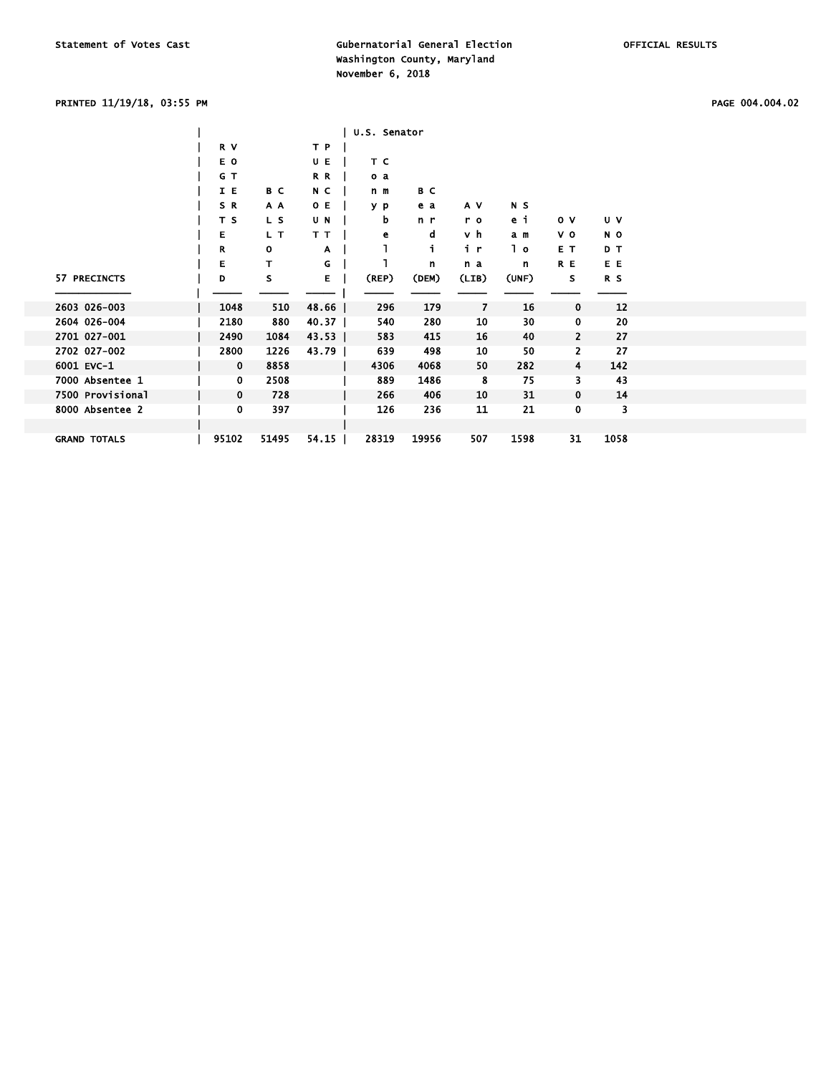PRINTED 11/19/18, 03:55 PM PAGE 004.004.02

|                     |       |       |         | U.S. Senator |       |       |       |                |      |
|---------------------|-------|-------|---------|--------------|-------|-------|-------|----------------|------|
|                     | R V   |       | T P     |              |       |       |       |                |      |
|                     | E O   |       | U E     | T C          |       |       |       |                |      |
|                     | G T   |       | R R     | 0a           |       |       |       |                |      |
|                     | IE    | B C   | N C     | n m          | B C   |       |       |                |      |
|                     | SR    | A A   | O E     | y p          | e a   | A V   | N S   |                |      |
|                     | T S   | L S   | U N     | b            | n r   | r o   | еi    | 0 <sub>V</sub> | U V  |
|                     | Е     | L T   | T T     | е            | d     | v h   | аm    | V <sub>0</sub> | N O  |
|                     | R     | 0     | A       |              | j.    | i r   | ه 1   | E T            | DT   |
|                     | Е     | т     | G       |              | n     | n a   | n     | R E            | E E  |
| 57 PRECINCTS        | D     | s     | E.      | (REP)        | (DEM) | (LIB) | (UNF) | s              | R S  |
|                     |       |       |         |              |       |       |       |                |      |
| 2603 026-003        | 1048  | 510   | 48.66   | 296          | 179   | 7     | 16    | 0              | 12   |
| 2604 026-004        | 2180  | 880   | $40.37$ | 540          | 280   | 10    | 30    | 0              | 20   |
| 2701 027-001        | 2490  | 1084  | $43.53$ | 583          | 415   | 16    | 40    | $\overline{2}$ | 27   |
| 2702 027-002        | 2800  | 1226  | 43.79   | 639          | 498   | 10    | 50    | 2              | 27   |
| 6001 EVC-1          | 0     | 8858  |         | 4306         | 4068  | 50    | 282   | 4              | 142  |
| 7000 Absentee 1     | 0     | 2508  |         | 889          | 1486  | 8     | 75    | 3.             | 43   |
| 7500 Provisional    | 0     | 728   |         | 266          | 406   | 10    | 31    | $\mathbf{0}$   | 14   |
| 8000 Absentee 2     | 0     | 397   |         | 126          | 236   | 11    | 21    | 0              | 3    |
|                     |       |       |         |              |       |       |       |                |      |
| <b>GRAND TOTALS</b> | 95102 | 51495 | 54.15   | 28319        | 19956 | 507   | 1598  | 31             | 1058 |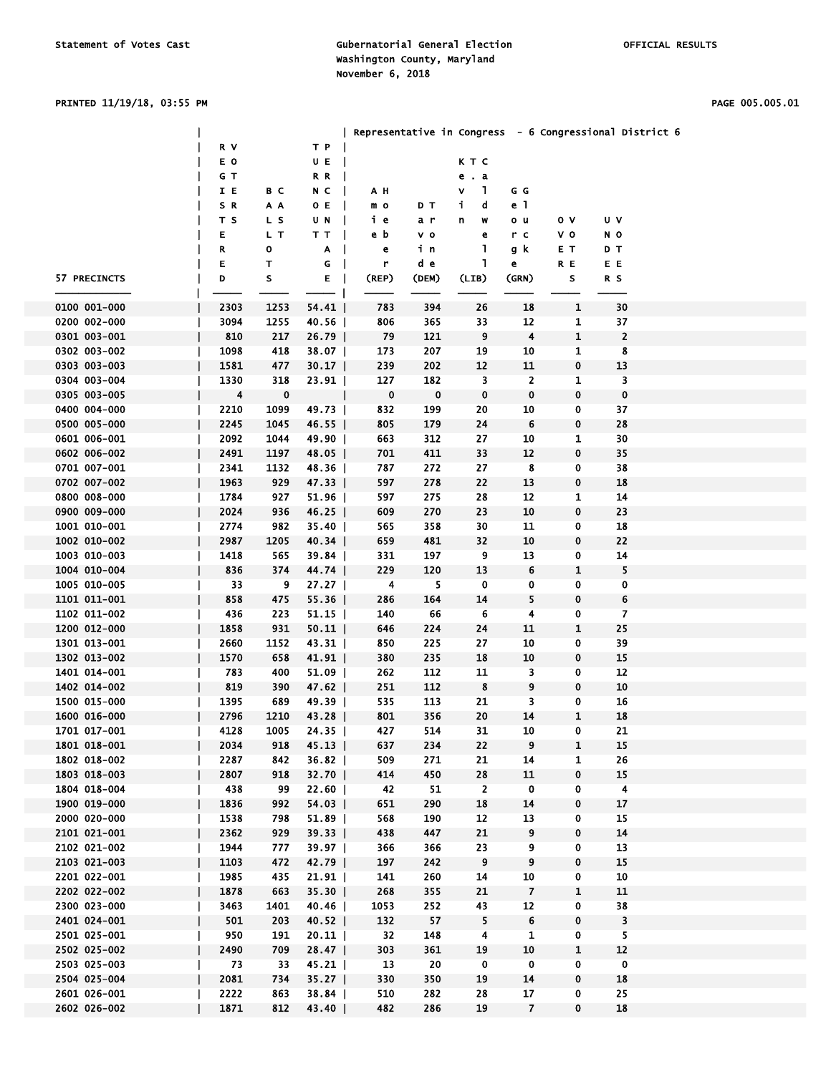### PRINTED 11/19/18, 03:55 PM PAGE 005.005.01

|              |      |             |         |             |          |                  |                         |              | Representative in Congress - 6 Congressional District 6 |  |
|--------------|------|-------------|---------|-------------|----------|------------------|-------------------------|--------------|---------------------------------------------------------|--|
|              | R V  |             | ТP      |             |          |                  |                         |              |                                                         |  |
|              | E O  |             | U E     |             |          | KTC              |                         |              |                                                         |  |
|              | GT   |             | R R     |             |          | e. a             |                         |              |                                                         |  |
|              | IE   | вс          | N C     | AН          |          | L<br>$\mathbf v$ | G G                     |              |                                                         |  |
|              | S R  | A A         | oЕ      | m o         | DТ       | j,<br>d          | e 1                     |              |                                                         |  |
|              | тs   | L S         | UΝ      | iе          | a r      | w<br>n           | o u                     | o v          | U V                                                     |  |
|              | Е    | L T         | тт      | e b         | v o      | e                | r c                     | v o          | N O                                                     |  |
|              | R    | o           | A       | e           | in       | 1                | g k                     | EТ           | DТ                                                      |  |
|              | Е    | T           | G       | r           | d e      | 1                | e                       | R E          | E E                                                     |  |
| 57 PRECINCTS | D    | s           | E.      | $($ REP $)$ | (DEM)    | (LIB)            | (GRN)                   | s            | R S                                                     |  |
|              |      |             |         |             |          |                  |                         |              |                                                         |  |
| 0100 001-000 | 2303 | 1253        | 54.41   | 783         | 394      | 26               | 18                      | 1            | 30                                                      |  |
| 0200 002-000 | 3094 | 1255        | 40.56   | 806         | 365      | 33               | 12                      | 1            | 37                                                      |  |
| 0301 003-001 | 810  | 217         |         | 79          | 121      |                  | $\overline{\mathbf{4}}$ | $\mathbf{1}$ |                                                         |  |
|              |      |             | 26.79   |             |          | 9                |                         |              | 2                                                       |  |
| 0302 003-002 | 1098 | 418         | 38.07   | 173         | 207      | 19               | 10                      | 1            | 8                                                       |  |
| 0303 003-003 | 1581 | 477         | 30.17   | 239         | 202      | 12               | 11                      | 0            | 13                                                      |  |
| 0304 003-004 | 1330 | 318         | 23.91   | 127         | 182      | 3                | $\overline{2}$          | 1            | 3                                                       |  |
| 0305 003-005 | 4    | $\mathbf 0$ |         | $\mathbf 0$ | $\bf{0}$ | 0                | 0                       | 0            | $\pmb{0}$                                               |  |
| 0400 004-000 | 2210 | 1099        | 49.73   | 832         | 199      | 20               | 10                      | 0            | 37                                                      |  |
| 0500 005-000 | 2245 | 1045        | 46.55   | 805         | 179      | 24               | 6                       | 0            | 28                                                      |  |
| 0601 006-001 | 2092 | 1044        | 49.90   | 663         | 312      | 27               | 10                      | 1            | 30                                                      |  |
| 0602 006-002 | 2491 | 1197        | 48.05   | 701         | 411      | 33               | 12                      | 0            | 35                                                      |  |
| 0701 007-001 | 2341 | 1132        | 48.36   | 787         | 272      | 27               | 8                       | 0            | 38                                                      |  |
| 0702 007-002 | 1963 | 929         | 47.33   | 597         | 278      | 22               | 13                      | 0            | 18                                                      |  |
| 0800 008-000 | 1784 | 927         | 51.96   | 597         | 275      | 28               | 12                      | 1            | 14                                                      |  |
| 0900 009-000 | 2024 | 936         | 46.25   | 609         | 270      | 23               | 10                      | 0            | 23                                                      |  |
| 1001 010-001 | 2774 | 982         | 35.40   | 565         | 358      | 30               | 11                      | 0            | 18                                                      |  |
| 1002 010-002 | 2987 | 1205        | 40.34   | 659         | 481      | 32               | 10                      | 0            | 22                                                      |  |
| 1003 010-003 | 1418 | 565         | 39.84   | 331         | 197      | 9                | 13                      | 0            | 14                                                      |  |
| 1004 010-004 | 836  | 374         | 44.74   | 229         | 120      | 13               | 6                       | 1            | 5                                                       |  |
| 1005 010-005 | 33   | 9           | $27.27$ | 4           | 5        | 0                | 0                       | 0            | 0                                                       |  |
| 1101 011-001 | 858  | 475         | 55.36   | 286         | 164      | 14               | 5                       | 0            | 6                                                       |  |
| 1102 011-002 | 436  |             |         |             | 66       | 6                | 4                       | 0            | 7                                                       |  |
|              |      | 223         | $51.15$ | 140         |          |                  |                         |              |                                                         |  |
| 1200 012-000 | 1858 | 931         | 50.11   | 646         | 224      | 24               | 11                      | 1            | 25                                                      |  |
| 1301 013-001 | 2660 | 1152        | 43.31   | 850         | 225      | 27               | 10                      | 0            | 39                                                      |  |
| 1302 013-002 | 1570 | 658         | 41.91   | 380         | 235      | 18               | 10                      | 0            | 15                                                      |  |
| 1401 014-001 | 783  | 400         | 51.09   | 262         | 112      | 11               | 3                       | 0            | 12                                                      |  |
| 1402 014-002 | 819  | 390         | 47.62   | 251         | 112      | 8                | 9                       | 0            | 10                                                      |  |
| 1500 015-000 | 1395 | 689         | 49.39   | 535         | 113      | 21               | 3                       | 0            | 16                                                      |  |
| 1600 016-000 | 2796 | 1210        | 43.28   | 801         | 356      | 20               | 14                      | 1            | 18                                                      |  |
| 1701 017-001 | 4128 | 1005        | 24.35   | 427         | 514      | 31               | 10                      | 0            | 21                                                      |  |
| 1801 018-001 | 2034 | 918         | $45.13$ | 637         | 234      | 22               | 9                       | 1            | 15                                                      |  |
| 1802 018-002 | 2287 | 842         | 36.82   | 509         | 271      | 21               | 14                      | 1            | 26                                                      |  |
| 1803 018-003 | 2807 | 918         | $32.70$ | 414         | 450      | 28               | 11                      | 0            | 15                                                      |  |
| 1804 018-004 | 438  | 99          | $22.60$ | 42          | 51       | $\overline{2}$   | 0                       | 0            | 4                                                       |  |
| 1900 019-000 | 1836 | 992         | $54.03$ | 651         | 290      | 18               | 14                      | 0            | 17                                                      |  |
| 2000 020-000 | 1538 | 798         | 51.89   | 568         | 190      | 12               | 13                      | 0            | 15                                                      |  |
| 2101 021-001 | 2362 | 929         | 39.33   | 438         | 447      | 21               | 9                       | 0            | 14                                                      |  |
| 2102 021-002 | 1944 | 777         | 39.97   | 366         | 366      | 23               | 9                       | 0            | 13                                                      |  |
| 2103 021-003 | 1103 | 472         | 42.79   | 197         | 242      | 9                | 9                       | 0            | 15                                                      |  |
| 2201 022-001 | 1985 | 435         | 21.91   | 141         | 260      | 14               | 10                      | 0            | 10                                                      |  |
| 2202 022-002 | 1878 | 663         | $35.30$ | 268         | 355      | 21               | $\overline{7}$          | $\mathbf{1}$ | 11                                                      |  |
| 2300 023-000 | 3463 | 1401        | 40.46   | 1053        | 252      | 43               | 12                      | 0            | 38                                                      |  |
|              |      |             |         |             |          |                  |                         |              |                                                         |  |
| 2401 024-001 | 501  | 203         | $40.52$ | 132         | 57       | 5                | 6                       | 0            | 3                                                       |  |
| 2501 025-001 | 950  | 191         | $20.11$ | 32          | 148      | 4                | $\mathbf{1}$            | 0            | 5                                                       |  |
| 2502 025-002 | 2490 | 709         | 28.47   | 303         | 361      | 19               | 10                      | 1            | 12                                                      |  |
| 2503 025-003 | 73   | 33          | $45.21$ | 13          | 20       | $\mathbf 0$      | $\mathbf 0$             | 0            | $\mathbf 0$                                             |  |
| 2504 025-004 | 2081 | 734         | $35.27$ | 330         | 350      | 19               | 14                      | 0            | 18                                                      |  |
| 2601 026-001 | 2222 | 863         | 38.84   | 510         | 282      | 28               | 17                      | 0            | 25                                                      |  |
| 2602 026-002 | 1871 | 812         | 43.40   | 482         | 286      | 19               | $\overline{7}$          | 0            | 18                                                      |  |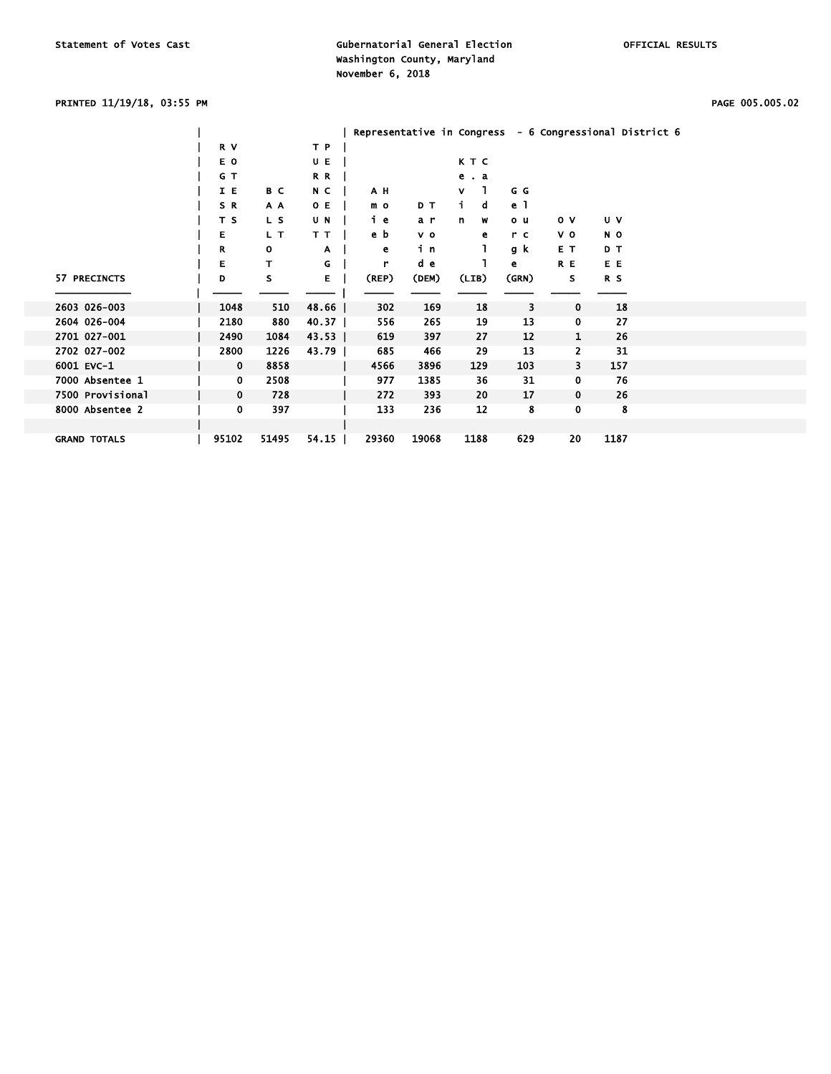# PRINTED 11/19/18, 03:55 PM PAGE 005.005.02

|                     |             |       |       | Representative in Congress - 6 Congressional District 6 |                |           |                |                |                |  |
|---------------------|-------------|-------|-------|---------------------------------------------------------|----------------|-----------|----------------|----------------|----------------|--|
|                     | R V         |       | T P   |                                                         |                |           |                |                |                |  |
|                     | E O         |       | UE    |                                                         |                | K T C     |                |                |                |  |
|                     | G T         |       | R R   |                                                         |                | $e$ . $a$ |                |                |                |  |
|                     | IE          | B C   | N C   | A H                                                     |                | v         | G G            |                |                |  |
|                     | SR          | A A   | O E   | m o                                                     | D T            | i.<br>d   | e 1            |                |                |  |
|                     | T S         | L S   | U N   | iе                                                      | a r            | n.<br>W   | 0 <sub>u</sub> | 0 <sub>V</sub> | U V            |  |
|                     | Е           | L T   | TT.   | e b                                                     | V <sub>o</sub> | е         | r c            | v o            | N <sub>O</sub> |  |
|                     | R           | o     | A     | e                                                       | iп             |           | g k            | E T            | D T            |  |
|                     | Е           | т     | G     | r                                                       | d e            |           | e              | R E            | E E            |  |
| 57 PRECINCTS        | D           | s     | E.    | (REP)                                                   | (DEM)          | (LIB)     | (GRN)          | s              | R S            |  |
|                     |             |       |       |                                                         |                |           |                |                |                |  |
| 2603 026-003        | 1048        | 510   | 48.66 | 302                                                     | 169            | 18        | 3              | $\mathbf 0$    | 18             |  |
| 2604 026-004        | 2180        | 880   | 40.37 | 556                                                     | 265            | 19        | 13             | $\mathbf 0$    | 27             |  |
| 2701 027-001        | 2490        | 1084  | 43.53 | 619                                                     | 397            | 27        | 12             | 1              | 26             |  |
| 2702 027-002        | 2800        | 1226  | 43.79 | 685                                                     | 466            | 29        | 13             | 2              | 31             |  |
| 6001 EVC-1          | $\mathbf 0$ | 8858  |       | 4566                                                    | 3896           | 129       | 103            | 3              | 157            |  |
| 7000 Absentee 1     | 0           | 2508  |       | 977                                                     | 1385           | 36        | 31             | 0              | 76             |  |
| 7500 Provisional    | $\mathbf 0$ | 728   |       | 272                                                     | 393            | 20        | 17             | 0              | 26             |  |
| 8000 Absentee 2     | 0           | 397   |       | 133                                                     | 236            | 12        | 8              | 0              | 8              |  |
|                     |             |       |       |                                                         |                |           |                |                |                |  |
| <b>GRAND TOTALS</b> | 95102       | 51495 | 54.15 | 29360                                                   | 19068          | 1188      | 629            | 20             | 1187           |  |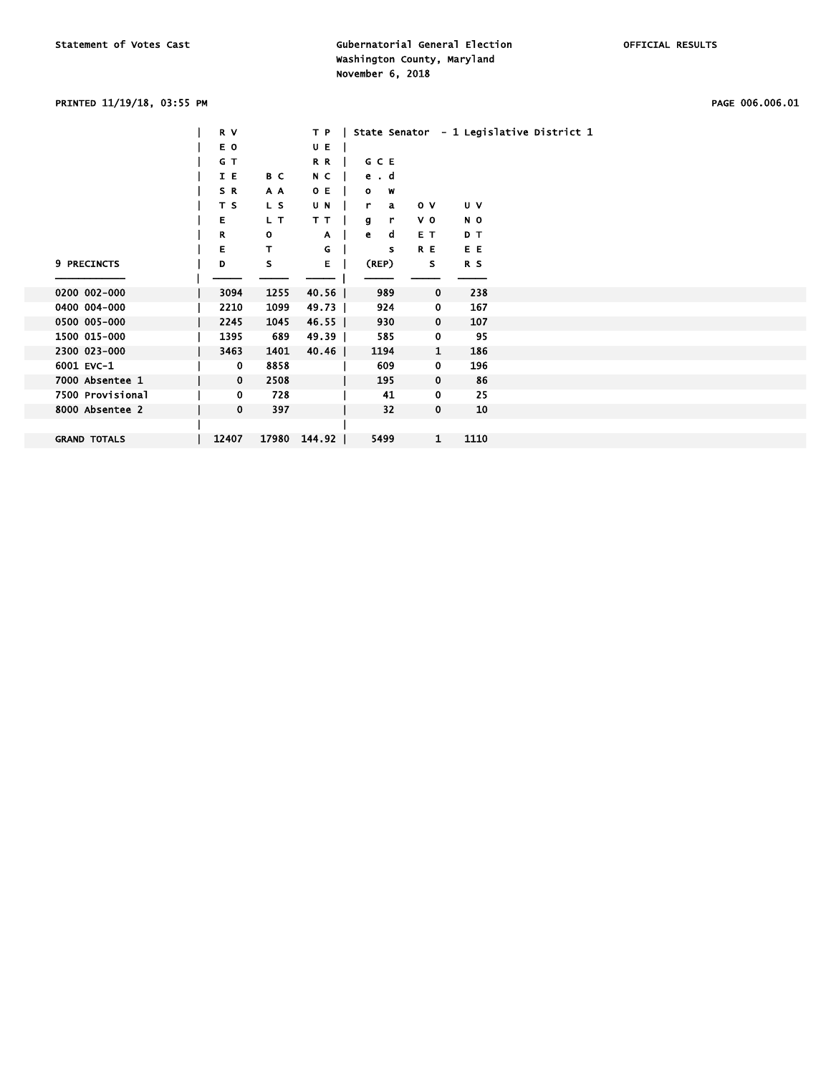# PRINTED 11/19/18, 03:55 PM PAGE 006.006.01

|                     | R V         |              | T P     |                |                |      | State Senator - 1 Legislative District 1 |  |
|---------------------|-------------|--------------|---------|----------------|----------------|------|------------------------------------------|--|
|                     | E O         |              | UE      |                |                |      |                                          |  |
|                     | G T         |              | R R     | G C E          |                |      |                                          |  |
|                     | I E         | B C          | N C     | ed             |                |      |                                          |  |
|                     | SR.         | A A          | O E     | $\bullet$<br>W |                |      |                                          |  |
|                     | T S         | L S          | U N     | r<br>a         | $\mathbf{o}$ v | υv   |                                          |  |
|                     | Е           | L T          | TТ      | g<br>r.        | v o            | N O  |                                          |  |
|                     | R           | $\mathbf{o}$ | A       | e<br>d         | E T            | D T  |                                          |  |
|                     | Е           | т            | G       | s              | R E            | E E  |                                          |  |
| 9 PRECINCTS         | D           | S            | Е       | (REP)          | s              | R S  |                                          |  |
|                     |             |              |         |                |                |      |                                          |  |
| 0200 002-000        | 3094        | 1255         | 40.56   | 989            | $\mathbf 0$    | 238  |                                          |  |
| 0400 004-000        | 2210        | 1099         | 49.73   | 924            | 0              | 167  |                                          |  |
| 0500 005-000        | 2245        | 1045         | $46.55$ | 930            | $\mathbf 0$    | 107  |                                          |  |
| 1500 015-000        | 1395        | 689          | 49.39   | 585            | 0              | 95   |                                          |  |
| 2300 023-000        | 3463        | 1401         | $40.46$ | 1194           | 1              | 186  |                                          |  |
| 6001 EVC-1          | $\mathbf 0$ | 8858         |         | 609            | 0              | 196  |                                          |  |
| 7000 Absentee 1     | $\mathbf 0$ | 2508         |         | 195            | $\mathbf 0$    | 86   |                                          |  |
| 7500 Provisional    | $\mathbf 0$ | 728          |         | 41             | $\mathbf 0$    | 25   |                                          |  |
| 8000 Absentee 2     | $\mathbf 0$ | 397          |         | 32             | $\mathbf 0$    | 10   |                                          |  |
|                     |             |              |         |                |                |      |                                          |  |
| <b>GRAND TOTALS</b> | 12407       | 17980        | 144.92  | 5499           | 1              | 1110 |                                          |  |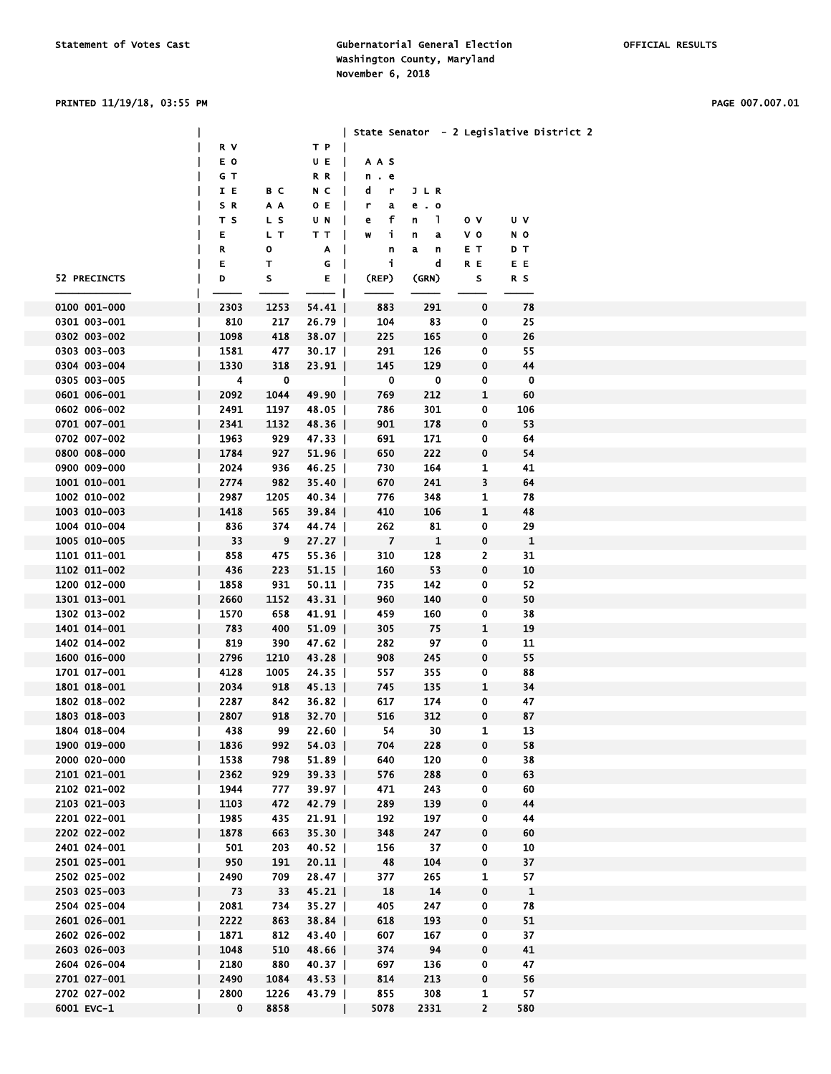|              |      |                          |         | State Senator - 2 Legislative District 2 |                         |              |              |  |
|--------------|------|--------------------------|---------|------------------------------------------|-------------------------|--------------|--------------|--|
|              | R V  |                          | T P     |                                          |                         |              |              |  |
|              | E O  |                          | UE      | AAS<br>$\mathbf{I}$                      |                         |              |              |  |
|              | GT   |                          | R R     | $\mathbf{I}$<br>n.e                      |                         |              |              |  |
|              | IE   | B C                      | N C     | $\mathbf{I}$<br>d<br>r                   | JLR                     |              |              |  |
|              | S R  | A A                      | O E     | L<br>r<br>a                              | e<br>$\cdot$ 0          |              |              |  |
|              | тs   | L S                      | UN      | f<br>е                                   | L<br>n                  | o v          | U V          |  |
|              | Ε    | L T                      | тт      | j.<br>$\mathbf{I}$<br>W                  | n<br>a                  | v o          | N O          |  |
|              | R    | o                        | A       | $\mathbf{I}$<br>n                        | a<br>n                  | EТ           | DТ           |  |
|              | E    | т                        | G       | j.<br>$\mathbf{I}$                       | d                       | R E          | E E          |  |
| 52 PRECINCTS | D    | s                        | E.      | $\mathbf{I}$<br>(REP)                    | (GRN)                   | s            | R S          |  |
|              |      |                          |         |                                          |                         |              |              |  |
| 0100 001-000 | 2303 | 1253                     | $54.41$ | 883                                      | 291                     | 0            | 78           |  |
| 0301 003-001 | 810  | 217                      | $26.79$ | 104                                      | 83                      | 0            | 25           |  |
| 0302 003-002 | 1098 | 418                      | 38.07   | 225                                      | 165                     | 0            | 26           |  |
| 0303 003-003 | 1581 | 477                      | $30.17$ | 291                                      | 126                     | 0            | 55           |  |
| 0304 003-004 | 1330 | 318                      | $23.91$ | 145                                      | 129                     | $\pmb{0}$    | 44           |  |
| 0305 003-005 | 4    | $\overline{\phantom{0}}$ |         | $\mathbf 0$<br>$\mathbf{I}$              | $\overline{\mathbf{0}}$ | 0            | $\mathbf 0$  |  |
| 0601 006-001 | 2092 | 1044                     | 49.90   | 769                                      | 212                     | $\mathbf 1$  | 60           |  |
| 0602 006-002 | 2491 | 1197                     | $48.05$ | 786                                      | 301                     | 0            | 106          |  |
| 0701 007-001 | 2341 | 1132                     | 48.36   | 901                                      | 178                     | 0            | 53           |  |
| 0702 007-002 | 1963 | 929                      | $47.33$ | 691                                      | 171                     | 0            | 64           |  |
| 0800 008-000 | 1784 | 927                      | 51.96   | 650                                      | 222                     | 0            | 54           |  |
| 0900 009-000 | 2024 | 936                      | 46.25   | 730                                      | 164                     | $\mathbf 1$  | 41           |  |
| 1001 010-001 | 2774 | 982                      | $35.40$ | 670                                      | 241                     | 3            | 64           |  |
| 1002 010-002 | 2987 | 1205                     | $40.34$ | 776                                      | 348                     | $\mathbf{1}$ | 78           |  |
| 1003 010-003 | 1418 | 565                      | $39.84$ | 410                                      | 106                     | $\mathbf 1$  | 48           |  |
| 1004 010-004 | 836  | 374                      | 44.74   | 262                                      | 81                      | 0            | 29           |  |
| 1005 010-005 | 33   | $\overline{\phantom{a}}$ | $27.27$ | $\overline{7}$                           | $\mathbf{1}$            | 0            | $\mathbf{1}$ |  |
| 1101 011-001 | 858  | 475                      | $55.36$ | 310                                      | 128                     | 2            | 31           |  |
| 1102 011-002 | 436  | 223                      | $51.15$ | 160                                      | 53                      | 0            | 10           |  |
| 1200 012-000 | 1858 | 931                      | $50.11$ | 735                                      | 142                     | 0            | 52           |  |
| 1301 013-001 | 2660 | 1152                     | $43.31$ | 960                                      | 140                     | 0            | 50           |  |
| 1302 013-002 | 1570 | 658                      | 41.91   | 459                                      | 160                     | 0            | 38           |  |
| 1401 014-001 | 783  | 400                      | $51.09$ | 305                                      | 75                      | 1            | 19           |  |
| 1402 014-002 | 819  | 390                      | $47.62$ | 282                                      | 97                      | 0            | 11           |  |
| 1600 016-000 | 2796 | 1210                     | $43.28$ | 908                                      | 245                     | 0            | 55           |  |
| 1701 017-001 | 4128 | 1005                     | $24.35$ | 557                                      | 355                     | 0            | 88           |  |
| 1801 018-001 | 2034 | 918                      | $45.13$ | 745                                      | 135                     | $\mathbf{1}$ | 34           |  |
| 1802 018-002 | 2287 | 842                      | $36.82$ | 617                                      | 174                     | 0            | 47           |  |
| 1803 018-003 | 2807 | 918                      | $32.70$ | 516                                      | 312                     | 0            | 87           |  |
| 1804 018-004 | 438  | 99                       | $22.60$ | 54                                       | 30                      | ı            | 13           |  |
| 1900 019-000 | 1836 | 992                      | $54.03$ | 704                                      | 228                     | 0            | 58           |  |
| 2000 020-000 | 1538 | 798                      | $51.89$ | 640                                      | 120                     | 0            | 38           |  |
| 2101 021-001 | 2362 | 929                      | $39.33$ | 576                                      | 288                     | 0            | 63           |  |
| 2102 021-002 | 1944 | 777                      | 39.97   | 471                                      | 243                     | 0            | 60           |  |
| 2103 021-003 | 1103 | 472                      | $42.79$ | 289                                      | 139                     | $\pmb{0}$    | 44           |  |
| 2201 022-001 | 1985 | 435                      | 21.91   | 192                                      | 197                     | 0            | 44           |  |
| 2202 022-002 | 1878 | 663                      | $35.30$ | 348                                      | 247                     | 0            | 60           |  |
| 2401 024-001 | 501  | 203                      | $40.52$ | 156                                      | 37                      | 0            | 10           |  |
| 2501 025-001 | 950  | 191                      | 20.11   | 48                                       | 104                     | 0            | 37           |  |
| 2502 025-002 | 2490 | 709                      | $28.47$ | 377                                      | 265                     | 1            | 57           |  |
| 2503 025-003 | 73   | 33                       | $45.21$ | 18                                       | 14                      | $\mathbf 0$  | $\mathbf{1}$ |  |
| 2504 025-004 | 2081 | 734                      | 35.27   | 405                                      | 247                     | 0            | 78           |  |
| 2601 026-001 | 2222 | 863                      | 38.84   | 618                                      | 193                     | 0            | 51           |  |
| 2602 026-002 | 1871 | 812                      | $43.40$ | 607                                      | 167                     | 0            | 37           |  |
| 2603 026-003 | 1048 | 510                      | 48.66   | 374                                      | 94                      | 0            | 41           |  |
| 2604 026-004 | 2180 | 880                      | $40.37$ | 697                                      | 136                     | 0            | 47           |  |
| 2701 027-001 | 2490 | 1084                     | $43.53$ | 814                                      | 213                     | $\pmb{0}$    | 56           |  |
| 2702 027-002 | 2800 | 1226                     | 43.79   | 855                                      | 308                     | $\mathbf{1}$ | 57           |  |
| 6001 EVC-1   | 0    | 8858                     |         | 5078                                     | 2331                    | $\mathbf{2}$ | 580          |  |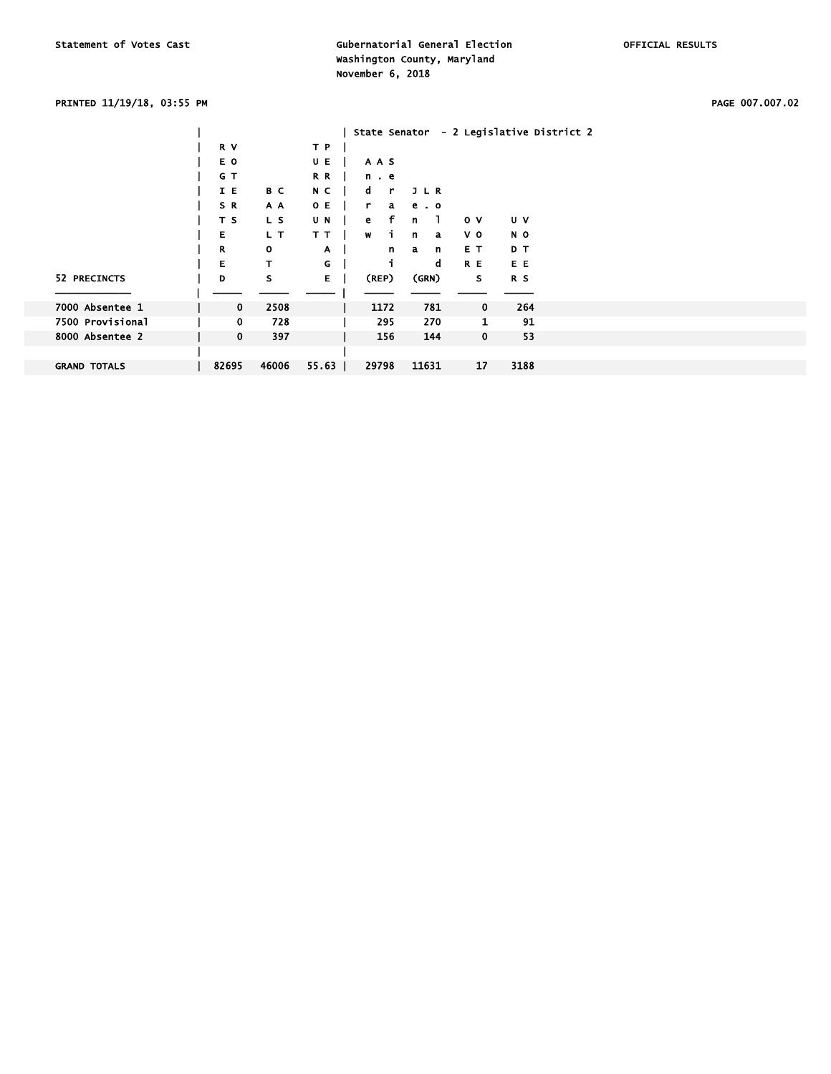# PRINTED 11/19/18, 03:55 PM PAGE 007.007.02

|                     |             |       |         | State Senator     |                   |                | - 2 Legislative District 2 |  |
|---------------------|-------------|-------|---------|-------------------|-------------------|----------------|----------------------------|--|
|                     | R V         |       | T P     |                   |                   |                |                            |  |
|                     | E O         |       | UE      | AAS               |                   |                |                            |  |
|                     | G T         |       | R R     | n . e             |                   |                |                            |  |
|                     | I E         | B C   | N C     | d<br>$\mathbf{r}$ | JLR               |                |                            |  |
|                     | SR.         | A A   | O E     | r<br>a            | $e$ . $o$         |                |                            |  |
|                     | T S         | L S   | U N     | f<br>e            | E.<br>$\mathbf n$ | 0 <sub>V</sub> | U V                        |  |
|                     | Е           | L T   | T T     | W                 | n<br>a            | v o            | N O                        |  |
|                     | R           | O     | A       | n                 | a<br>n            | E T            | D T                        |  |
|                     | Е           | т     | G       |                   | d                 | R E            | E E                        |  |
| 52 PRECINCTS        | D           | S     | E.      | $($ REP $)$       | (GRN)             | s              | R S                        |  |
|                     |             |       |         |                   |                   |                |                            |  |
| 7000 Absentee 1     | $\mathbf 0$ | 2508  |         | 1172              | 781               | $\mathbf 0$    | 264                        |  |
| 7500 Provisional    | 0           | 728   |         | 295               | 270               | 1              | 91                         |  |
| 8000 Absentee 2     | 0           | 397   |         | 156               | 144               | 0              | 53                         |  |
|                     |             |       |         |                   |                   |                |                            |  |
| <b>GRAND TOTALS</b> | 82695       | 46006 | $55.63$ | 29798             | 11631             | 17             | 3188                       |  |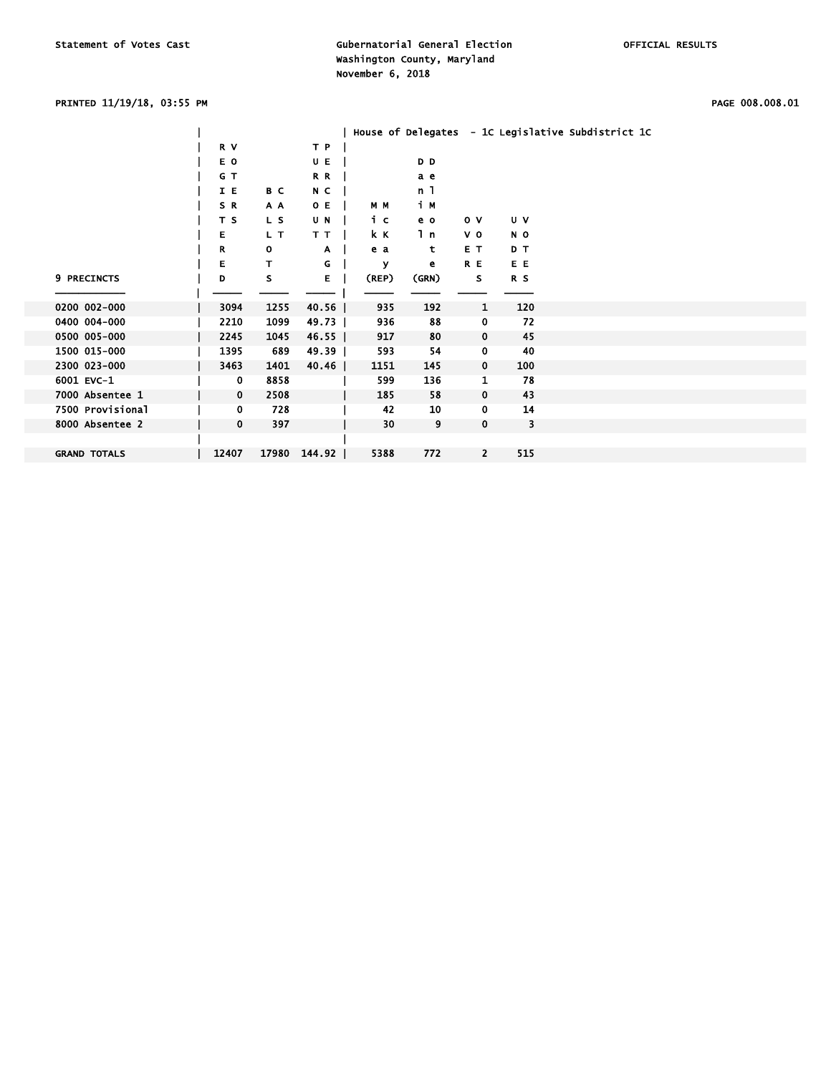# PRINTED 11/19/18, 03:55 PM PAGE 008.008.01

|                     |              |       |         |       |       |                |                | House of Delegates - 1C Legislative Subdistrict 1C |
|---------------------|--------------|-------|---------|-------|-------|----------------|----------------|----------------------------------------------------|
|                     | R V          |       | T P     |       |       |                |                |                                                    |
|                     | E O          |       | U E     |       | D D   |                |                |                                                    |
|                     | G T          |       | R R     |       | a e   |                |                |                                                    |
|                     | IE           | B C   | N C     |       | n 1   |                |                |                                                    |
|                     | SR.          | A A   | O E     | M M   | iм    |                |                |                                                    |
|                     | T S          | L S   | U N     | iс    | e o   | 0 <sub>V</sub> | U V            |                                                    |
|                     | Е            | L T   | T T     | k K   | 1 n   | V <sub>0</sub> | N O            |                                                    |
|                     | R            | 0     | Α       | e a   | t     | E T            | D T            |                                                    |
|                     | E            | т     | G       | У     | е     | R E            | E E            |                                                    |
| 9 PRECINCTS         | D            | S     | Е       | (REP) | (GRN) | s              | R <sub>S</sub> |                                                    |
|                     |              |       |         |       |       |                |                |                                                    |
| 0200 002-000        | 3094         | 1255  | 40.56   | 935   | 192   | 1              | 120            |                                                    |
| 0400 004-000        | 2210         | 1099  | 49.73   | 936   | 88    | 0              | 72             |                                                    |
| 0500 005-000        | 2245         | 1045  | $46.55$ | 917   | 80    | 0              | 45             |                                                    |
| 1500 015-000        | 1395         | 689   | 49.39   | 593   | 54    | 0              | 40             |                                                    |
| 2300 023-000        | 3463         | 1401  | 40.46   | 1151  | 145   | $\mathbf 0$    | 100            |                                                    |
| 6001 EVC-1          | 0            | 8858  |         | 599   | 136   | 1              | 78             |                                                    |
| 7000 Absentee 1     | $\mathbf{0}$ | 2508  |         | 185   | 58    | 0              | 43             |                                                    |
| 7500 Provisional    | 0            | 728   |         | 42    | 10    | 0              | 14             |                                                    |
| 8000 Absentee 2     | 0            | 397   |         | 30    | 9     | 0              | 3              |                                                    |
|                     |              |       |         |       |       |                |                |                                                    |
| <b>GRAND TOTALS</b> | 12407        | 17980 | 144.92  | 5388  | 772   | $\overline{2}$ | 515            |                                                    |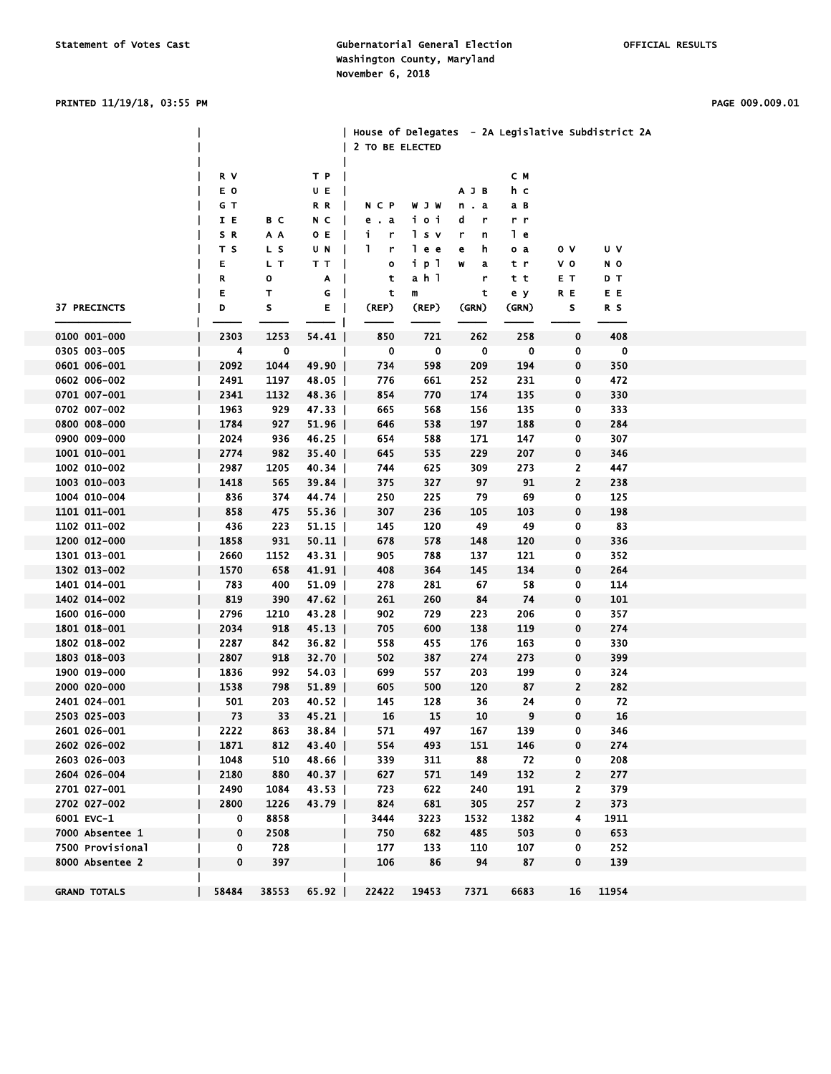### PRINTED 11/19/18, 03:55 PM PAGE 009.009.01

|                     |                         |       |         | House of Delegates - 2A Legislative Subdistrict 2A |            |         |       |                |       |  |
|---------------------|-------------------------|-------|---------|----------------------------------------------------|------------|---------|-------|----------------|-------|--|
|                     |                         |       |         | 2 TO BE ELECTED                                    |            |         |       |                |       |  |
|                     | R V                     |       | TР      |                                                    |            |         | C M   |                |       |  |
|                     | E O                     |       | UE      |                                                    |            | A J B   | h c   |                |       |  |
|                     | G T                     |       | R R     | N C P                                              | <b>WJW</b> | n.a     | aВ    |                |       |  |
|                     | IE                      | B C   | N C     | e. a                                               | ioi        | d<br>r  | r r   |                |       |  |
|                     | S R                     | A A   | O E     | j,<br>r                                            | 1 s v      | n<br>r  | l e   |                |       |  |
|                     | тs                      | L S   | U N     | $\mathbf{1}$<br>r                                  | le e       | h.<br>е | o a   | 0 <sub>v</sub> | U V   |  |
|                     | E                       | L T   | тт      | $\bullet$                                          | i p 1      | W<br>a  | t r   | v o            | N O   |  |
|                     | R                       | 0     | Α       | t                                                  | ah 1       | n       | t t   | EТ             | DT    |  |
|                     | E                       | т     | G       | t                                                  | m          | t       | e y   | R E            | E E   |  |
| <b>37 PRECINCTS</b> | D                       | s     | Е       | (REP)                                              | (REP)      | (GRN)   | (GRN) | S.             | R S   |  |
| 0100 001-000        | 2303                    | 1253  | 54.41   | 850                                                | 721        | 262     | 258   | 0              | 408   |  |
| 0305 003-005        | $\overline{\mathbf{4}}$ | 0     |         | 0                                                  | 0          | 0       | 0     | 0              | 0     |  |
| 0601 006-001        | 2092                    | 1044  | 49.90   | 734                                                | 598        | 209     | 194   | $\mathbf 0$    | 350   |  |
| 0602 006-002        | 2491                    | 1197  | $48.05$ | 776                                                | 661        | 252     | 231   | 0              | 472   |  |
| 0701 007-001        | 2341                    | 1132  | 48.36   | 854                                                | 770        | 174     | 135   | 0              | 330   |  |
| 0702 007-002        | 1963                    | 929   | $47.33$ | 665                                                | 568        | 156     | 135   | 0              | 333   |  |
| 0800 008-000        | 1784                    | 927   | $51.96$ | 646                                                | 538        | 197     | 188   | 0              | 284   |  |
| 0900 009-000        | 2024                    | 936   | $46.25$ | 654                                                | 588        | 171     | 147   | 0              | 307   |  |
| 1001 010-001        | 2774                    | 982   | $35.40$ | 645                                                | 535        | 229     | 207   | 0              | 346   |  |
| 1002 010-002        | 2987                    | 1205  | $40.34$ | 744                                                | 625        | 309     | 273   | 2              | 447   |  |
| 1003 010-003        | 1418                    | 565   | $39.84$ | 375                                                | 327        | 97      | 91    | $\mathbf{z}$   | 238   |  |
| 1004 010-004        | 836                     | 374   | 44.74   | 250                                                | 225        | 79      | 69    | 0              | 125   |  |
| 1101 011-001        | 858                     | 475   | $55.36$ | 307                                                | 236        | 105     | 103   | 0              | 198   |  |
| 1102 011-002        | 436                     | 223   | 51.15   | 145                                                | 120        | 49      | 49    | 0              | 83    |  |
| 1200 012-000        | 1858                    | 931   | $50.11$ | 678                                                | 578        | 148     | 120   | 0              | 336   |  |
| 1301 013-001        | 2660                    | 1152  | 43.31   | 905                                                | 788        | 137     | 121   | 0              | 352   |  |
| 1302 013-002        | 1570                    | 658   | 41.91   | 408                                                | 364        | 145     | 134   | $\mathbf 0$    | 264   |  |
| 1401 014-001        | 783                     | 400   | $51.09$ | 278                                                | 281        | 67      | 58    | 0              | 114   |  |
| 1402 014-002        | 819                     | 390   | $47.62$ | 261                                                | 260        | 84      | 74    | $\mathbf 0$    | 101   |  |
| 1600 016-000        | 2796                    | 1210  | 43.28   | 902                                                | 729        | 223     | 206   | 0              | 357   |  |
| 1801 018-001        | 2034                    | 918   | $45.13$ | 705                                                | 600        | 138     | 119   | 0              | 274   |  |
| 1802 018-002        | 2287                    | 842   | 36.82   | 558                                                | 455        | 176     | 163   | 0              | 330   |  |
| 1803 018-003        | 2807                    | 918   | $32.70$ | 502                                                | 387        | 274     | 273   | $\mathbf 0$    | 399   |  |
| 1900 019-000        | 1836                    | 992   | 54.03   | 699                                                | 557        | 203     | 199   | 0              | 324   |  |
| 2000 020-000        | 1538                    | 798   | $51.89$ | 605                                                | 500        | 120     | 87    | 2              | 282   |  |
| 2401 024-001        | 501                     | 203   | $40.52$ | 145                                                | 128        | 36      | 24    | 0              | 72    |  |
| 2503 025-003        | 73                      | 33    | $45.21$ | 16                                                 | 15         | 10      | 9     | $\mathbf 0$    | 16    |  |
| 2601 026-001        | 2222                    | 863   | 38.84   | 571                                                | 497        | 167     | 139   | 0              | 346   |  |
| 2602 026-002        | 1871                    | 812   | 43.40   | 554                                                | 493        | 151     | 146   | $\mathbf 0$    | 274   |  |
| 2603 026-003        | 1048                    | 510   | 48.66   | 339                                                | 311        | - 88    | - 72  | 0              | 208   |  |
| 2604 026-004        | 2180                    | 880   | $40.37$ | 627                                                | 571        | 149     | 132   | $\mathbf{2}$   | 277   |  |
| 2701 027-001        | 2490                    | 1084  | 43.53   | 723                                                | 622        | 240     | 191   | $\mathbf{2}$   | 379   |  |
| 2702 027-002        | 2800                    | 1226  | 43.79   | 824                                                | 681        | 305     | 257   | $\mathbf{2}$   | 373   |  |
| 6001 EVC-1          | $\mathbf 0$             | 8858  |         | 3444                                               | 3223       | 1532    | 1382  | 4              | 1911  |  |
| 7000 Absentee 1     | 0                       | 2508  |         | 750                                                | 682        | 485     | 503   | 0              | 653   |  |
| 7500 Provisional    | 0                       | 728   |         | 177                                                | 133        | 110     | 107   | 0              | 252   |  |
| 8000 Absentee 2     | $\mathbf 0$             | 397   |         | 106                                                | 86         | 94      | 87    | $\mathbf 0$    | 139   |  |
| <b>GRAND TOTALS</b> | 58484                   | 38553 | $65.92$ | 22422                                              | 19453      | 7371    | 6683  | 16             | 11954 |  |
|                     |                         |       |         |                                                    |            |         |       |                |       |  |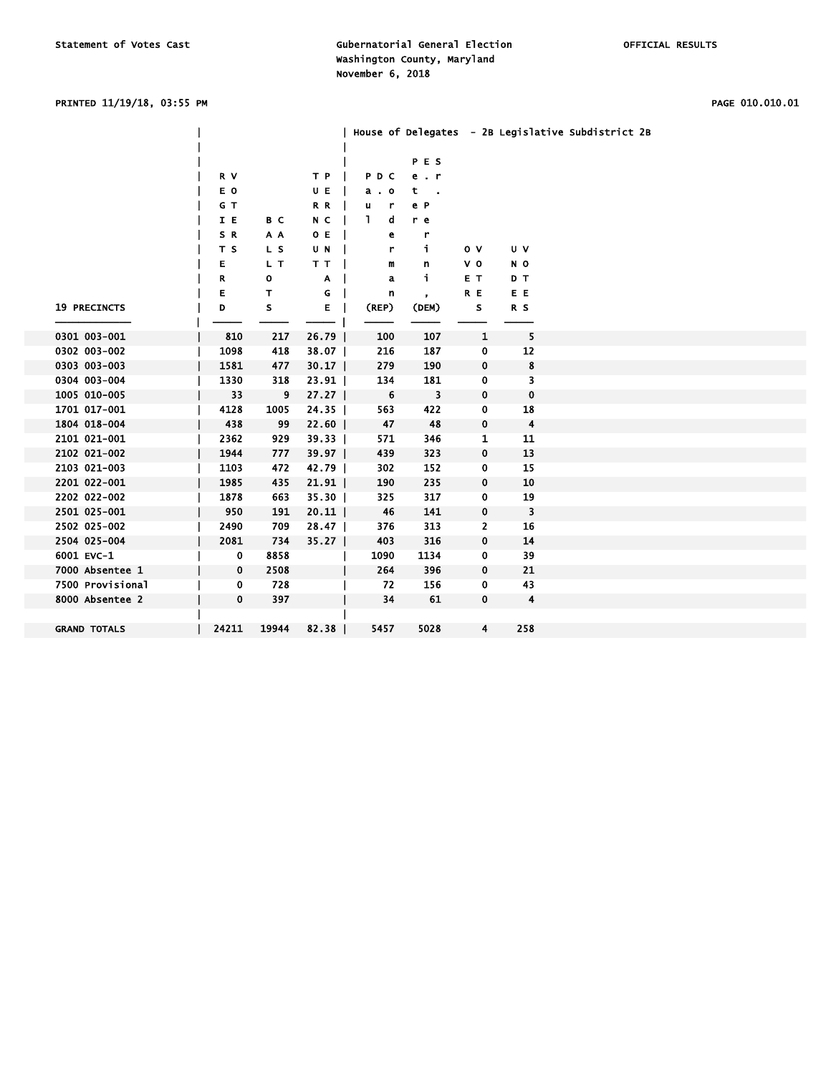# PRINTED 11/19/18, 03:55 PM PAGE 010.010.01

|                     |             |              |              |                   |                         |                |                         | House of Delegates - 2B Legislative Subdistrict 2B |
|---------------------|-------------|--------------|--------------|-------------------|-------------------------|----------------|-------------------------|----------------------------------------------------|
|                     |             |              |              |                   | PES                     |                |                         |                                                    |
|                     | R V         |              | T P          | PDC               | $e$ . $r$               |                |                         |                                                    |
|                     | E O         |              | UE           | a . o             | t                       |                |                         |                                                    |
|                     | G T         |              | R R          | r<br>u            | e P                     |                |                         |                                                    |
|                     | I E         | B C          | N C          | $\mathbf{I}$<br>d | r e                     |                |                         |                                                    |
|                     | SR          | A A          | O E          | e                 |                         |                |                         |                                                    |
|                     | T S         | L S          | U N          | r                 | r<br>j.                 | $\mathsf{o}$ v | U V                     |                                                    |
|                     |             | L T          |              |                   |                         |                | N O                     |                                                    |
|                     | Е           |              | T T          | m                 | n<br>i.                 | VO.            |                         |                                                    |
|                     | R           | o            | A            | a                 |                         | E T            | D T                     |                                                    |
|                     | Е           | T            | $\mathsf{G}$ | n                 | $\blacksquare$          | R E            | E E                     |                                                    |
| <b>19 PRECINCTS</b> | D           | $\mathbf{s}$ | E            | (REP)             | (DEM)                   | s              | R S                     |                                                    |
| 0301 003-001        | 810         | 217          | $26.79$      | 100               | 107                     | 1              | 5                       |                                                    |
| 0302 003-002        | 1098        | 418          | 38.07        | 216               | 187                     | 0              | 12                      |                                                    |
| 0303 003-003        | 1581        | 477          | $30.17$      | 279               | 190                     | 0              | 8                       |                                                    |
|                     |             |              |              |                   |                         |                |                         |                                                    |
| 0304 003-004        | 1330        | 318          | $23.91$      | 134               | 181                     | 0              | 3                       |                                                    |
| 1005 010-005        | 33          | 9            | $27.27$      | $6\overline{6}$   | $\overline{\mathbf{3}}$ | 0              | $\mathbf 0$             |                                                    |
| 1701 017-001        | 4128        | 1005         | $24.35$      | 563               | 422                     | 0              | 18                      |                                                    |
| 1804 018-004        | 438         | 99           | $22.60$      | 47                | 48                      | 0              | $\overline{4}$          |                                                    |
| 2101 021-001        | 2362        | 929          | $39.33$      | 571               | 346                     | 1              | 11                      |                                                    |
| 2102 021-002        | 1944        | 777          | $39.97$      | 439               | 323                     | 0              | 13                      |                                                    |
| 2103 021-003        | 1103        | 472          | 42.79        | 302               | 152                     | 0              | 15                      |                                                    |
| 2201 022-001        | 1985        | 435          | $21.91$      | 190               | 235                     | 0              | 10                      |                                                    |
| 2202 022-002        | 1878        | 663          | $35.30$      | 325               | 317                     | 0              | 19                      |                                                    |
| 2501 025-001        | 950         | 191          | $20.11$      | - 46              | 141                     | 0              | $\overline{\mathbf{3}}$ |                                                    |
| 2502 025-002        | 2490        | 709          | $28.47$      | 376               | 313                     | 2              | 16                      |                                                    |
| 2504 025-004        | 2081        | 734          | $35.27$      | 403               | 316                     | 0              | 14                      |                                                    |
| 6001 EVC-1          | $\mathbf 0$ | 8858         |              | 1090              | 1134                    | 0              | 39                      |                                                    |
| 7000 Absentee 1     | $\mathbf 0$ | 2508         |              | 264               | 396                     | 0              | 21                      |                                                    |
| 7500 Provisional    | 0           | 728          |              | 72                | 156                     | 0              | 43                      |                                                    |
| 8000 Absentee 2     | $\mathbf 0$ | 397          |              | 34                | 61                      | $\pmb{0}$      | 4                       |                                                    |
|                     |             |              |              |                   |                         |                |                         |                                                    |
| <b>GRAND TOTALS</b> | 24211       | 19944        | 82.38        | 5457              | 5028                    | 4              | 258                     |                                                    |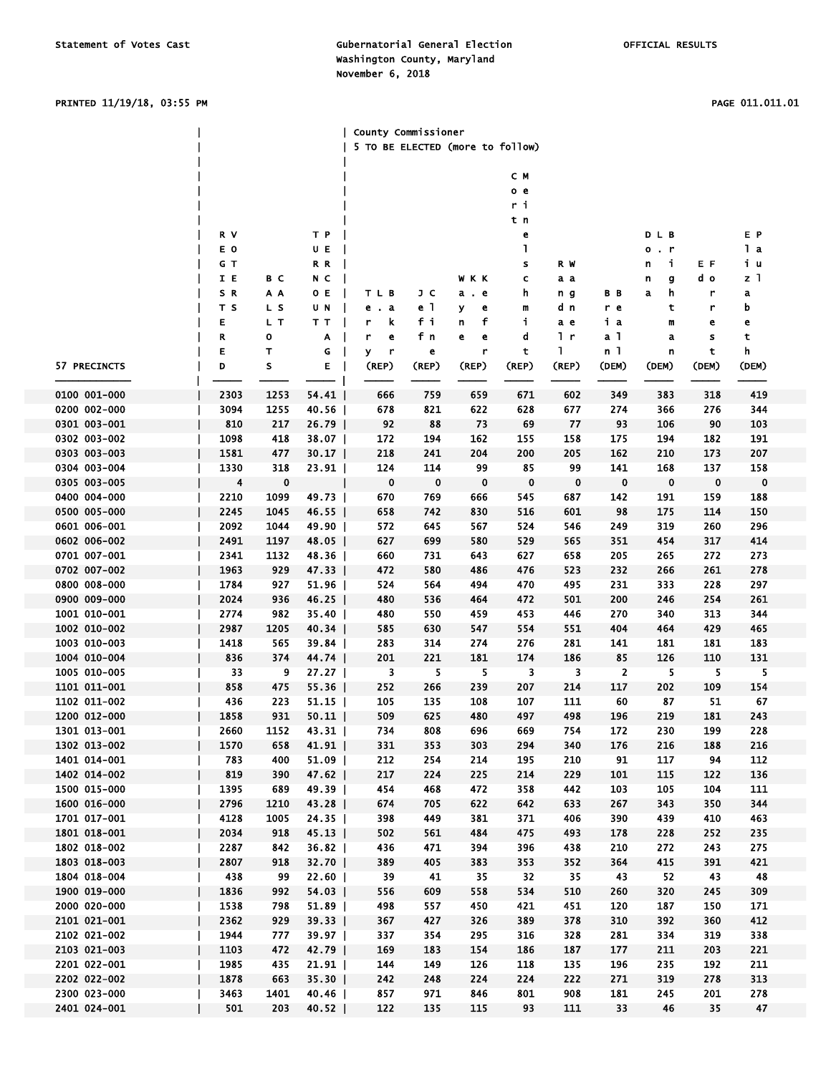|              |      |      |         | County Commissioner              |             |        |       |                |             |             |             |                |  |
|--------------|------|------|---------|----------------------------------|-------------|--------|-------|----------------|-------------|-------------|-------------|----------------|--|
|              |      |      |         | 5 TO BE ELECTED (more to follow) |             |        |       |                |             |             |             |                |  |
|              |      |      |         |                                  |             |        |       |                |             |             |             |                |  |
|              |      |      |         |                                  |             |        | C M   |                |             |             |             |                |  |
|              |      |      |         |                                  |             |        | o e   |                |             |             |             |                |  |
|              |      |      |         |                                  |             |        | r i   |                |             |             |             |                |  |
|              |      |      |         |                                  |             |        | t n   |                |             |             |             |                |  |
|              | R V  |      | ТP      |                                  |             |        | e     |                |             | DLB         |             | E P            |  |
|              | E O  |      | UE      |                                  |             |        | 1     |                |             | o. r        |             | 1 a            |  |
|              | G T  |      | R R     |                                  |             |        | s     | R W            |             | j.<br>n     | E F         | iu             |  |
|              | IE   | B C  | N C     |                                  |             | W K K  | c     | аa             |             | n<br>g      | d o         | z <sub>1</sub> |  |
|              | SR.  | ΑA   | O E     | TLB                              | JС          | а. е   | h     | n g            | B B         | a<br>h      | r           | a              |  |
|              | T S  | L S  | UN      | e. a                             | e 1         | У<br>e | m     | d n            | r e         | t           | r           | b              |  |
|              | Е    | L T  | тт      | k<br>r                           | fi          | f<br>n | i     | a e            | iа          | m           | e           | е              |  |
|              | R    | о    | Α       | r<br>е                           | fn          | e<br>е | d     | 1 <sub>r</sub> | a 1         | a           | s           | t              |  |
|              | E    | т    | G       | У<br>r                           | e           | r      | t     | L              | n 1         | n           | t           | h              |  |
| 57 PRECINCTS | D    | s    | Е       | (REP)                            | (REP)       | (REP)  | (REP) | (REP)          | (DEM)       | (DEM)       | (DEM)       | (DEM)          |  |
| 0100 001-000 | 2303 | 1253 | 54.41   | 666                              | 759         | 659    | 671   | 602            | 349         | 383         | 318         | 419            |  |
| 0200 002-000 | 3094 | 1255 | 40.56   | 678                              | 821         | 622    | 628   | 677            | 274         | 366         | 276         | 344            |  |
| 0301 003-001 | 810  | 217  | $26.79$ | 92                               | 88          | 73     | 69    | 77             | 93          | 106         | 90          | 103            |  |
| 0302 003-002 | 1098 | 418  | 38.07   | 172                              | 194         | 162    | 155   | 158            | 175         | 194         | 182         | 191            |  |
| 0303 003-003 | 1581 | 477  | $30.17$ | 218                              | 241         | 204    | 200   | 205            | 162         | 210         | 173         | 207            |  |
| 0304 003-004 | 1330 | 318  | 23.91   | 124                              | 114         | 99     | 85    | 99             | 141         | 168         | 137         | 158            |  |
| 0305 003-005 | 4    | 0    |         | 0                                | $\mathbf 0$ | 0      | 0     | 0              | $\mathbf 0$ | $\mathbf 0$ | $\mathbf 0$ | 0              |  |
| 0400 004-000 | 2210 | 1099 | 49.73   | 670                              | 769         | 666    | 545   | 687            | 142         | 191         | 159         | 188            |  |
| 0500 005-000 | 2245 | 1045 | 46.55   | 658                              | 742         | 830    | 516   | 601            | 98          | 175         | 114         | 150            |  |
| 0601 006-001 | 2092 | 1044 | 49.90   | 572                              | 645         | 567    | 524   | 546            | 249         | 319         | 260         | 296            |  |
| 0602 006-002 | 2491 | 1197 | $48.05$ | 627                              | 699         | 580    | 529   | 565            | 351         | 454         | 317         | 414            |  |
| 0701 007-001 | 2341 | 1132 | 48.36   | 660                              | 731         | 643    | 627   | 658            | 205         | 265         | 272         | 273            |  |
| 0702 007-002 | 1963 | 929  | 47.33   | 472                              | 580         | 486    | 476   | 523            | 232         | 266         | 261         | 278            |  |
| 0800 008-000 | 1784 | 927  | 51.96   | 524                              | 564         | 494    | 470   | 495            | 231         | 333         | 228         | 297            |  |
| 0900 009-000 | 2024 | 936  | $46.25$ | 480                              | 536         | 464    | 472   | 501            | 200         | 246         | 254         | 261            |  |
| 1001 010-001 | 2774 | 982  | 35.40   | 480                              | 550         | 459    | 453   | 446            | 270         | 340         | 313         | 344            |  |
| 1002 010-002 | 2987 | 1205 | 40.34   | 585                              | 630         | 547    | 554   | 551            | 404         | 464         | 429         | 465            |  |
| 1003 010-003 | 1418 | 565  | 39.84   | 283                              | 314         | 274    | 276   | 281            | 141         | 181         | 181         | 183            |  |
| 1004 010-004 | 836  | 374  | 44.74   | 201                              | 221         | 181    | 174   | 186            | 85          | 126         | 110         | 131            |  |
| 1005 010-005 | 33   | 9    | 27.27   | 3                                | 5           | 5      | 3     | 3              | 2           | 5           | 5           | 5              |  |
| 1101 011-001 | 858  | 475  | 55.36   | 252                              | 266         | 239    | 207   | 214            | 117         | 202         | 109         | 154            |  |
| 1102 011-002 | 436  | 223  | 51.15   | 105                              | 135         | 108    | 107   | 111            | 60          | 87          | 51          | 67             |  |
| 1200 012-000 | 1858 | 931  | $50.11$ | 509                              | 625         | 480    | 497   | 498            | 196         | 219         | 181         | 243            |  |
| 1301 013-001 | 2660 | 1152 | 43.31   | 734                              | 808         | 696    | 669   | 754            | 172         | 230         | 199         | 228            |  |
| 1302 013-002 | 1570 | 658  | 41.91   | 331                              | 353         | 303    | 294   | 340            | 176         | 216         | 188         | 216            |  |
| 1401 014-001 | 783  | 400  | 51.09   | 212                              | 254         | 214    | 195   | 210            | 91          | 117         | 94          | 112            |  |
| 1402 014-002 | 819  | 390  | 47.62   | 217                              | 224         | 225    | 214   | 229            | 101         | 115         | 122         | 136            |  |
| 1500 015-000 | 1395 | 689  | 49.39   | 454                              | 468         | 472    | 358   | 442            | 103         | 105         | 104         | 111            |  |
| 1600 016-000 | 2796 | 1210 | $43.28$ | 674                              | 705         | 622    | 642   | 633            | 267         | 343         | 350         | 344            |  |
| 1701 017-001 | 4128 | 1005 | $24.35$ | 398                              | 449         | 381    | 371   | 406            | 390         | 439         | 410         | 463            |  |
| 1801 018-001 | 2034 | 918  | 45.13   | 502                              | 561         | 484    | 475   | 493            | 178         | 228         | 252         | 235            |  |
| 1802 018-002 | 2287 | 842  | 36.82   | 436                              | 471         | 394    | 396   | 438            | 210         | 272         | 243         | 275            |  |
| 1803 018-003 | 2807 | 918  | $32.70$ | 389                              | 405         | 383    | 353   | 352            | 364         | 415         | 391         | 421            |  |
| 1804 018-004 | 438  | 99   | $22.60$ | 39                               | 41          | 35     | 32    | 35             | 43          | 52          | 43          | 48             |  |
| 1900 019-000 | 1836 | 992  | 54.03   | 556                              | 609         | 558    | 534   | 510            | 260         | 320         | 245         | 309            |  |
| 2000 020-000 | 1538 | 798  | 51.89   | 498                              | 557         | 450    | 421   | 451            | 120         | 187         | 150         | 171            |  |
| 2101 021-001 | 2362 | 929  | $39.33$ | 367                              | 427         | 326    | 389   | 378            | 310         | 392         | 360         | 412            |  |
| 2102 021-002 | 1944 | 777  | 39.97   | 337                              | 354         | 295    | 316   | 328            | 281         | 334         | 319         | 338            |  |
| 2103 021-003 | 1103 | 472  | 42.79   | 169                              | 183         | 154    | 186   | 187            | 177         | 211         | 203         | 221            |  |
| 2201 022-001 | 1985 | 435  | 21.91   | 144                              | 149         | 126    | 118   | 135            | 196         | 235         | 192         | 211            |  |
| 2202 022-002 | 1878 | 663  | $35.30$ | 242                              | 248         | 224    | 224   | 222            | 271         | 319         | 278         | 313            |  |
| 2300 023-000 | 3463 | 1401 | $40.46$ | 857                              | 971         | 846    | 801   | 908            | 181         | 245         | 201         | 278            |  |
| 2401 024-001 | 501  | 203  | $40.52$ | 122                              | 135         | 115    | 93    | 111            | 33          | 46          | 35          | 47             |  |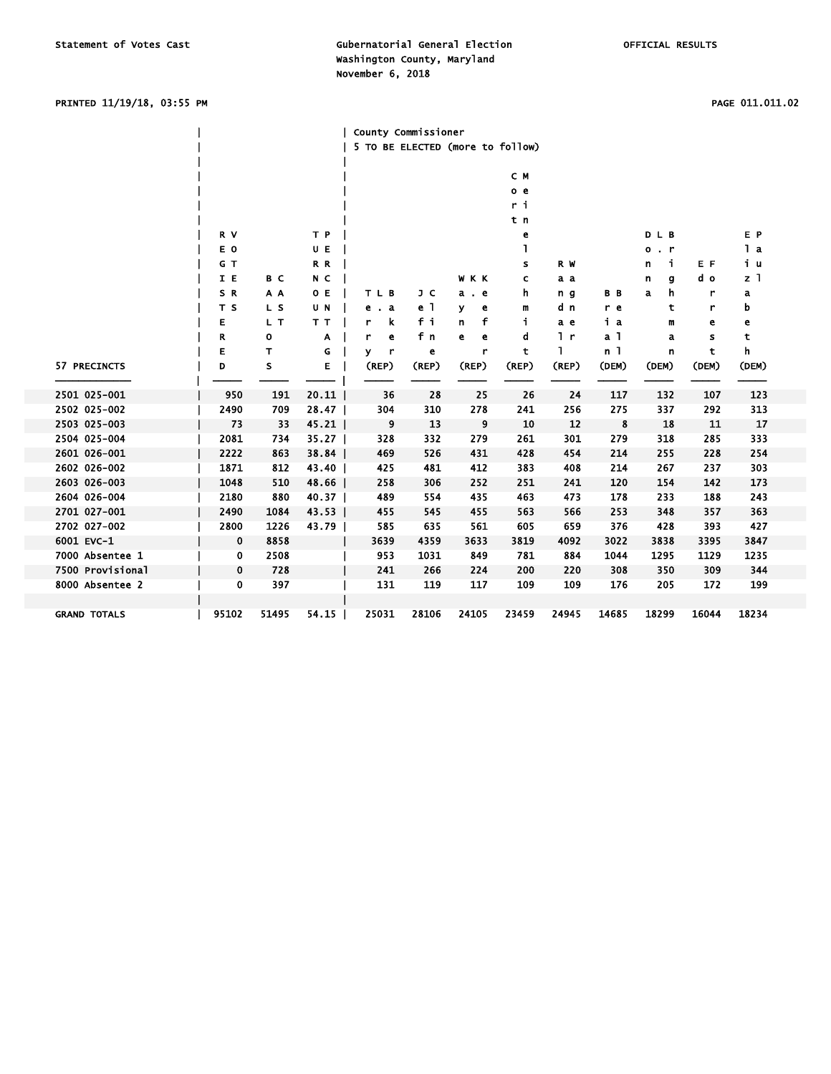| PRINTED 11/19/18, 03:55 PM |             |      |         |                                  |       |             |                |                |                |             |       | PAGE 011.011.02 |  |
|----------------------------|-------------|------|---------|----------------------------------|-------|-------------|----------------|----------------|----------------|-------------|-------|-----------------|--|
|                            |             |      |         | County Commissioner              |       |             |                |                |                |             |       |                 |  |
|                            |             |      |         | 5 TO BE ELECTED (more to follow) |       |             |                |                |                |             |       |                 |  |
|                            |             |      |         |                                  |       |             |                |                |                |             |       |                 |  |
|                            |             |      |         |                                  |       |             | C M            |                |                |             |       |                 |  |
|                            |             |      |         |                                  |       |             | o <sub>e</sub> |                |                |             |       |                 |  |
|                            |             |      |         |                                  |       |             | r i            |                |                |             |       |                 |  |
|                            |             |      |         |                                  |       |             | t n            |                |                |             |       |                 |  |
|                            | R V         |      | T P     |                                  |       |             | e              |                |                | DLB         |       | E P             |  |
|                            | E O         |      | U E     |                                  |       |             | $\mathbf{1}$   |                |                | 0. r        |       | 1a              |  |
|                            | G T         |      | R R     |                                  |       |             | s              | R W            |                | j.<br>n     | E F   | iu              |  |
|                            | I E         | B C  | N C     |                                  |       | W K K       | c              | a a            |                | n<br>g      | d o   | z <sub>1</sub>  |  |
|                            | SR          | A A  | 0E      | TLB                              | JС    | а. е        | h              | n g            | B B            | h<br>a      | r     | a               |  |
|                            | T S         | L S  | U N     | e . a                            | e 1   | У<br>e      | m              | d n            | r e            | t           | r     | b               |  |
|                            | E           | L T  | T T     | k<br>r                           | fi    | f<br>n      | i.             | a e            | iа             | m           | e     | е               |  |
|                            | R           | o    | Α       | r<br>e                           | fn    | e<br>e      | d              | 1 <sub>r</sub> | a <sub>1</sub> | a           | s     | t               |  |
|                            | Е           | T    | G       | r<br>v                           | e     | r           | t              | L              | n 1            | $\mathbf n$ | t     | h               |  |
| 57 PRECINCTS               | D           | s    | Е       | (REP)                            | (REP) | $($ REP $)$ | (REP)          | (REP)          | (DEM)          | (DEM)       | (DEM) | (DEM)           |  |
|                            |             |      |         |                                  |       |             |                |                |                |             |       |                 |  |
| 2501 025-001               | 950         | 191  | 20.11   | 36                               | 28    | 25          | 26             | 24             | 117            | 132         | 107   | 123             |  |
| 2502 025-002               | 2490        | 709  | $28.47$ | 304                              | 310   | 278         | 241            | 256            | 275            | 337         | 292   | 313             |  |
| 2503 025-003               | 73          | 33   | $45.21$ | 9                                | 13    | 9           | 10             | 12             | 8              | 18          | 11    | 17              |  |
| 2504 025-004               | 2081        | 734  | $35.27$ | 328                              | 332   | 279         | 261            | 301            | 279            | 318         | 285   | 333             |  |
| 2601 026-001               | 2222        | 863  | $38.84$ | 469                              | 526   | 431         | 428            | 454            | 214            | 255         | 228   | 254             |  |
| 2602 026-002               | 1871        | 812  | 43.40   | 425                              | 481   | 412         | 383            | 408            | 214            | 267         | 237   | 303             |  |
| 2603 026-003               | 1048        | 510  | 48.66   | 258                              | 306   | 252         | 251            | 241            | 120            | 154         | 142   | 173             |  |
| 2604 026-004               | 2180        | 880  | $40.37$ | 489                              | 554   | 435         | 463            | 473            | 178            | 233         | 188   | 243             |  |
| 2701 027-001               | 2490        | 1084 | $43.53$ | 455                              | 545   | 455         | 563            | 566            | 253            | 348         | 357   | 363             |  |
| 2702 027-002               | 2800        | 1226 | 43.79   | 585                              | 635   | 561         | 605            | 659            | 376            | 428         | 393   | 427             |  |
| 6001 EVC-1                 | $\mathbf 0$ | 8858 |         | 3639                             | 4359  | 3633        | 3819           | 4092           | 3022           | 3838        | 3395  | 3847            |  |
| 7000 Absentee 1            | 0           | 2508 |         | 953                              | 1031  | 849         | 781            | 884            | 1044           | 1295        | 1129  | 1235            |  |
| 7500 Provisional           | $\bf{0}$    | 728  |         | 241                              | 266   | 224         | 200            | 220            | 308            | 350         | 309   | 344             |  |
| 8000 Absentee 2            | $\mathbf 0$ | 397  |         | 131                              | 119   | 117         | 109            | 109            | 176            | 205         | 172   | 199             |  |
|                            |             |      |         |                                  |       |             |                |                |                |             |       |                 |  |

GRAND TOTALS │ 95102 51495 54.15 │ 25031 28106 24105 23459 24945 14685 18299 16044 18234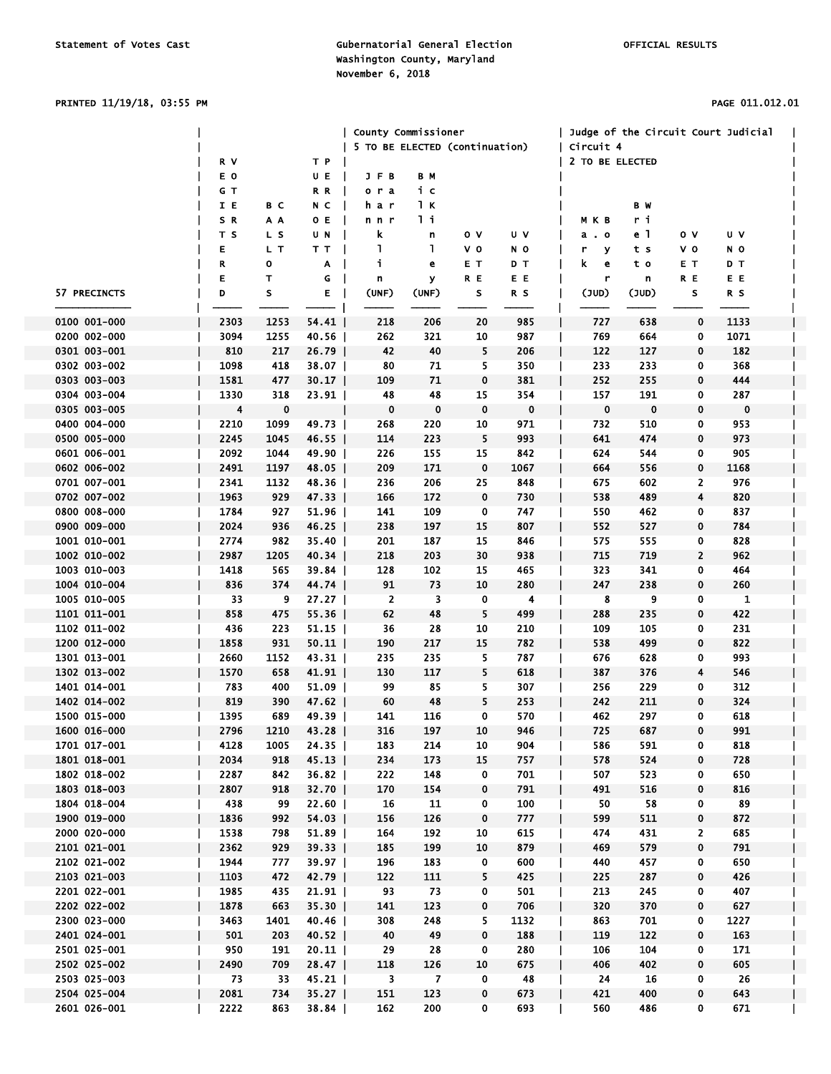### PRINTED 11/19/18, 03:55 PM PAGE 011.012.01

|              |      |      |                      | County Commissioner            |                |           |      |                 |       |                | Judge of the Circuit Court Judicial |  |
|--------------|------|------|----------------------|--------------------------------|----------------|-----------|------|-----------------|-------|----------------|-------------------------------------|--|
|              |      |      |                      | 5 TO BE ELECTED (continuation) |                |           |      | Circuit 4       |       |                |                                     |  |
|              | R V  |      | T P                  |                                |                |           |      | 2 TO BE ELECTED |       |                |                                     |  |
|              | E O  |      | UE                   | J F B                          | BМ             |           |      |                 |       |                |                                     |  |
|              | GТ   |      | R R                  | ora                            | iс             |           |      |                 |       |                |                                     |  |
|              | I E  | B C  | N C                  | har                            | 1 K            |           |      |                 | B W   |                |                                     |  |
|              | S R  | A A  | O E                  | nnr                            | l i            |           |      | мкв             | r i   |                |                                     |  |
|              | T S  | L S  | UN                   | k                              | n              | οv        | U V  | $a \cdot o$     | e 1   | o v            | U V                                 |  |
|              | E    | L T  | TТ<br>$\blacksquare$ | 1                              | $\mathbf{1}$   | v o       | N O  | r<br>У          | t s   | v o            | N O                                 |  |
|              | R    | О    | A                    | j.                             | e              | E T       | DT   | k.<br>e         | t o   | EТ             | D T                                 |  |
|              | E    |      |                      |                                |                |           |      |                 |       |                |                                     |  |
|              |      | т    | G                    | n                              | У              | R E       | E E  | r               | n     | R E            | ΕE                                  |  |
| 57 PRECINCTS | D    | s    | E                    | (UNF)                          | (UNF)          | s         | R S  | (JUD)           | (JUD) | s              | R S                                 |  |
| 0100 001-000 | 2303 | 1253 | 54.41                | 218                            | 206            | 20        | 985  | 727             | 638   | 0              | 1133                                |  |
| 0200 002-000 | 3094 | 1255 | 40.56                | 262                            | 321            | 10        | 987  | 769             | 664   | 0              | 1071                                |  |
| 0301 003-001 | 810  | 217  | $26.79$              | 42                             | 40             | 5         | 206  | 122             | 127   | 0              | 182                                 |  |
| 0302 003-002 | 1098 | 418  | 38.07                | 80                             | 71             | 5         | 350  | 233             | 233   | 0              | 368                                 |  |
| 0303 003-003 | 1581 | 477  | $30.17$              | 109                            | 71             | 0         | 381  | 252             | 255   | 0              | 444                                 |  |
| 0304 003-004 | 1330 | 318  | 23.91                | 48                             | 48             | 15        | 354  | 157             | 191   | 0              | 287                                 |  |
| 0305 003-005 | 4    | 0    |                      | 0                              | $\mathbf 0$    | 0         | 0    | 0               | 0     | 0              | 0                                   |  |
| 0400 004-000 | 2210 | 1099 | 49.73                | 268                            | 220            | 10        | 971  | 732             | 510   | 0              | 953                                 |  |
| 0500 005-000 | 2245 | 1045 | $46.55$              | 114                            | 223            | 5         | 993  | 641             | 474   | 0              | 973                                 |  |
| 0601 006-001 | 2092 | 1044 | 49.90                | 226                            | 155            | 15        | 842  | 624             | 544   | 0              | 905                                 |  |
| 0602 006-002 | 2491 | 1197 | $48.05$              | 209                            | 171            | 0         | 1067 | 664             | 556   | 0              | 1168                                |  |
| 0701 007-001 | 2341 | 1132 |                      | 236                            | 206            | 25        | 848  | 675             | 602   | 2              | 976                                 |  |
|              |      |      | 48.36                |                                |                |           |      |                 |       |                |                                     |  |
| 0702 007-002 | 1963 | 929  | 47.33                | 166                            | 172            | 0         | 730  | 538             | 489   | 4              | 820                                 |  |
| 0800 008-000 | 1784 | 927  | 51.96                | 141                            | 109            | 0         | 747  | 550             | 462   | 0              | 837                                 |  |
| 0900 009-000 | 2024 | 936  | $46.25$              | 238                            | 197            | 15        | 807  | 552             | 527   | 0              | 784                                 |  |
| 1001 010-001 | 2774 | 982  | 35.40                | 201                            | 187            | 15        | 846  | 575             | 555   | 0              | 828                                 |  |
| 1002 010-002 | 2987 | 1205 | $40.34$              | 218                            | 203            | 30        | 938  | 715             | 719   | $\overline{2}$ | 962                                 |  |
| 1003 010-003 | 1418 | 565  | 39.84 I              | 128                            | 102            | 15        | 465  | 323             | 341   | 0              | 464                                 |  |
| 1004 010-004 | 836  | 374  | 44.74                | 91                             | 73             | 10        | 280  | 247             | 238   | 0              | 260                                 |  |
| 1005 010-005 | 33   | 9    | $27.27$              | $\overline{2}$                 | 3              | 0         | 4    | 8               | 9     | 0              | 1                                   |  |
| 1101 011-001 | 858  | 475  | 55.36                | 62                             | 48             | 5         | 499  | 288             | 235   | 0              | 422                                 |  |
| 1102 011-002 | 436  | 223  | 51.15                | 36                             | 28             | 10        | 210  | 109             | 105   | 0              | 231                                 |  |
| 1200 012-000 | 1858 | 931  | $50.11$              | 190                            | 217            | 15        | 782  | 538             | 499   | 0              | 822                                 |  |
| 1301 013-001 | 2660 | 1152 | 43.31                | 235                            | 235            | 5         | 787  | 676             | 628   | 0              | 993                                 |  |
| 1302 013-002 | 1570 | 658  | 41.91                | 130                            | 117            | 5         | 618  | 387             | 376   | 4              | 546                                 |  |
| 1401 014-001 | 783  | 400  | 51.09                | 99                             | 85             | 5         | 307  | 256             | 229   | 0              | 312                                 |  |
| 1402 014-002 | 819  | 390  | $47.62$              | 60                             | 48             | 5         | 253  | 242             | 211   | 0              | 324                                 |  |
| 1500 015-000 | 1395 | 689  | 49.39                | 141                            | 116            | 0         | 570  | 462             | 297   | 0              | 618                                 |  |
| 1600 016-000 | 2796 | 1210 | 43.28                | 316                            | 197            | 10        | 946  | 725             | 687   | 0              | 991                                 |  |
| 1701 017-001 | 4128 | 1005 | $24.35$              | 183                            | 214            | 10        | 904  | 586             | 591   | 0              | 818                                 |  |
| 1801 018-001 | 2034 | 918  | $45.13$              | 234                            | 173            | 15        | 757  | 578             | 524   | 0              | 728                                 |  |
| 1802 018-002 | 2287 | 842  | $36.82$              | 222                            | 148            | 0         | 701  | 507             | 523   | 0              | 650                                 |  |
| 1803 018-003 | 2807 | 918  | $32.70$              | 170                            | 154            | 0         | 791  | 491             | 516   | 0              | 816                                 |  |
| 1804 018-004 | 438  | 99   | $22.60$              | 16                             | 11             | 0         | 100  | 50              | 58    | 0              | 89                                  |  |
| 1900 019-000 | 1836 | 992  | 54.03                | 156                            | 126            | 0         | 777  | 599             | 511   | 0              | 872                                 |  |
| 2000 020-000 | 1538 | 798  | 51.89                | 164                            | 192            | 10        | 615  | 474             | 431   | 2              | 685                                 |  |
|              |      |      |                      |                                |                |           |      |                 |       |                |                                     |  |
| 2101 021-001 | 2362 | 929  | $39.33$              | 185                            | 199            | 10        | 879  | 469             | 579   | 0              | 791                                 |  |
| 2102 021-002 | 1944 | 777  | $39.97$              | 196                            | 183            | 0         | 600  | 440             | 457   | 0              | 650                                 |  |
| 2103 021-003 | 1103 | 472  | 42.79                | 122                            | 111            | 5         | 425  | 225             | 287   | 0              | 426                                 |  |
| 2201 022-001 | 1985 | 435  | 21.91                | 93                             | 73             | 0         | 501  | 213             | 245   | 0              | 407                                 |  |
| 2202 022-002 | 1878 | 663  | $35.30$              | 141                            | 123            | 0         | 706  | 320             | 370   | 0              | 627                                 |  |
| 2300 023-000 | 3463 | 1401 | $40.46$              | 308                            | 248            | 5         | 1132 | 863             | 701   | 0              | 1227                                |  |
| 2401 024-001 | 501  | 203  | $40.52$              | 40                             | 49             | 0         | 188  | 119             | 122   | 0              | 163                                 |  |
| 2501 025-001 | 950  | 191  | $20.11$              | 29                             | 28             | 0         | 280  | 106             | 104   | 0              | 171                                 |  |
| 2502 025-002 | 2490 | 709  | 28.47                | 118                            | 126            | 10        | 675  | 406             | 402   | 0              | 605                                 |  |
| 2503 025-003 | 73   | 33   | 45.21                | 3                              | $\overline{7}$ | 0         | 48   | 24              | 16    | 0              | 26                                  |  |
| 2504 025-004 | 2081 | 734  | $35.27$              | 151                            | 123            | $\pmb{0}$ | 673  | 421             | 400   | 0              | 643                                 |  |
| 2601 026-001 | 2222 | 863  | 38.84                | 162                            | 200            | 0         | 693  | 560             | 486   | 0              | 671                                 |  |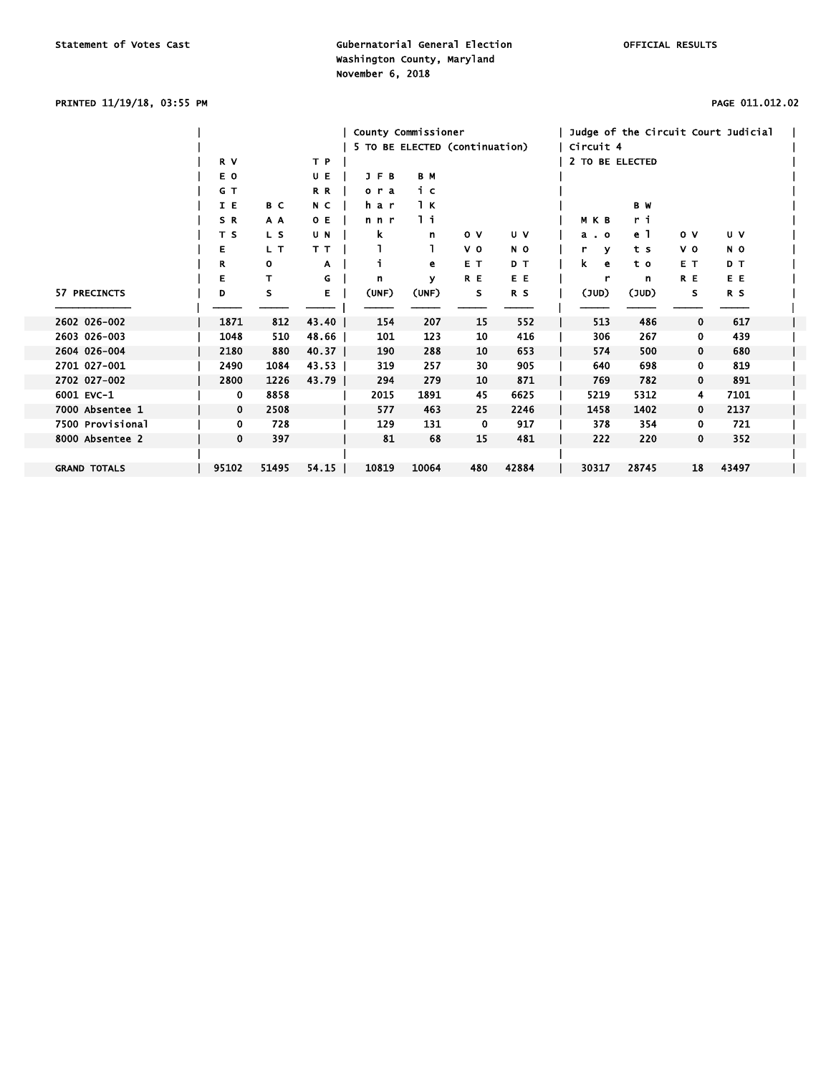# PRINTED 11/19/18, 03:55 PM PAGE 011.012.02

|                     |             |       |       | County Commissioner            |       |                |       |            |                 |                | Judge of the Circuit Court Judicial |  |
|---------------------|-------------|-------|-------|--------------------------------|-------|----------------|-------|------------|-----------------|----------------|-------------------------------------|--|
|                     |             |       |       | 5 TO BE ELECTED (continuation) |       |                |       | Circuit 4  |                 |                |                                     |  |
|                     | R V         |       | T P   |                                |       |                |       |            | 2 TO BE ELECTED |                |                                     |  |
|                     | E O         |       | UE    | J F B                          | B M   |                |       |            |                 |                |                                     |  |
|                     | G T         |       | R R   | ora                            | iс    |                |       |            |                 |                |                                     |  |
|                     | I E         | B C   | N C   | har                            | 1 K   |                |       |            | B W             |                |                                     |  |
|                     | SR          | A A   | O E   | n n r                          | li.   |                |       | <b>MKB</b> | ri              |                |                                     |  |
|                     | T S         | L S   | U N   | k                              | n     | 0 <sub>v</sub> | U V   | a . o      | e 1             | $\mathbf{o}$ v | U V                                 |  |
|                     | Е           | L T   | TТ    |                                |       | V <sub>O</sub> | N O   | У          | t s             | V <sub>0</sub> | N O                                 |  |
|                     | R           | 0     | A     |                                | е     | E T            | DT    | k.<br>e    | t o             | E T            | D T                                 |  |
|                     | Е           | т     | G     | n                              | ۷     | R E            | E E   | r          | n               | R E            | E E                                 |  |
| 57 PRECINCTS        | D           | s     | Е     | (UNF)                          | (UNF) | s              | R S   | (JUD)      | (JUD)           | s              | R <sub>S</sub>                      |  |
|                     |             |       |       |                                |       |                |       |            |                 |                |                                     |  |
| 2602 026-002        | 1871        | 812   | 43.40 | 154                            | 207   | 15             | 552   | 513        | 486             | 0              | 617                                 |  |
| 2603 026-003        | 1048        | 510   | 48.66 | 101                            | 123   | 10             | 416   | 306        | 267             | 0              | 439                                 |  |
| 2604 026-004        | 2180        | 880   | 40.37 | 190                            | 288   | 10             | 653   | 574        | 500             | 0              | 680                                 |  |
| 2701 027-001        | 2490        | 1084  | 43.53 | 319                            | 257   | 30             | 905   | 640        | 698             | 0              | 819                                 |  |
| 2702 027-002        | 2800        | 1226  | 43.79 | 294                            | 279   | 10             | 871   | 769        | 782             | 0              | 891                                 |  |
| 6001 EVC-1          | 0           | 8858  |       | 2015                           | 1891  | 45             | 6625  | 5219       | 5312            | 4              | 7101                                |  |
| 7000 Absentee 1     | $\mathbf 0$ | 2508  |       | 577                            | 463   | 25             | 2246  | 1458       | 1402            | 0              | 2137                                |  |
| 7500 Provisional    | 0           | 728   |       | 129                            | 131   | 0              | 917   | 378        | 354             | 0              | 721                                 |  |
| 8000 Absentee 2     | $\mathbf 0$ | 397   |       | 81                             | 68    | 15             | 481   | 222        | 220             | 0              | 352                                 |  |
|                     |             |       |       |                                |       |                |       |            |                 |                |                                     |  |
| <b>GRAND TOTALS</b> | 95102       | 51495 | 54.15 | 10819                          | 10064 | 480            | 42884 | 30317      | 28745           | 18             | 43497                               |  |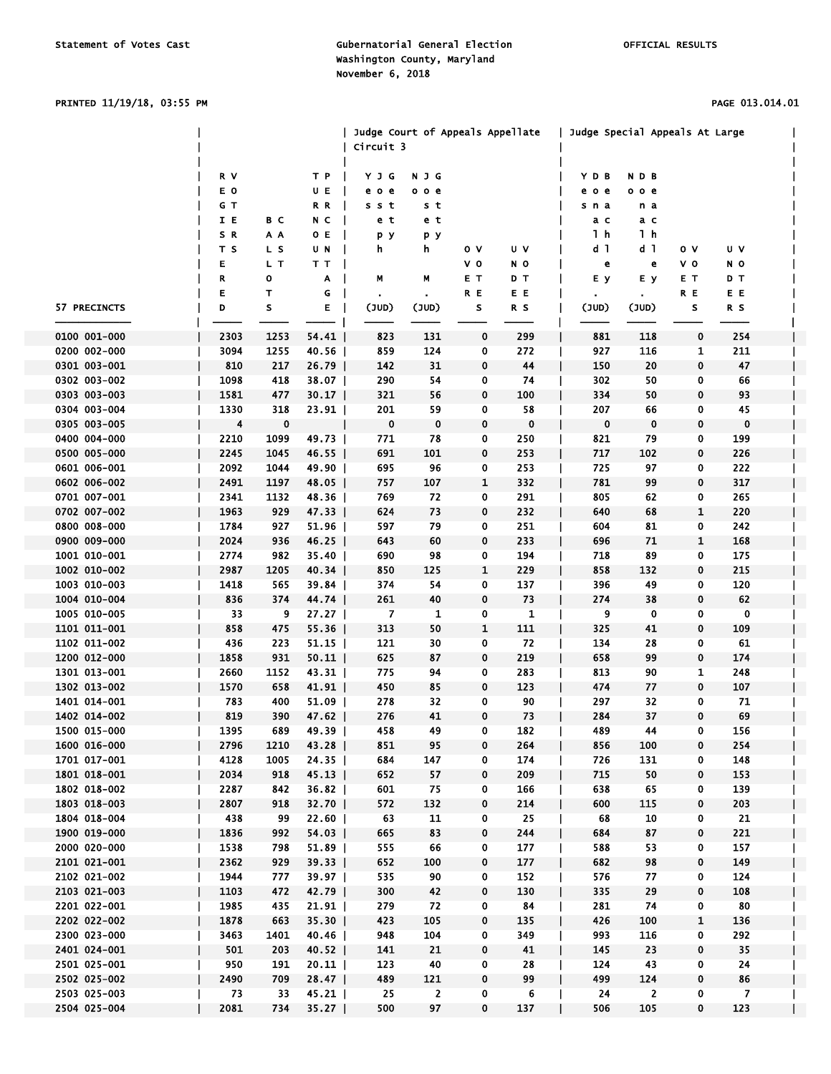### PRINTED 11/19/18, 03:55 PM PAGE 013.014.01

|                              |            |                  |                      | Judge Court of Appeals Appellate<br>Circuit 3 |                   |                |                | Judge Special Appeals At Large |                |                  |                   |  |
|------------------------------|------------|------------------|----------------------|-----------------------------------------------|-------------------|----------------|----------------|--------------------------------|----------------|------------------|-------------------|--|
|                              | R V        |                  | ТP                   | YJG                                           | <b>N J G</b>      |                |                | YDB                            | N D B          |                  |                   |  |
|                              | E O        |                  | UE                   | e o e                                         | $0$ $0$ $e$       |                |                | e o e                          | 00e            |                  |                   |  |
|                              | G T        |                  | R R                  | sst                                           | s t               |                |                | sna                            | n a            |                  |                   |  |
|                              | IE         | B C              | N C                  | e t                                           | e t               |                |                | a c                            | a c            |                  |                   |  |
|                              | SR         | A A              | O E                  | pу                                            | pу                |                |                | 1 h                            | 1 <sub>h</sub> |                  |                   |  |
|                              | T S        | L S              | U N                  | h.                                            | h.                | 0 <sub>V</sub> | U V            | d <sub>1</sub>                 | d <sub>1</sub> | οv               | υv                |  |
|                              | Е          | L T              | TТ                   |                                               |                   | v o            | N O            | e                              | e              | v o              | N O               |  |
|                              | R          | o                | Α                    | М                                             | M                 | EТ             | DT             | E y                            | E y            | EТ               | DТ                |  |
|                              | Е          | т                | G                    | $\blacksquare$                                | $\blacksquare$    | R E            | ΕE             | ٠                              | $\bullet$      | R E              | E E               |  |
| 57 PRECINCTS                 | D          | ${\sf s}$        | Е                    | (JUD)                                         | (JUD)             | s              | R <sub>S</sub> | (JUD)                          | (JUD)          | s                | R S               |  |
| 0100 001-000                 | 2303       | 1253             | 54.41                | 823                                           | 131               | 0              | 299            | 881                            | 118            | 0                | 254               |  |
| 0200 002-000                 | 3094       | 1255             | $40.56$              | 859                                           | 124               | 0              | 272            | 927                            | 116            | 1                | 211               |  |
| 0301 003-001                 | 810        | 217              | $26.79$              | 142                                           | 31                | 0              | 44             | 150                            | 20             | 0                | 47                |  |
| 0302 003-002                 | 1098       | 418              | 38.07                | 290                                           | 54                | 0              | 74             | 302                            | 50             | 0                | 66                |  |
| 0303 003-003                 | 1581       | 477              | $30.17$              | 321                                           | 56                | 0              | 100            | 334                            | 50             | $\bf{0}$         | 93                |  |
| 0304 003-004<br>0305 003-005 | 1330<br>4  | 318<br>$\pmb{0}$ | 23.91                | 201<br>0                                      | 59<br>$\mathbf 0$ | 0<br>0         | 58<br>0        | 207<br>0                       | 66<br>0        | 0<br>0           | 45<br>$\mathbf 0$ |  |
| 0400 004-000                 | 2210       | 1099             | 49.73                | 771                                           | 78                | 0              | 250            | 821                            | 79             | 0                | 199               |  |
| 0500 005-000                 | 2245       | 1045             | $46.55$              | 691                                           | 101               | 0              | 253            | 717                            | 102            | 0                | 226               |  |
| 0601 006-001                 | 2092       | 1044             | 49.90                | 695                                           | 96                | 0              | 253            | 725                            | 97             | 0                | 222               |  |
| 0602 006-002                 | 2491       | 1197             | $48.05$              | 757                                           | 107               | 1              | 332            | 781                            | 99             | $\mathbf 0$      | 317               |  |
| 0701 007-001                 | 2341       | 1132             | 48.36                | 769                                           | 72                | 0              | 291            | 805                            | 62             | 0                | 265               |  |
| 0702 007-002                 | 1963       | 929              | 47.33                | 624                                           | 73                | 0              | 232            | 640                            | 68             | 1                | 220               |  |
| 0800 008-000                 | 1784       | 927              | $51.96$              | 597                                           | 79                | 0              | 251            | 604                            | 81             | 0                | 242               |  |
| 0900 009-000                 | 2024       | 936              | $46.25$              | 643                                           | 60                | 0              | 233            | 696                            | 71             | $\mathbf{1}$     | 168               |  |
| 1001 010-001                 | 2774       | 982              | $35.40$              | 690                                           | 98                | 0              | 194            | 718                            | 89             | 0                | 175               |  |
| 1002 010-002                 | 2987       | 1205             | 40.34                | 850                                           | 125               | 1              | 229            | 858                            | 132            | 0                | 215               |  |
| 1003 010-003                 | 1418       | 565              | 39.84                | 374                                           | 54                | 0              | 137            | 396                            | 49             | 0                | 120               |  |
| 1004 010-004                 | 836        | 374              | 44.74                | 261                                           | 40                | 0              | 73             | 274                            | 38             | 0                | 62                |  |
| 1005 010-005                 | 33         | 9                | $27.27$              | $\overline{7}$                                | 1                 | 0              | 1              | 9                              | 0              | 0                | 0                 |  |
| 1101 011-001                 | 858        | 475              | $55.36$              | 313                                           | 50                | 1              | 111            | 325                            | 41             | 0                | 109               |  |
| 1102 011-002                 | 436        | 223              | $51.15$              | 121                                           | 30                | 0              | 72             | 134                            | 28             | 0                | 61                |  |
| 1200 012-000                 | 1858       | 931              | $50.11$              | 625                                           | 87                | 0              | 219            | 658                            | 99             | 0                | 174               |  |
| 1301 013-001                 | 2660       | 1152             | $43.31$              | 775                                           | 94                | 0              | 283            | 813                            | 90             | 1                | 248               |  |
| 1302 013-002                 | 1570       | 658              | 41.91                | 450                                           | 85                | 0              | 123            | 474                            | 77             | $\mathbf 0$      | 107               |  |
| 1401 014-001<br>1402 014-002 | 783<br>819 | 400<br>390       | $51.09$  <br>$47.62$ | 278<br>276                                    | 32<br>41          | 0<br>0         | 90<br>73       | 297<br>284                     | 32<br>37       | 0<br>$\mathbf 0$ | 71<br>69          |  |
| 1500 015-000                 | 1395       | 689              | 49.39                | 458                                           | 49                | 0              | 182            | 489                            | 44             | $\mathbf 0$      | 156               |  |
| 1600 016-000                 | 2796       | 1210             | 43.28                | 851                                           | 95                | 0              | 264            | 856                            | 100            | 0                | 254               |  |
| 1701 017-001                 | 4128       | 1005             | 24.35                | 684                                           | 147               | 0              | 174            | 726                            | 131            | 0                | 148               |  |
| 1801 018-001                 | 2034       | 918              | 45.13                | 652                                           | 57                | 0              | 209            | 715                            | 50             | 0                | 153               |  |
| 1802 018-002                 | 2287       | 842              | 36.82                | 601                                           | 75                | 0              | 166            | 638                            | 65             | 0                | 139               |  |
| 1803 018-003                 | 2807       | 918              | $32.70$              | 572                                           | 132               | 0              | 214            | 600                            | 115            | 0                | 203               |  |
| 1804 018-004                 | 438        | 99               | $22.60$              | 63                                            | 11                | 0              | 25             | 68                             | 10             | 0                | 21                |  |
| 1900 019-000                 | 1836       | 992              | 54.03                | 665                                           | 83                | 0              | 244            | 684                            | 87             | 0                | 221               |  |
| 2000 020-000                 | 1538       | 798              | 51.89                | 555                                           | 66                | 0              | 177            | 588                            | 53             | 0                | 157               |  |
| 2101 021-001                 | 2362       | 929              | $39.33$              | 652                                           | 100               | 0              | 177            | 682                            | 98             | 0                | 149               |  |
| 2102 021-002                 | 1944       | 777              | 39.97                | 535                                           | 90                | 0              | 152            | 576                            | 77             | 0                | 124               |  |
| 2103 021-003                 | 1103       | 472              | 42.79                | 300                                           | 42                | 0              | 130            | 335                            | 29             | $\pmb{0}$        | 108               |  |
| 2201 022-001                 | 1985       | 435              | 21.91                | 279                                           | 72                | 0              | 84             | 281                            | 74             | 0                | 80                |  |
| 2202 022-002                 | 1878       | 663              | $35.30$              | 423                                           | 105               | 0              | 135            | 426                            | 100            | $\mathbf{1}$     | 136               |  |
| 2300 023-000                 | 3463       | 1401             | $40.46$              | 948                                           | 104               | 0              | 349            | 993                            | 116            | 0                | 292               |  |
| 2401 024-001                 | 501        | 203              | $40.52$              | 141                                           | 21                | 0              | 41             | 145                            | 23             | 0                | 35                |  |
| 2501 025-001                 | 950        | 191              | $20.11$              | 123                                           | 40                | 0              | 28             | 124<br>499                     | 43             | 0                | 24                |  |
| 2502 025-002<br>2503 025-003 | 2490<br>73 | 709<br>33        | 28.47<br>$45.21$     | 489<br>25                                     | 121<br>2          | 0<br>0         | 99<br>6        | 24                             | 124<br>2       | 0<br>0           | 86<br>7           |  |
| 2504 025-004                 | 2081       | 734              | $35.27$              | 500                                           | 97                | 0              | 137            | 506                            | 105            | 0                | 123               |  |
|                              |            |                  |                      |                                               |                   |                |                |                                |                |                  |                   |  |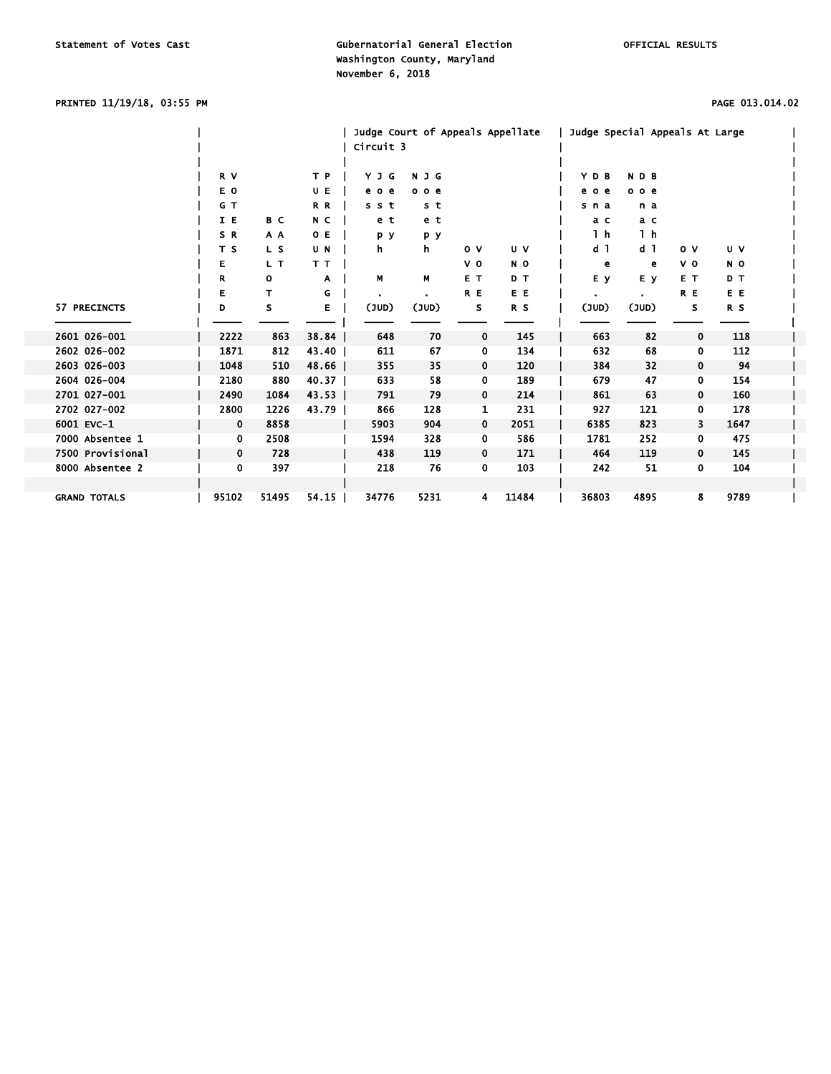# PRINTED 11/19/18, 03:55 PM PAGE 013.014.02

|                     |             |       |         | Judge Court of Appeals Appellate |                |                |       |       | Judge Special Appeals At Large |                |      |  |
|---------------------|-------------|-------|---------|----------------------------------|----------------|----------------|-------|-------|--------------------------------|----------------|------|--|
|                     |             |       |         | Circuit 3                        |                |                |       |       |                                |                |      |  |
|                     |             |       |         |                                  |                |                |       |       |                                |                |      |  |
|                     | R V         |       | T P     | YJG                              | N J G          |                |       | YDB   | NDB                            |                |      |  |
|                     | E O         |       | U E     | e<br>e o                         | ooe            |                |       | e o e | 00e                            |                |      |  |
|                     | G T         |       | R R     | sst                              | st             |                |       | sna   | n a                            |                |      |  |
|                     | I E         | B C   | N C     | e t                              | e t            |                |       | a c   | a c                            |                |      |  |
|                     | SR          | A A   | O E     | pу                               | pу             |                |       | 1h    | 1 h                            |                |      |  |
|                     | T S         | L S   | U N     | h                                | h              | 0 <sub>v</sub> | U V   | d 1   | d 1                            | 0 <sub>v</sub> | U V  |  |
|                     | Е           | L T   | TТ      |                                  |                | V <sub>0</sub> | N O   | e     | e                              | V <sub>0</sub> | N O  |  |
|                     |             |       |         |                                  |                | E T            | D T   |       |                                | E T            | D T  |  |
|                     | R           | 0     | A       | М                                | М              |                |       | E y   | E y                            |                |      |  |
|                     | Е           | т     | G       |                                  | $\blacksquare$ | R E            | E E   |       |                                | R E            | E E  |  |
| 57 PRECINCTS        | D           | s     | Е       | (JUD)                            | (JUD)          | s              | R S   | (JUD) | (JUD)                          | s              | R S  |  |
|                     |             |       |         |                                  |                |                |       |       |                                |                |      |  |
| 2601 026-001        | 2222        | 863   | 38.84   | 648                              | 70             | 0              | 145   | 663   | 82                             | $\mathbf 0$    | 118  |  |
| 2602 026-002        | 1871        | 812   | 43.40   | 611                              | 67             | 0              | 134   | 632   | 68                             | 0              | 112  |  |
| 2603 026-003        | 1048        | 510   | 48.66   | 355                              | 35             | 0              | 120   | 384   | 32                             | 0              | 94   |  |
| 2604 026-004        | 2180        | 880   | 40.37   | 633                              | 58             | 0              | 189   | 679   | 47                             | $\mathbf 0$    | 154  |  |
| 2701 027-001        | 2490        | 1084  | $43.53$ | 791                              | 79             | 0              | 214   | 861   | 63                             | $\mathbf{0}$   | 160  |  |
| 2702 027-002        | 2800        | 1226  | 43.79   | 866                              | 128            | 1              | 231   | 927   | 121                            | 0              | 178  |  |
| 6001 EVC-1          | $\mathbf 0$ | 8858  |         | 5903                             | 904            | 0              | 2051  | 6385  | 823                            | 3              | 1647 |  |
| 7000 Absentee 1     | 0           | 2508  |         | 1594                             | 328            | 0              | 586   | 1781  | 252                            | 0              | 475  |  |
| 7500 Provisional    | 0           | 728   |         | 438                              | 119            | 0              | 171   | 464   | 119                            | 0              | 145  |  |
| 8000 Absentee 2     | 0           | 397   |         | 218                              | 76             | 0              | 103   | 242   | 51                             | 0              | 104  |  |
|                     |             |       |         |                                  |                |                |       |       |                                |                |      |  |
| <b>GRAND TOTALS</b> | 95102       | 51495 | 54.15   | 34776                            | 5231           | 4              | 11484 | 36803 | 4895                           | 8              | 9789 |  |
|                     |             |       |         |                                  |                |                |       |       |                                |                |      |  |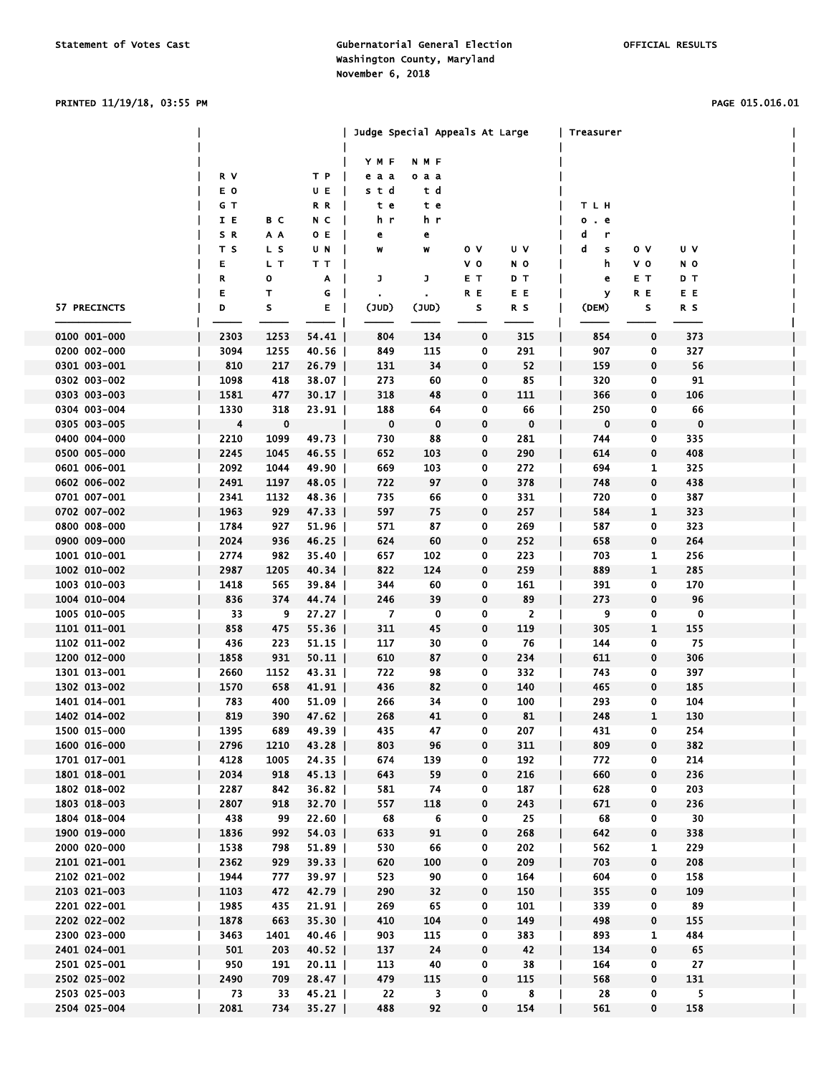### PRINTED 11/19/18, 03:55 PM PAGE 015.016.01

|                              |             |            |                  | Judge Special Appeals At Large |                         |        |            | Treasurer   |             |             |  |
|------------------------------|-------------|------------|------------------|--------------------------------|-------------------------|--------|------------|-------------|-------------|-------------|--|
|                              |             |            |                  |                                |                         |        |            |             |             |             |  |
|                              |             |            |                  | YMF                            | <b>NMF</b>              |        |            |             |             |             |  |
|                              | R V         |            | T P              | e a a                          | o a a                   |        |            |             |             |             |  |
|                              | E O<br>G T  |            | UE<br>R R        | std<br>t e                     | t d                     |        |            | <b>TLH</b>  |             |             |  |
|                              |             | вс         | N C              | h r                            | t e<br>h r              |        |            | $0$ . $e$   |             |             |  |
|                              | I E<br>S R  |            | O E              |                                |                         |        |            | d<br>r      |             |             |  |
|                              | T S         | A A<br>L S | U N              | e<br>W                         | e<br>W                  | 0 V    | υv         | d<br>s      | οv          | U V         |  |
|                              | E           | L T        | T T              |                                |                         | v o    | N O        | h           | v o         | NO.         |  |
|                              | R           | о          | A                | J                              | J                       | EТ     | DТ         | е           | EТ          | DТ          |  |
|                              | E           | т          | G                |                                |                         | R E    | E E        | У           | R E         | E E         |  |
| 57 PRECINCTS                 | D           | s          | E                | (JUD)                          | (JUD)                   | s      | R S        | (DEM)       | S           | R S         |  |
|                              |             |            |                  |                                |                         |        |            |             |             |             |  |
| 0100 001-000                 | 2303        | 1253       | 54.41            | 804                            | 134                     | 0      | 315        | 854         | 0           | 373         |  |
| 0200 002-000                 | 3094        | 1255       | $40.56$          | 849                            | 115                     | 0      | 291        | 907         | 0           | 327         |  |
| 0301 003-001                 | 810         | 217        | $26.79$          | 131                            | 34                      | 0      | 52         | 159         | 0           | 56          |  |
| 0302 003-002                 | 1098        | 418        | 38.07            | 273                            | 60                      | 0      | 85         | 320         | 0           | 91          |  |
| 0303 003-003                 | 1581        | 477        | $30.17$          | 318                            | 48                      | 0      | 111        | 366         | 0           | 106         |  |
| 0304 003-004                 | 1330        | 318        | 23.91            | 188                            | 64                      | 0      | 66         | 250         | 0           | 66          |  |
| 0305 003-005                 | 4           | $\pmb{0}$  |                  | 0                              | 0                       | 0      | 0          | $\mathbf 0$ | 0           | $\mathbf 0$ |  |
| 0400 004-000                 | 2210        | 1099       | 49.73            | 730                            | 88                      | 0      | 281        | 744         | 0           | 335         |  |
| 0500 005-000                 | 2245        | 1045       | $46.55$          | 652                            | 103                     | 0      | 290        | 614         | 0           | 408         |  |
| 0601 006-001                 | 2092        | 1044       | 49.90            | 669                            | 103                     | 0      | 272        | 694         | 1           | 325         |  |
| 0602 006-002                 | 2491        | 1197       | 48.05            | 722                            | 97                      | 0      | 378        | 748         | 0           | 438         |  |
| 0701 007-001                 | 2341        | 1132       | $48.36$          | 735                            | 66                      | 0      | 331        | 720         | 0           | 387         |  |
| 0702 007-002                 | 1963        | 929        | $47.33$          | 597                            | 75                      | 0      | 257        | 584         | 1           | 323         |  |
| 0800 008-000                 | 1784        | 927        | 51.96            | 571                            | 87                      | 0      | 269        | 587         | 0           | 323         |  |
| 0900 009-000                 | 2024        | 936        | $46.25$          | 624                            | 60                      | 0      | 252        | 658         | 0           | 264         |  |
| 1001 010-001                 | 2774        | 982        | 35.40            | 657                            | 102                     | 0      | 223        | 703         | 1           | 256         |  |
| 1002 010-002                 | 2987        | 1205       | $40.34$          | 822                            | 124                     | 0      | 259        | 889         | 1           | 285         |  |
| 1003 010-003                 | 1418        | 565        | 39.84            | 344                            | 60                      | 0      | 161        | 391         | 0           | 170         |  |
| 1004 010-004                 | 836         | 374        | 44.74            | 246                            | 39                      | 0      | 89         | 273         | 0           | 96          |  |
| 1005 010-005                 | 33          | 9          | $27.27$          | 7                              | 0                       | 0      | 2          | 9           | 0           | 0           |  |
| 1101 011-001                 | 858         | 475        | $55.36$          | 311                            | 45                      | 0      | 119        | 305         | 1           | 155         |  |
| 1102 011-002                 | 436         | 223        | $51.15$          | 117                            | 30                      | 0      | 76         | 144         | 0           | 75          |  |
| 1200 012-000                 | 1858        | 931        | $50.11$          | 610                            | 87                      | 0      | 234        | 611         | 0           | 306         |  |
| 1301 013-001                 | 2660        | 1152       | $43.31$          | 722                            | 98                      | 0      | 332        | 743         | 0           | 397         |  |
| 1302 013-002<br>1401 014-001 | 1570<br>783 | 658<br>400 | 41.91            | 436<br>266                     | 82<br>34                | 0      | 140<br>100 | 465<br>293  | 0           | 185<br>104  |  |
| 1402 014-002                 | 819         | 390        | 51.09  <br>47.62 | 268                            | 41                      | 0<br>0 | 81         | 248         | 0<br>1      | 130         |  |
| 1500 015-000                 | 1395        | 689        | 49.39            | 435                            | 47                      | 0      | 207        | 431         | 0           | 254         |  |
| 1600 016-000                 | 2796        | 1210       | 43.28            | 803                            | 96                      | 0      | 311        | 809         | 0           | 382         |  |
| 1701 017-001                 | 4128        | 1005       | $24.35$          | 674                            | 139                     | 0      | 192        | 772         | 0           | 214         |  |
| 1801 018-001                 | 2034        | 918        | $45.13$          | 643                            | 59                      | 0      | 216        | 660         | 0           | 236         |  |
| 1802 018-002                 | 2287        | 842        | $36.82$          | 581                            | 74                      | 0      | 187        | 628         | 0           | 203         |  |
| 1803 018-003                 | 2807        | 918        | 32.70            | 557                            | 118                     | 0      | 243        | 671         | 0           | 236         |  |
| 1804 018-004                 | 438         | 99         | $22.60$          | - 68                           | 6                       | 0      | 25         | 68          | 0           | 30          |  |
| 1900 019-000                 | 1836        | 992        | $54.03$          | 633                            | 91                      | 0      | 268        | 642         | 0           | 338         |  |
| 2000 020-000                 | 1538        | 798        | $51.89$          | 530                            | 66                      | 0      | 202        | 562         | 1           | 229         |  |
| 2101 021-001                 | 2362        | 929        | $39.33$          | 620                            | 100                     | 0      | 209        | 703         | $\mathbf 0$ | 208         |  |
| 2102 021-002                 | 1944        | 777        | 39.97            | 523                            | 90                      | 0      | 164        | 604         | 0           | 158         |  |
| 2103 021-003                 | 1103        | 472        | $42.79$          | 290                            | 32                      | 0      | 150        | 355         | 0           | 109         |  |
| 2201 022-001                 | 1985        | 435        | 21.91            | 269                            | 65                      | 0      | 101        | 339         | 0           | 89          |  |
| 2202 022-002                 | 1878        | 663        | $35.30$          | 410                            | 104                     | 0      | 149        | 498         | 0           | 155         |  |
| 2300 023-000                 | 3463        | 1401       | $40.46$          | 903                            | 115                     | 0      | 383        | 893         | 1           | 484         |  |
| 2401 024-001                 | 501         | 203        | $40.52$          | 137                            | 24                      | 0      | 42         | 134         | 0           | 65          |  |
| 2501 025-001                 | 950         | 191        | $20.11$          | 113                            | 40                      | 0      | 38         | 164         | 0           | 27          |  |
| 2502 025-002                 | 2490        | 709        | 28.47            | 479                            | 115                     | 0      | 115        | 568         | 0           | 131         |  |
| 2503 025-003                 | 73          |            | 33 45.21         | 22                             | $\overline{\mathbf{3}}$ | 0      | 8          | 28          | 0           | $-5$        |  |

2504 025-004 │ 2081 734 35.27 │ 488 92 0 154 │ 561 0 158 │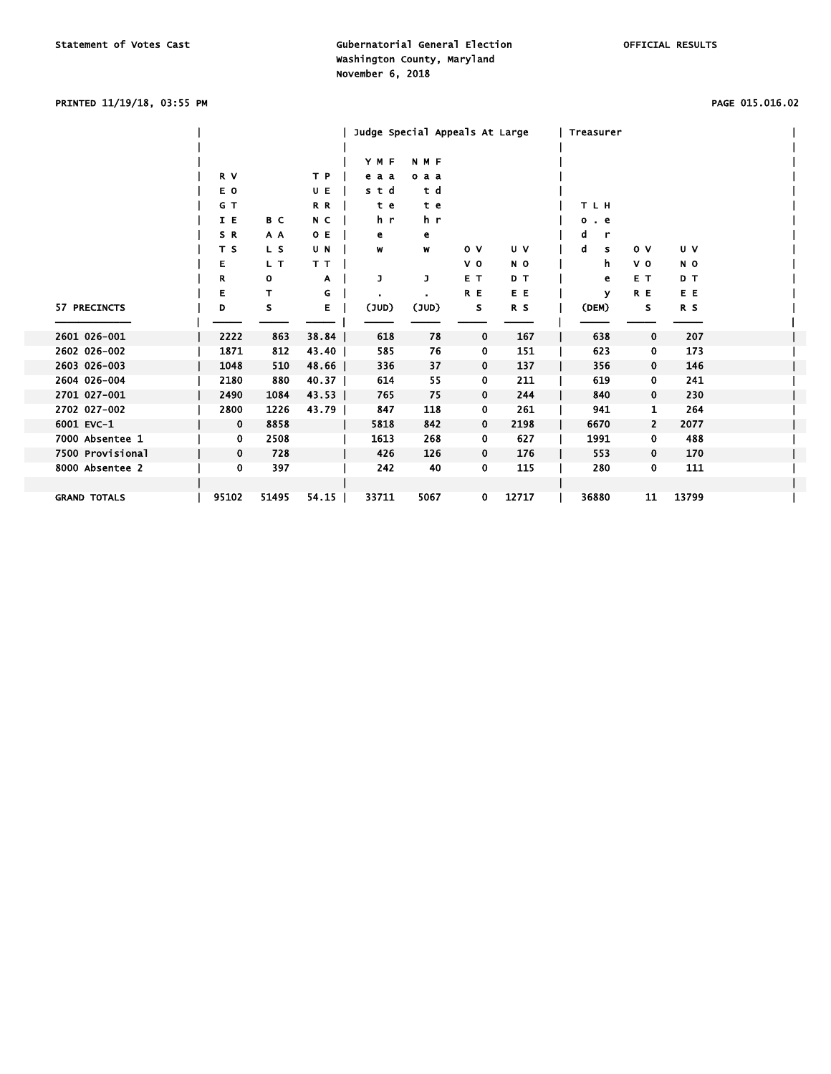# PRINTED 11/19/18, 03:55 PM PAGE 015.016.02

|                     |             |       |         |       | Judge Special Appeals At Large |                |       | Treasurer  |                |       |  |
|---------------------|-------------|-------|---------|-------|--------------------------------|----------------|-------|------------|----------------|-------|--|
|                     |             |       |         |       |                                |                |       |            |                |       |  |
|                     |             |       |         | YMF   | N M F                          |                |       |            |                |       |  |
|                     | R V         |       | T P     | e a a | o a a                          |                |       |            |                |       |  |
|                     | E O         |       | UE      | std   | t d                            |                |       |            |                |       |  |
|                     | G T         |       | R R     | te    | te                             |                |       | <b>TLH</b> |                |       |  |
|                     | I E         | B C   | N C     | h r   | h r                            |                |       | . е<br>۰   |                |       |  |
|                     | SR          | A A   | 0 E     | е     | е                              |                |       | r<br>d     |                |       |  |
|                     | T S         | L S   | U N     | W     | W                              | 0 <sub>v</sub> | U V   | d<br>s     | 0 <sub>v</sub> | U V   |  |
|                     | Е           | L T   | TТ      |       |                                | V <sub>O</sub> | N O   | h          | v o            | N O   |  |
|                     | R           | 0     | A       | J     | J                              | E T            | D T   | е          | E T            | D T   |  |
|                     | Е           | т     | G       |       |                                | R E            | E E   | ۷          | R E            | E E   |  |
| 57 PRECINCTS        | D           | s     | E.      | (JUD) | (JUD)                          | s              | R S   | (DEM)      | s              | R S   |  |
|                     |             |       |         |       |                                |                |       |            |                |       |  |
| 2601 026-001        | 2222        | 863   | 38.84   | 618   | 78                             | 0              | 167   | 638        | $\mathbf 0$    | 207   |  |
| 2602 026-002        | 1871        | 812   | 43.40   | 585   | 76                             | 0              | 151   | 623        | 0              | 173   |  |
| 2603 026-003        | 1048        | 510   | 48.66   | 336   | 37                             | 0              | 137   | 356        | 0              | 146   |  |
| 2604 026-004        | 2180        | 880   | 40.37   | 614   | 55                             | 0              | 211   | 619        | 0              | 241   |  |
| 2701 027-001        | 2490        | 1084  | $43.53$ | 765   | 75                             | 0              | 244   | 840        | 0              | 230   |  |
| 2702 027-002        | 2800        | 1226  | 43.79   | 847   | 118                            | 0              | 261   | 941        | 1              | 264   |  |
| 6001 EVC-1          | $\mathbf 0$ | 8858  |         | 5818  | 842                            | 0              | 2198  | 6670       | $\overline{2}$ | 2077  |  |
| 7000 Absentee 1     | 0           | 2508  |         | 1613  | 268                            | 0              | 627   | 1991       | $\mathbf 0$    | 488   |  |
| 7500 Provisional    | 0           | 728   |         | 426   | 126                            | 0              | 176   | 553        | 0              | 170   |  |
| 8000 Absentee 2     | 0           | 397   |         | 242   | 40                             | 0              | 115   | 280        | 0              | 111   |  |
|                     |             |       |         |       |                                |                |       |            |                |       |  |
| <b>GRAND TOTALS</b> | 95102       | 51495 | 54.15   | 33711 | 5067                           | 0              | 12717 | 36880      | 11             | 13799 |  |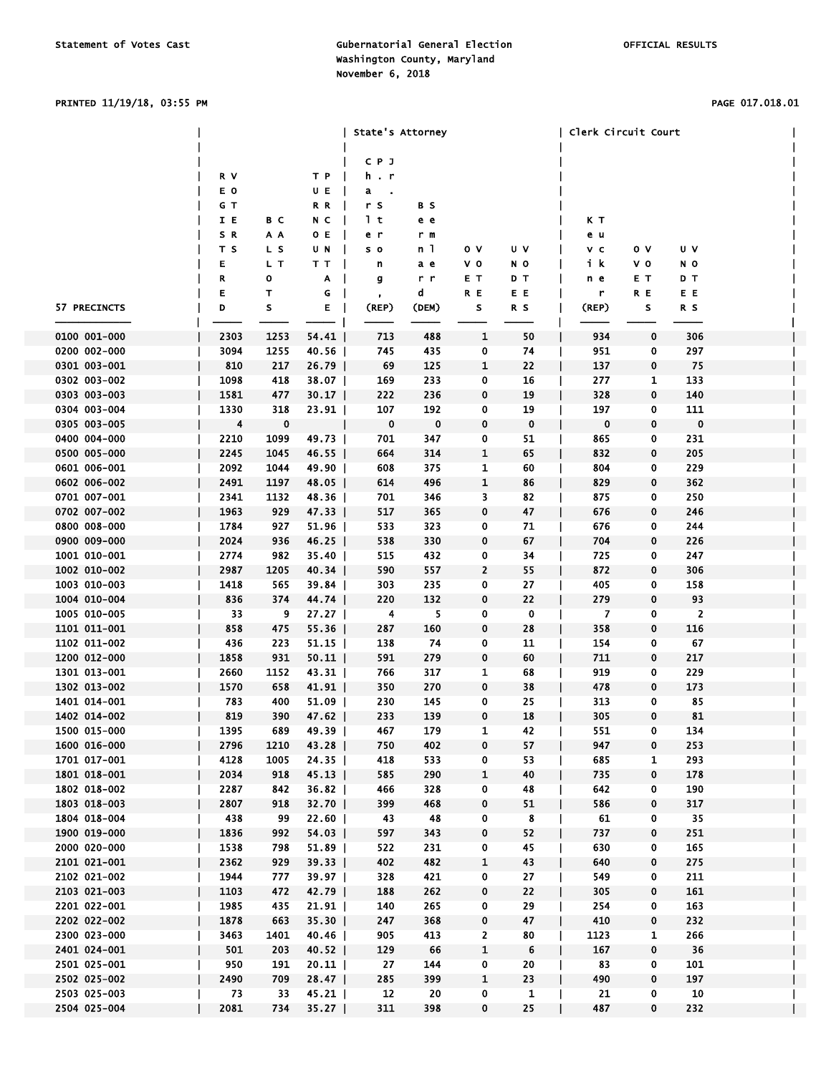# PRINTED 11/19/18, 03:55 PM PAGE 017.018.01

|              |      |           |         | State's Attorney      |             |                |     | Clerk Circuit Court |             |                |  |
|--------------|------|-----------|---------|-----------------------|-------------|----------------|-----|---------------------|-------------|----------------|--|
|              |      |           |         | CP J                  |             |                |     |                     |             |                |  |
|              | R V  |           | ТP      | h.r                   |             |                |     |                     |             |                |  |
|              | E O  |           | UE      | a<br>$\sim$ 100 $\pm$ |             |                |     |                     |             |                |  |
|              | G T  |           | R R     | r S                   | B S         |                |     |                     |             |                |  |
|              | IE   | B C       | N C     | 1 t                   | e e         |                |     | K T                 |             |                |  |
|              | S R  | A A       | 0 E     | e r                   | r m         |                |     | e u                 |             |                |  |
|              | T S  | L S       | UΝ      | s o                   | n 1         | o v            | U V | v c                 | οv          | U V            |  |
|              | E    | L T       | тт      | n                     | аe          | v o            | N O | ik                  | vο          | NO.            |  |
|              | R    | о         | A       | g                     | r r         | EТ             | DT  | n e                 | EТ          | D T            |  |
|              | E    | т         | G       | $\mathbf{r}$          | d           | R E            | E E | r                   | R E         | E E            |  |
| 57 PRECINCTS | D    | s         | E       | (REP)                 | (DEM)       | s              | R S | (REP)               | S           | R S            |  |
| 0100 001-000 | 2303 | 1253      | 54.41   | 713                   | 488         | 1              | 50  | 934                 | 0           | 306            |  |
| 0200 002-000 | 3094 | 1255      | 40.56   | 745                   | 435         | 0              | 74  | 951                 | 0           | 297            |  |
| 0301 003-001 | 810  | 217       | 26.79   | 69                    | 125         | 1              | 22  | 137                 | 0           | 75             |  |
| 0302 003-002 | 1098 | 418       | 38.07   | 169                   | 233         | 0              | 16  | 277                 | 1           | 133            |  |
| 0303 003-003 | 1581 | 477       | $30.17$ | 222                   | 236         | 0              | 19  | 328                 | 0           | 140            |  |
| 0304 003-004 | 1330 | 318       | 23.91   | 107                   | 192         | 0              | 19  | 197                 | 0           | 111            |  |
| 0305 003-005 | 4    | $\pmb{0}$ |         | 0                     | $\mathbf 0$ | 0              | 0   | $\bf{0}$            | 0           | 0              |  |
| 0400 004-000 | 2210 | 1099      | 49.73   | 701                   | 347         | 0              | 51  | 865                 | 0           | 231            |  |
| 0500 005-000 | 2245 | 1045      | 46.55   | 664                   | 314         | 1              | 65  | 832                 | 0           | 205            |  |
| 0601 006-001 | 2092 | 1044      | 49.90   | 608                   | 375         | 1              | 60  | 804                 | 0           | 229            |  |
| 0602 006-002 | 2491 | 1197      | 48.05   | 614                   | 496         | $\mathbf{1}$   | 86  | 829                 | 0           | 362            |  |
| 0701 007-001 | 2341 | 1132      | 48.36   | 701                   | 346         | 3              | 82  | 875                 | 0           | 250            |  |
| 0702 007-002 | 1963 | 929       | 47.33   | 517                   | 365         | 0              | 47  | 676                 | 0           | 246            |  |
| 0800 008-000 | 1784 | 927       | 51.96   | 533                   | 323         | 0              | 71  | 676                 | 0           | 244            |  |
| 0900 009-000 | 2024 | 936       | $46.25$ | 538                   | 330         | 0              | 67  | 704                 | 0           | 226            |  |
| 1001 010-001 | 2774 | 982       | 35.40   | 515                   | 432         | 0              | 34  | 725                 | 0           | 247            |  |
| 1002 010-002 | 2987 | 1205      | $40.34$ | 590                   | 557         | $\overline{2}$ | 55  | 872                 | 0           | 306            |  |
| 1003 010-003 | 1418 | 565       | 39.84   | 303                   | 235         | 0              | 27  | 405                 | 0           | 158            |  |
| 1004 010-004 | 836  | 374       | 44.74   | 220                   | 132         | 0              | 22  | 279                 | 0           | 93             |  |
| 1005 010-005 | 33   | 9         | 27.27   | 4                     | 5           | 0              | 0   | 7                   | 0           | $\overline{2}$ |  |
| 1101 011-001 | 858  | 475       | 55.36   | 287                   | 160         | 0              | 28  | 358                 | 0           | 116            |  |
| 1102 011-002 | 436  | 223       | 51.15   | 138                   | 74          | 0              | 11  | 154                 | 0           | 67             |  |
| 1200 012-000 | 1858 | 931       | $50.11$ | 591                   | 279         | 0              | 60  | 711                 | 0           | 217            |  |
| 1301 013-001 | 2660 | 1152      | $43.31$ | 766                   | 317         | 1              | 68  | 919                 | 0           | 229            |  |
| 1302 013-002 | 1570 | 658       | 41.91   | 350                   | 270         | 0              | 38  | 478                 | 0           | 173            |  |
| 1401 014-001 | 783  | 400       | 51.09   | 230                   | 145         | 0              | 25  | 313                 | 0           | 85             |  |
| 1402 014-002 | 819  | 390       | $47.62$ | 233                   | 139         | 0              | 18  | 305                 | 0           | 81             |  |
| 1500 015-000 | 1395 | 689       | 49.39   | 467                   | 179         | 1              | 42  | 551                 | 0           | 134            |  |
| 1600 016-000 | 2796 | 1210      | $43.28$ | 750                   | 402         | 0              | 57  | 947                 | 0           | 253            |  |
| 1701 017-001 | 4128 | 1005      | 24.35   | 418                   | 533         | 0              | 53  | 685                 | 1           | 293            |  |
| 1801 018-001 | 2034 | 918       | 45.13   | 585                   | 290         | $\mathbf{1}$   | 40  | 735                 | 0           | 178            |  |
| 1802 018-002 | 2287 | 842       | 36.82   | 466                   | 328         | 0              | 48  | 642                 | 0           | 190            |  |
| 1803 018-003 | 2807 | 918       | $32.70$ | 399                   | 468         | 0              | 51  | 586                 | 0           | 317            |  |
| 1804 018-004 | 438  | 99        | 22.60   | 43                    | 48          | 0              | 8   | 61                  | 0           | 35             |  |
| 1900 019-000 | 1836 | 992       | 54.03   | 597                   | 343         | 0              | 52  | 737                 | 0           | 251            |  |
| 2000 020-000 | 1538 | 798       | 51.89   | 522                   | 231         | 0              | 45  | 630                 | 0           | 165            |  |
| 2101 021-001 | 2362 | 929       | 39.33   | 402                   | 482         | $\mathbf{1}$   | 43  | 640                 | 0           | 275            |  |
| 2102 021-002 | 1944 | 777       | 39.97   | 328                   | 421         | 0              | 27  | 549                 | 0           | 211            |  |
| 2103 021-003 | 1103 | 472       | 42.79   | 188                   | 262         | 0              | 22  | 305                 | 0           | 161            |  |
| 2201 022-001 | 1985 | 435       | 21.91   | 140                   | 265         | 0              | 29  | 254                 | 0           | 163            |  |
| 2202 022-002 | 1878 | 663       | $35.30$ | 247                   | 368         | 0              | 47  | 410                 | 0           | 232            |  |
| 2300 023-000 | 3463 | 1401      | 40.46   | 905                   | 413         | 2              | 80  | 1123                | 1           | 266            |  |
| 2401 024-001 | 501  | 203       | 40.52   | 129                   | 66          | $\mathbf{1}$   | 6   | 167                 | 0           | 36             |  |
| 2501 025-001 | 950  | 191       | $20.11$ | 27                    | 144         | 0              | 20  | 83                  | 0           | 101            |  |
| 2502 025-002 | 2490 | 709       | 28.47   | 285                   | 399         | $\mathbf{1}$   | 23  | 490                 | $\mathbf 0$ | 197            |  |
| 2503 025-003 | 73   | 33        | $45.21$ | 12                    | 20          | 0              | 1   | 21                  | 0           | 10             |  |
| 2504 025-004 | 2081 | 734       | 35.27   | 311                   | 398         | 0              | 25  | 487                 | 0           | 232            |  |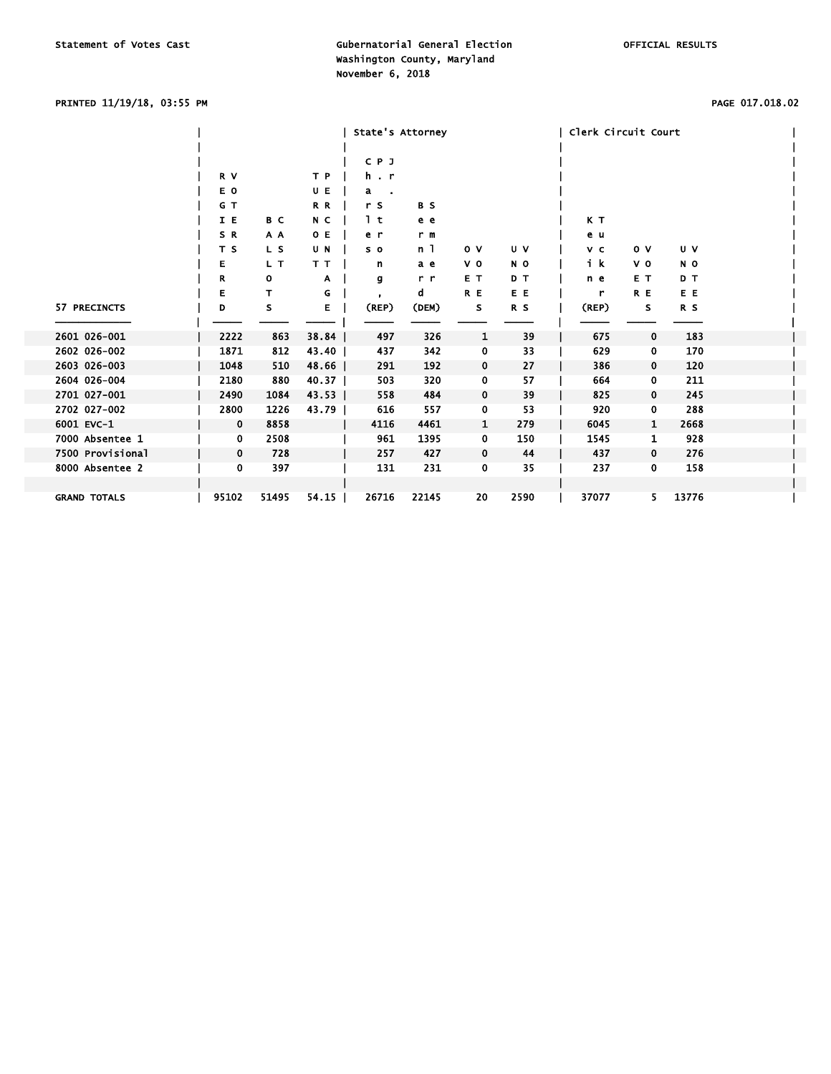Statement of Votes Cast **Gubernatorial General Election Gubernatorial General Election**  Washington County, Maryland November 6, 2018

#### PRINTED 11/19/18, 03:55 PM PAGE 017.018.02

# │ State's Attorney │ Clerk Circuit Court │ │ │ │ │ │ C P J │ │ │ R V T P │ h . r │ │ │ E O U E │ a . │ │ │ G T R R │ r S B S │ │ │ I E B C N C │ l t e e │ K T │ │ SRAA OE│ er rm │ eu │ │ △ │ │ TS LS UN│ SO NÌ OV UV │ VC OV UV │ │ E LT TT│ n ae VO NO │ ik VO NO │ │ R O A│ g rr ET DT │ ne ET DT │ │ E T G| , d RE EE | r RE EE │ 57 PRECINCTS │ D S E │ (REP) (DEM) S R S │ (REP) S R S │ ───────────── │ ───── ───── ───── │ ───── ───── ───── ───── │ ───── ───── ───── │ 2601 026-001 │ 2222 863 38.84 │ 497 326 1 39 │ 675 0 183 │ 2602 026-002 │ 1871 812 43.40 │ 437 342 0 33 │ 629 0 170 │ 2603 026-003 │ 1048 510 48.66 │ 291 192 0 27 │ 386 0 120 │ 2604 026-004 │ 2180 880 40.37 │ 503 320 0 57 │ 664 0 211 │ 2701 027-001 │ 2490 1084 43.53 │ 558 484 0 39 │ 825 0 245 │ 2702 027-002 │ 2800 1226 43.79 │ 616 557 0 53 │ 920 0 288 │ 6001 EVC-1 │ 0 8858 │ 4116 4461 1 279 │ 6045 1 2668 │ 7000 Absentee 1 │ 0 2508 │ 961 1395 0 150 │ 1545 1 928 │ 7500 Provisional │ 0 728 │ 257 427 0 44 │ 437 0 276 │ 8000 Absentee 2 │ 0 397 │ 131 231 0 35 │ 237 0 158 │ │ │ │ │

GRAND TOTALS │ 95102 51495 54.15 │ 26716 22145 20 2590 │ 37077 5 13776 │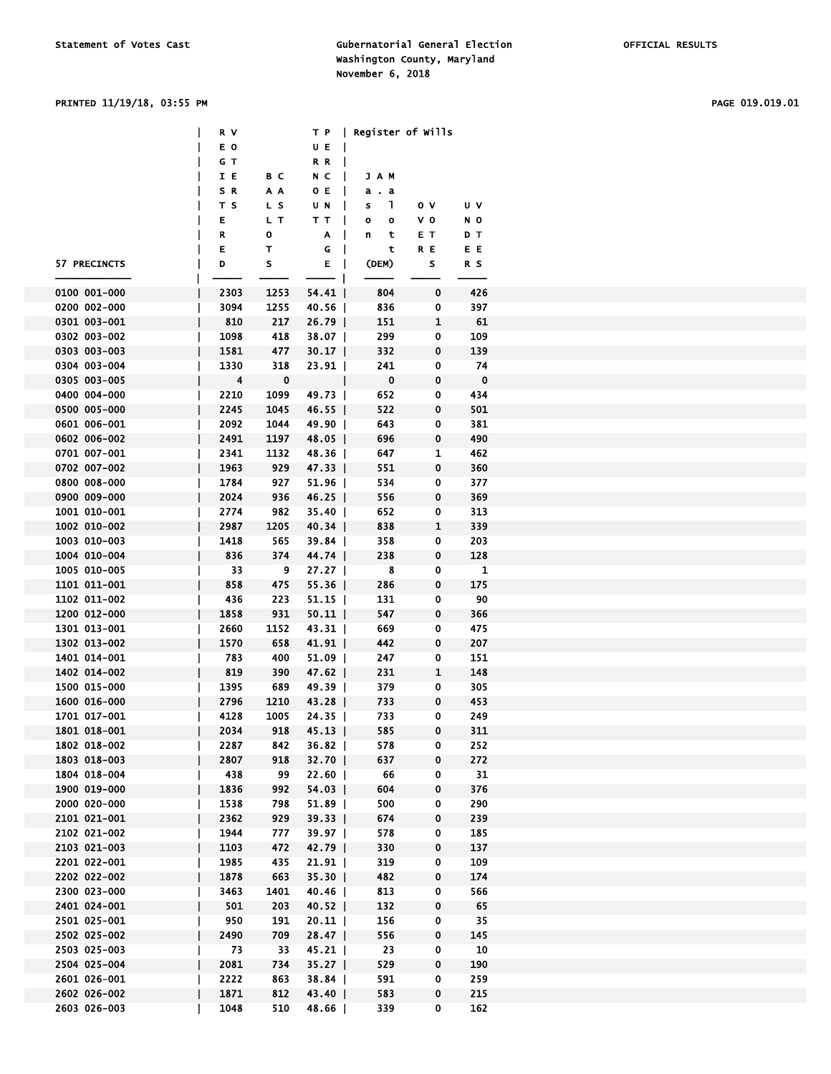### PRINTED 11/19/18, 03:55 PM PAGE 019.019.01

|              | R V  |             | ТP             | Register of Wills                      |              |             |  |
|--------------|------|-------------|----------------|----------------------------------------|--------------|-------------|--|
|              | E O  |             | UE             |                                        |              |             |  |
|              | G T  |             | R R            | I                                      |              |             |  |
|              | IE   | вc          | N C            | L<br>JAM                               |              |             |  |
|              | SR   | A A         | O E            | L<br>a.a                               |              |             |  |
|              | T S  | L S         | U N            | T.<br>L<br>s                           | o v          | U V         |  |
|              |      |             |                |                                        |              |             |  |
|              | Е    | L T         | TТ             | $\mathbf{I}$<br>$\bullet$<br>$\bullet$ | v o          | N O         |  |
|              | R    | 0           | A              | $\mathbf{I}$<br>n<br>t                 | E T          | DТ          |  |
|              | E    | т           | G              | $\mathbf{I}$<br>t                      | R E          | E E         |  |
| 57 PRECINCTS | D    | s           | Е.<br>$\Box$   | (DEM)                                  | s            | R S         |  |
| 0100 001-000 | 2303 | 1253        | 54.41          | 804                                    | $\mathbf 0$  | 426         |  |
| 0200 002-000 | 3094 | 1255        | 40.56          | 836                                    | 0            | 397         |  |
| 0301 003-001 | 810  | 217         | 26.79          | 151                                    | $\mathbf{1}$ | 61          |  |
| 0302 003-002 | 1098 | 418         | 38.07          | 299                                    | 0            | 109         |  |
| 0303 003-003 | 1581 | 477         | $30.17$        | 332                                    | 0            | 139         |  |
| 0304 003-004 | 1330 | 318         | 23.91          | 241                                    | 0            | 74          |  |
| 0305 003-005 | 4    | $\mathbf 0$ | -1             | $\overline{\phantom{0}}$               | $\mathbf 0$  | $\mathbf 0$ |  |
| 0400 004-000 | 2210 | 1099        | 49.73          | 652                                    | 0            | 434         |  |
| 0500 005-000 |      |             | $46.55$        | 522                                    | $\mathbf 0$  | 501         |  |
|              | 2245 | 1045        |                |                                        |              |             |  |
| 0601 006-001 | 2092 | 1044        | 49.90          | 643                                    | 0            | 381         |  |
| 0602 006-002 | 2491 | 1197        | $48.05$        | 696                                    | 0            | 490         |  |
| 0701 007-001 | 2341 | 1132        | 48.36          | 647                                    | 1            | 462         |  |
| 0702 007-002 | 1963 | 929         | $47.33$        | 551                                    | $\pmb{0}$    | 360         |  |
| 0800 008-000 | 1784 | 927         | $51.96$        | 534                                    | 0            | 377         |  |
| 0900 009-000 | 2024 | 936         | $46.25$        | 556                                    | 0            | 369         |  |
| 1001 010-001 | 2774 | 982         | $35.40$        | 652                                    | 0            | 313         |  |
| 1002 010-002 | 2987 | 1205        | $40.34$        | 838                                    | $\mathbf{1}$ | 339         |  |
| 1003 010-003 | 1418 | 565         | $39.84$        | 358                                    | 0            | 203         |  |
| 1004 010-004 | 836  | 374         | 44.74          | 238                                    | $\mathbf 0$  | 128         |  |
| 1005 010-005 | 33   | - 9         | $27.27$        | - 8                                    | 0            | 1           |  |
| 1101 011-001 | 858  | 475         | $55.36$        | 286                                    | 0            | 175         |  |
| 1102 011-002 | 436  | 223         | $51.15$        | 131                                    | 0            | 90          |  |
| 1200 012-000 | 1858 | 931         | $50.11$        | 547                                    | 0            | 366         |  |
|              |      |             |                |                                        |              |             |  |
| 1301 013-001 | 2660 | 1152        | $43.31$        | 669                                    | 0            | 475         |  |
| 1302 013-002 | 1570 | 658         | 41.91          | 442                                    | 0            | 207         |  |
| 1401 014-001 | 783  | 400         | 51.09          | 247                                    | 0            | 151         |  |
| 1402 014-002 | 819  | 390         | 47.62          | 231                                    | $\mathbf{1}$ | 148         |  |
| 1500 015-000 | 1395 | 689         | $49.39$        | 379                                    | 0            | 305         |  |
| 1600 016-000 | 2796 | 1210        | 43.28          | 733                                    | $\mathbf 0$  | 453         |  |
| 1701 017-001 | 4128 | 1005        | $24.35$        | 733                                    | 0            | 249         |  |
| 1801 018-001 |      |             | 2034 918 45.13 | 585                                    | $\mathbf{0}$ | 311         |  |
| 1802 018-002 | 2287 | 842         | 36.82          | 578                                    | 0            | 252         |  |
| 1803 018-003 | 2807 | 918         | $32.70$        | 637                                    | 0            | 272         |  |
| 1804 018-004 | 438  | 99          | $22.60$        | 66                                     | 0            | 31          |  |
| 1900 019-000 | 1836 | 992         | $54.03$        | 604                                    | 0            | 376         |  |
| 2000 020-000 | 1538 | 798         | $51.89$        | 500                                    | 0            | 290         |  |
| 2101 021-001 | 2362 | 929         | 39.33          | 674                                    | 0            | 239         |  |
| 2102 021-002 | 1944 | 777         | $39.97$        | 578                                    | 0            | 185         |  |
| 2103 021-003 | 1103 | 472         | 42.79          | 330                                    | 0            | 137         |  |
| 2201 022-001 | 1985 | 435         |                |                                        |              |             |  |
| 2202 022-002 |      |             | $21.91$        | 319                                    | 0            | 109         |  |
|              | 1878 | 663         | $35.30$        | 482                                    | 0            | 174         |  |
| 2300 023-000 | 3463 | 1401        | $40.46$        | 813                                    | 0            | 566         |  |
| 2401 024-001 | 501  | 203         | $40.52$        | 132                                    | $\pmb{0}$    | 65          |  |
| 2501 025-001 | 950  | 191         | $20.11$        | 156                                    | 0            | 35          |  |
| 2502 025-002 | 2490 | 709         | 28.47          | 556                                    | $\pmb{0}$    | 145         |  |
| 2503 025-003 | 73   | 33          | $45.21$        | 23                                     | 0            | 10          |  |
| 2504 025-004 | 2081 | 734         | $35.27$        | 529                                    | $\pmb{0}$    | 190         |  |
| 2601 026-001 | 2222 | 863         | 38.84          | 591                                    | 0            | 259         |  |
| 2602 026-002 | 1871 | 812         | 43.40          | 583                                    | 0            | 215         |  |
| 2603 026-003 | 1048 | 510         | 48.66          | 339                                    | 0            | 162         |  |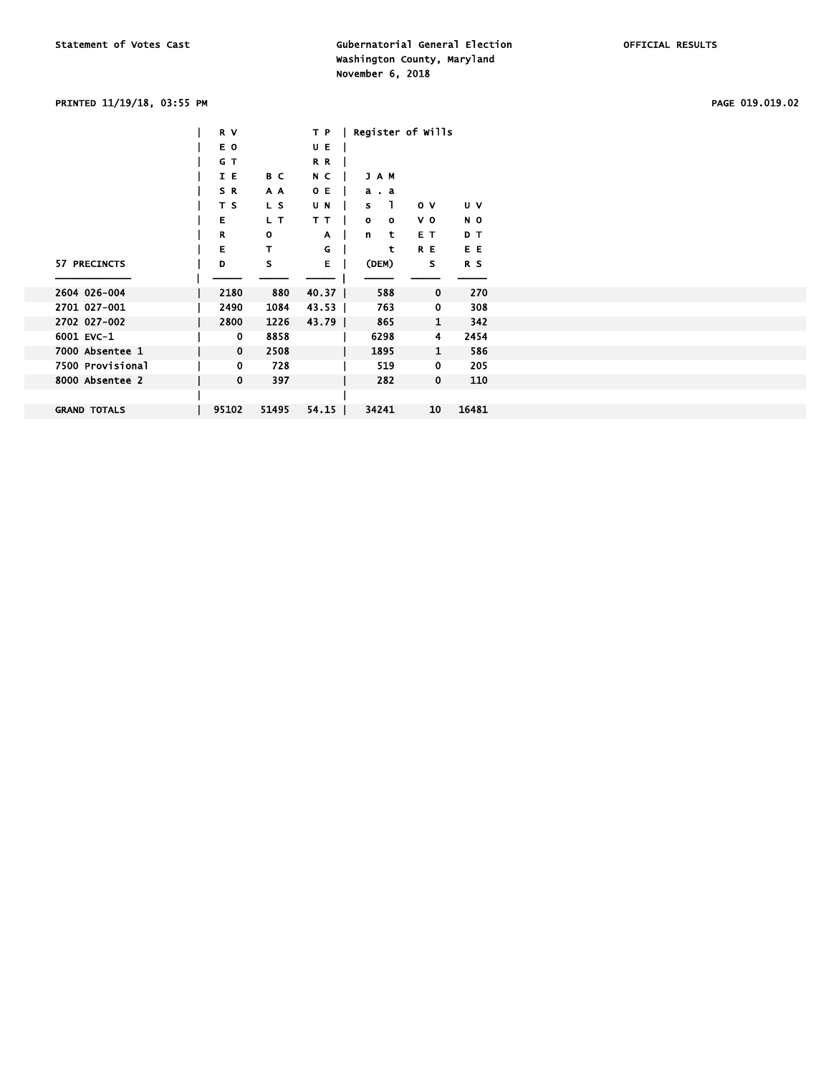# PRINTED 11/19/18, 03:55 PM PAGE 019.019.02

|                     | R V         |              | T P                   | Register of Wills      |                |       |
|---------------------|-------------|--------------|-----------------------|------------------------|----------------|-------|
|                     | E O         |              | UE                    |                        |                |       |
|                     | G T         |              | R R                   |                        |                |       |
|                     | I E         | B C          | N C                   | J A M                  |                |       |
|                     | SR          | A A          | O E                   | a.a                    |                |       |
|                     | T S         | L S          | U N                   | ı<br>s                 | $\mathbf{o}$ v | UV    |
|                     | Е           | L T          | TТ                    | $\bullet$<br>$\bullet$ | v o            | NO.   |
|                     | R           | $\mathbf{o}$ | A                     | n<br>t                 | E T            | D T   |
|                     | Е           | т            | G                     | t                      | R E            | E E   |
| 57 PRECINCTS        | D           | s            | E.                    | (DEM)                  | s              | R S   |
|                     |             |              |                       |                        |                |       |
| 2604 026-004        | 2180        | 880          | 40.37<br>$\mathbf{I}$ | 588                    | 0              | 270   |
| 2701 027-001        | 2490        | 1084         | $43.53$               | 763                    | 0              | 308   |
| 2702 027-002        | 2800        | 1226         | 43.79                 | 865                    | $\mathbf{1}$   | 342   |
| 6001 EVC-1          | 0           | 8858         |                       | 6298                   | 4              | 2454  |
| 7000 Absentee 1     | $\mathbf 0$ | 2508         |                       | 1895                   | 1              | 586   |
| 7500 Provisional    | 0           | 728          |                       | 519                    | 0              | 205   |
| 8000 Absentee 2     | $\mathbf 0$ | 397          |                       | 282                    | $\mathbf 0$    | 110   |
|                     |             |              |                       |                        |                |       |
| <b>GRAND TOTALS</b> | 95102       | 51495        | 54.15                 | 34241                  | 10             | 16481 |
|                     |             |              |                       |                        |                |       |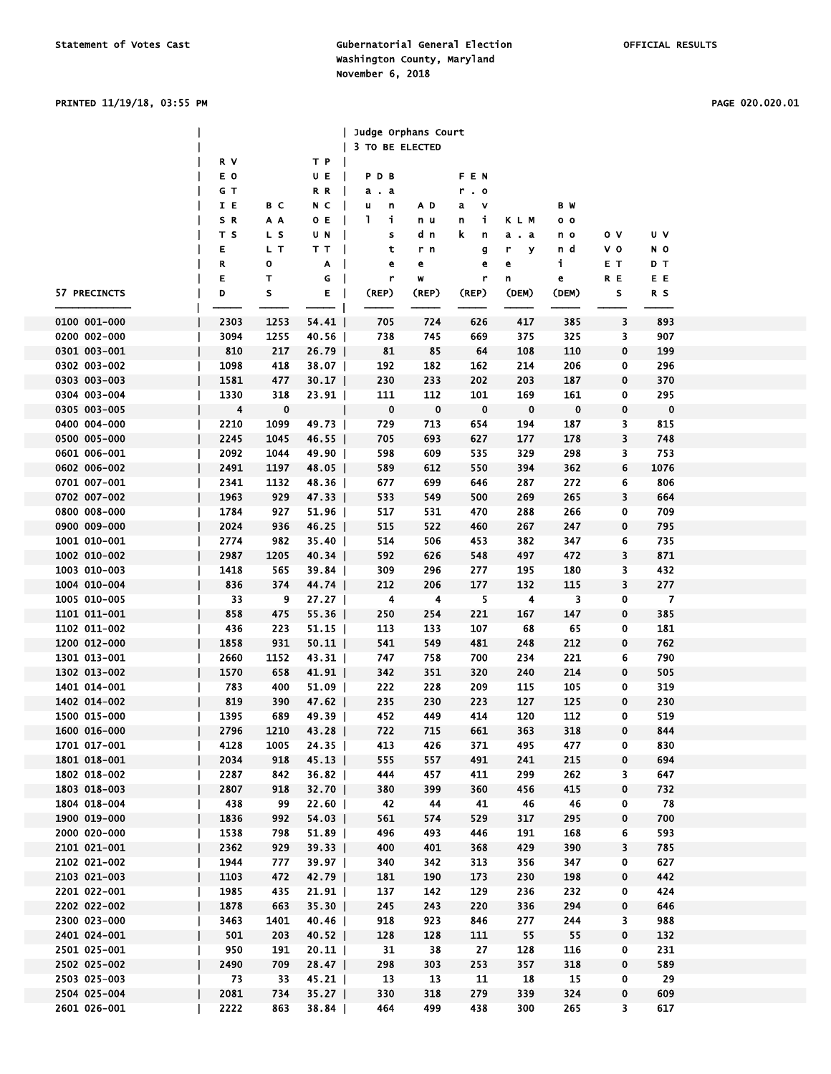### PRINTED 11/19/18, 03:55 PM PAGE 020.020.01

|              |      |      |                      | Judge Orphans Court      |                         |                  |                          |                |             |                |
|--------------|------|------|----------------------|--------------------------|-------------------------|------------------|--------------------------|----------------|-------------|----------------|
|              |      |      |                      | 3 TO BE ELECTED          |                         |                  |                          |                |             |                |
|              | R V  |      | TP                   |                          |                         |                  |                          |                |             |                |
|              | E O  |      | UE<br>$\blacksquare$ | PDB                      |                         | FEN              |                          |                |             |                |
|              | G T  |      | R R                  | a.a                      |                         | $r$ . $\circ$    |                          |                |             |                |
|              | I E  | вc   | N C                  | u<br>n                   | A D                     | $\mathbf v$<br>a |                          | ΒW             |             |                |
|              | SR   | A A  | O E                  | <b>T</b><br>i.           |                         | i,               |                          |                |             |                |
|              |      |      |                      |                          | n u                     | n                | KLM                      | 0 <sub>0</sub> |             |                |
|              | T S  | L S  | UN                   | s                        | d n                     | k.<br>n          | $a \cdot a$              | n o            | o v         | U V            |
|              | E    | L T  | TT                   | t                        | r n                     | g                | r<br>У                   | n d            | v o         | N O            |
|              | R    | o    | A                    | е                        | e                       | e                | e                        | i.             | EТ          | DТ             |
|              | Ε    | т    | G                    | r                        | W                       | r                | n                        | e              | R E         | E E            |
| 57 PRECINCTS | D    | s    | E                    | (REP)                    | (REP)                   | (REP)            | (DEM)                    | (DEM)          | s           | R S            |
|              |      |      | — 1                  |                          |                         |                  |                          |                |             |                |
| 0100 001-000 | 2303 | 1253 | 54.41                | 705                      | 724                     | 626              | 417                      | 385            | 3           | 893            |
| 0200 002-000 | 3094 | 1255 | $40.56$              | 738                      | 745                     | 669              | 375                      | 325            | 3           | 907            |
| 0301 003-001 | 810  | 217  | 26.79                | 81                       | 85                      | 64               | 108                      | 110            | 0           | 199            |
| 0302 003-002 | 1098 | 418  | 38.07                | 192                      | 182                     | 162              | 214                      | 206            | 0           | 296            |
| 0303 003-003 | 1581 | 477  | $30.17$              | 230                      | 233                     | 202              | 203                      | 187            | 0           | 370            |
| 0304 003-004 | 1330 | 318  | $23.91$              | 111                      | 112                     | 101              | 169                      | 161            | 0           | 295            |
| 0305 003-005 | 4    | 0    |                      | $\mathbf 0$              | $\overline{\mathbf{0}}$ | 0                | $\overline{\phantom{a}}$ | $\bf{0}$       | 0           | $\mathbf 0$    |
| 0400 004-000 | 2210 | 1099 | 49.73                | 729                      | 713                     | 654              | 194                      | 187            | 3           | 815            |
| 0500 005-000 | 2245 | 1045 | $46.55$              | 705                      | 693                     | 627              | 177                      | 178            | 3           | 748            |
| 0601 006-001 | 2092 | 1044 | 49.90                | 598                      | 609                     | 535              | 329                      | 298            | 3           | 753            |
| 0602 006-002 | 2491 | 1197 | $48.05$              | 589                      | 612                     | 550              | 394                      | 362            | 6           | 1076           |
| 0701 007-001 | 2341 | 1132 | 48.36                | 677                      | 699                     | 646              | 287                      | 272            | 6           | 806            |
| 0702 007-002 | 1963 | 929  | 47.33                | 533                      | 549                     | 500              | 269                      | 265            | 3           | 664            |
| 0800 008-000 | 1784 | 927  | 51.96                | 517                      | 531                     | 470              | 288                      | 266            | 0           | 709            |
| 0900 009-000 | 2024 | 936  | $46.25$              | 515                      | 522                     | 460              | 267                      | 247            | 0           | 795            |
| 1001 010-001 | 2774 | 982  | $35.40$              | 514                      | 506                     | 453              | 382                      | 347            | 6           | 735            |
| 1002 010-002 | 2987 | 1205 | 40.34                | 592                      | 626                     | 548              | 497                      | 472            | 3           | 871            |
| 1003 010-003 | 1418 | 565  | 39.84                | 309                      | 296                     | 277              | 195                      | 180            | 3           | 432            |
| 1004 010-004 | 836  | 374  | 44.74                | 212                      | 206                     | 177              | 132                      | 115            | 3           | 277            |
| 1005 010-005 | 33   | 9    | 27.27                | $\overline{\phantom{a}}$ | $\overline{4}$          | 5                | $\overline{4}$           | 3              | 0           | $\overline{7}$ |
| 1101 011-001 |      |      |                      |                          |                         | 221              |                          | 147            | 0           | 385            |
|              | 858  | 475  | 55.36                | 250                      | 254                     |                  | 167                      |                |             |                |
| 1102 011-002 | 436  | 223  | $51.15$              | 113                      | 133                     | 107              | 68                       | 65             | 0           | 181            |
| 1200 012-000 | 1858 | 931  | $50.11$              | 541                      | 549                     | 481              | 248                      | 212            | 0           | 762            |
| 1301 013-001 | 2660 | 1152 | 43.31                | 747                      | 758                     | 700              | 234                      | 221            | 6           | 790            |
| 1302 013-002 | 1570 | 658  | 41.91                | 342                      | 351                     | 320              | 240                      | 214            | 0           | 505            |
| 1401 014-001 | 783  | 400  | $51.09$              | 222                      | 228                     | 209              | 115                      | 105            | 0           | 319            |
| 1402 014-002 | 819  | 390  | 47.62                | 235                      | 230                     | 223              | 127                      | 125            | 0           | 230            |
| 1500 015-000 | 1395 | 689  | 49.39                | 452                      | 449                     | 414              | 120                      | 112            | 0           | 519            |
| 1600 016-000 | 2796 | 1210 | 43.28                | 722                      | 715                     | 661              | 363                      | 318            | $\mathbf 0$ | 844            |
| 1701 017-001 | 4128 | 1005 | $24.35$              | 413                      | 426                     | 371              | 495                      | 477            | 0           | 830            |
| 1801 018-001 | 2034 | 918  | $45.13$              | 555                      | 557                     | 491              | 241                      | 215            | 0           | 694            |
| 1802 018-002 | 2287 | 842  | $36.82$              | 444                      | 457                     | 411              | 299                      | 262            | 3           | 647            |
| 1803 018-003 | 2807 | 918  | $32.70$              | 380                      | 399                     | 360              | 456                      | 415            | 0           | 732            |
| 1804 018-004 | 438  | 99   | $22.60$              | 42                       | 44                      | 41               | 46                       | 46             | 0           | 78             |
| 1900 019-000 | 1836 | 992  | 54.03                | 561                      | 574                     | 529              | 317                      | 295            | 0           | 700            |
| 2000 020-000 | 1538 | 798  | $51.89$              | 496                      | 493                     | 446              | 191                      | 168            | 6           | 593            |
| 2101 021-001 | 2362 | 929  | 39.33                | 400                      | 401                     | 368              | 429                      | 390            | 3           | 785            |
| 2102 021-002 | 1944 | 777  | $39.97$              | 340                      | 342                     | 313              | 356                      | 347            | 0           | 627            |
| 2103 021-003 | 1103 | 472  | 42.79                | 181                      | 190                     | 173              | 230                      | 198            | 0           | 442            |
| 2201 022-001 | 1985 | 435  | 21.91                | 137                      | 142                     | 129              | 236                      | 232            | 0           | 424            |
| 2202 022-002 | 1878 | 663  | $35.30$              | 245                      | 243                     | 220              | 336                      | 294            | 0           | 646            |
| 2300 023-000 | 3463 | 1401 | $40.46$              | 918                      | 923                     | 846              | 277                      | 244            | 3           | 988            |
| 2401 024-001 | 501  | 203  | $40.52$              | 128                      | 128                     | 111              | 55                       | 55             | 0           | 132            |
| 2501 025-001 | 950  | 191  | 20.11                | 31                       | 38                      | 27               | 128                      | 116            | 0           | 231            |
| 2502 025-002 | 2490 | 709  | $28.47$              | 298                      | 303                     | 253              | 357                      | 318            | 0           | 589            |
| 2503 025-003 | 73   | 33   | $45.21$              | 13                       | 13                      | 11               | 18                       | 15             | 0           | 29             |
| 2504 025-004 | 2081 | 734  | $35.27$              | 330                      | 318                     | 279              | 339                      | 324            | 0           | 609            |
| 2601 026-001 | 2222 | 863  | 38.84                | 464                      | 499                     | 438              | 300                      | 265            | 3.          | 617            |
|              |      |      |                      |                          |                         |                  |                          |                |             |                |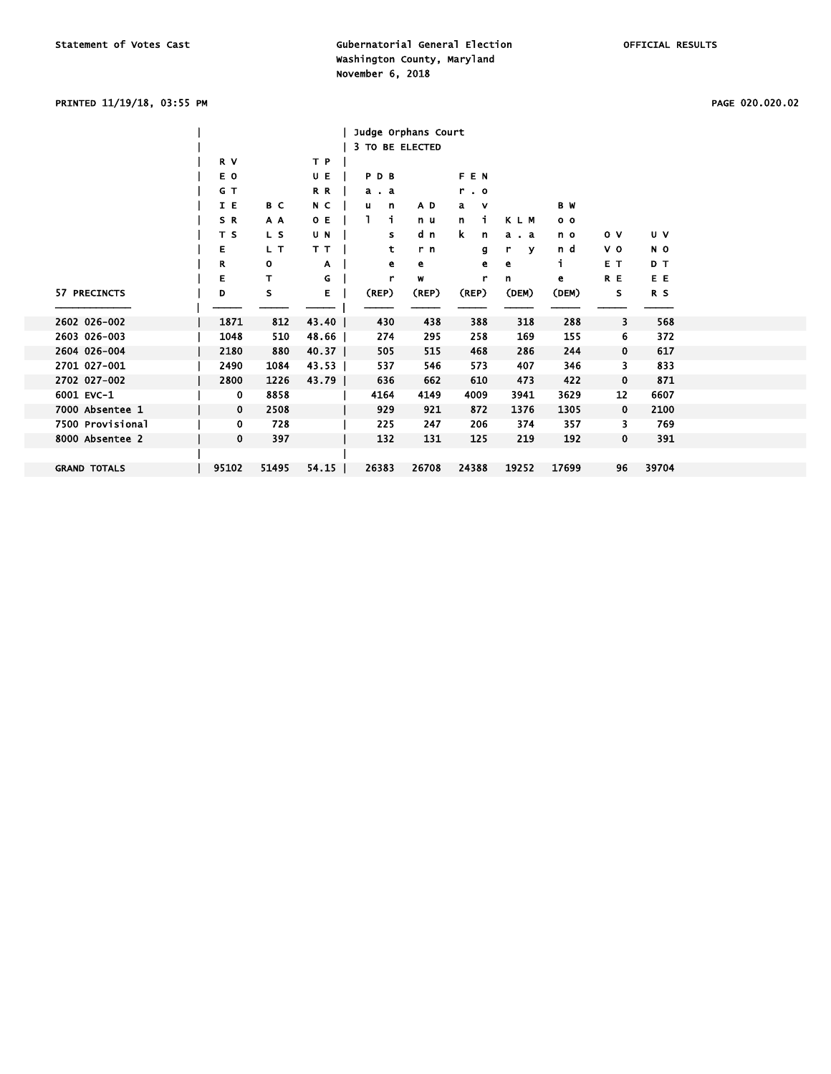PRINTED 11/19/18, 03:55 PM PAGE 020.020.02

|                  |      |      |         | Judge Orphans Court |       |                  |            |                |                |                |
|------------------|------|------|---------|---------------------|-------|------------------|------------|----------------|----------------|----------------|
|                  |      |      |         | 3 TO BE ELECTED     |       |                  |            |                |                |                |
|                  | R V  |      | T P     |                     |       |                  |            |                |                |                |
|                  | E O  |      | U E     | PDB                 |       | FEN              |            |                |                |                |
|                  | G T  |      | R R     | a . a               |       | $r$ . $\circ$    |            |                |                |                |
|                  | I E  | вc   | N C     | n<br>u              | AD    | $\mathbf v$<br>a |            | B W            |                |                |
|                  | SR   | A A  | O E     | i.                  | n u   | i.<br>n.         | <b>KLM</b> | 0 <sub>0</sub> |                |                |
|                  | T S  | L S  | U N     | s                   | d n   | k.<br>n          | a a        | n o            | 0 <sub>v</sub> | UV             |
|                  | Е    | L T  | T T     | t                   | r n   | g                | y<br>r.    | n d            | VO.            | N O            |
|                  | R    | 0    | Α       | e                   | е     | e                | е          | i.             | E T            | D T            |
|                  | Е    | т    | G       | r                   | W     | r                | n          | е              | R E            | E E            |
| 57 PRECINCTS     | D    | S    | Е       | (REP)               | (REP) | $($ REP $)$      | (DEM)      | (DEM)          | s              | R <sub>S</sub> |
|                  |      |      |         |                     |       |                  |            |                |                |                |
| 2602 026-002     | 1871 | 812  | 43.40   | 430                 | 438   | 388              | 318        | 288            | 3              | 568            |
| 2603 026-003     | 1048 | 510  | $48.66$ | 274                 | 295   | 258              | 169        | 155            | 6              | 372            |
| 2604 026-004     | 2180 | 880  | $40.37$ | 505                 | 515   | 468              | 286        | 244            | $\mathbf 0$    | 617            |
| 2701 027-001     | 2490 | 1084 | $43.53$ | 537                 | 546   | 573              | 407        | 346            | 3.             | 833            |
| 2702 027-002     | 2800 | 1226 | 43.79   | 636                 | 662   | 610              | 473        | 422            | $\mathbf 0$    | 871            |
| 6001 EVC-1       | 0    | 8858 |         | 4164                | 4149  | 4009             | 3941       | 3629           | 12             | 6607           |
| 7000 Absentee 1  | 0    | 2508 |         | 929                 | 921   | 872              | 1376       | 1305           | $\bf{0}$       | 2100           |
| 7500 Provisional | 0    | 728  |         | 225                 | 247   | 206              | 374        | 357            | 3.             | 769            |
| 8000 Absentee 2  | 0    | 397  |         | 132                 | 131   | 125              | 219        | 192            | $\mathbf 0$    | 391            |
|                  |      |      |         |                     |       |                  |            |                |                |                |
|                  |      |      |         |                     |       |                  |            |                |                |                |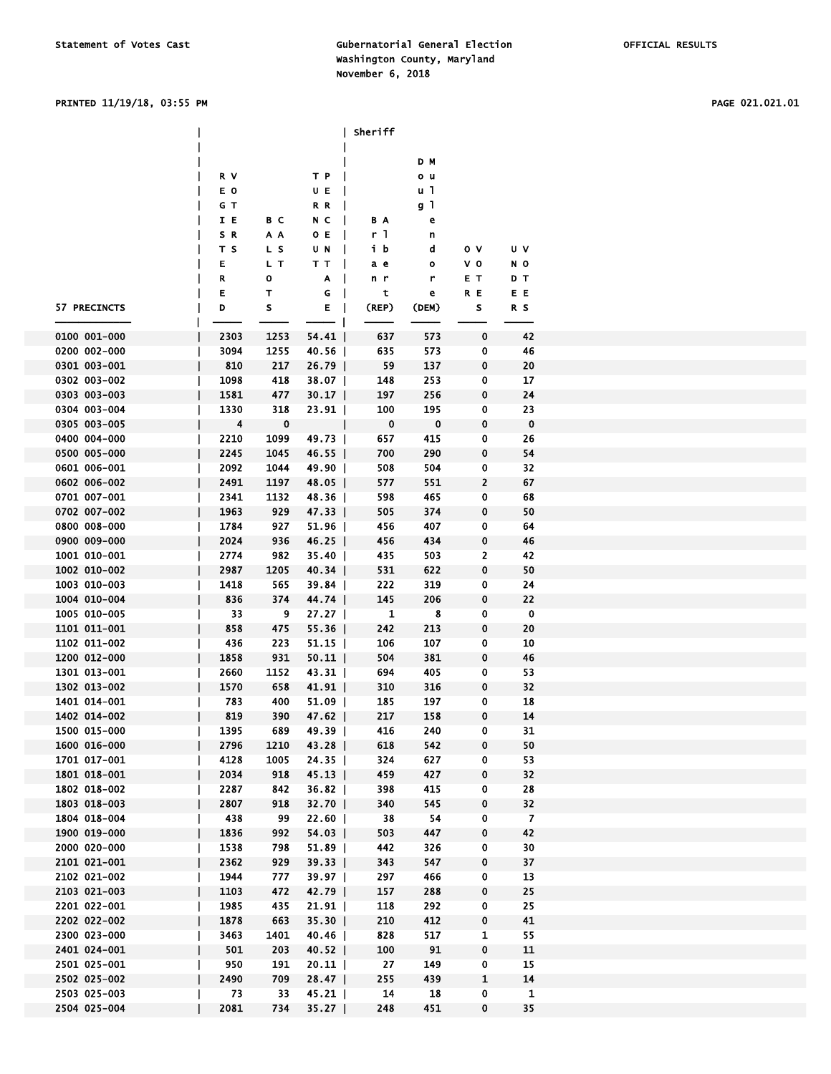PRINTED 11/19/18, 03:55 PM PAGE 021.021.01

|                              |              |              |                    | Sheriff    |            |             |                      |  |
|------------------------------|--------------|--------------|--------------------|------------|------------|-------------|----------------------|--|
|                              |              |              |                    |            |            |             |                      |  |
|                              |              |              |                    |            | D M        |             |                      |  |
|                              | R V<br>EО    |              | ТP<br>UE           |            | o u<br>u 1 |             |                      |  |
|                              | GТ           |              | R R                |            | g 1        |             |                      |  |
|                              | IE           | вс           | NС                 | BА         | e          |             |                      |  |
|                              | SR           | ΑA           | O E                | r 1        | n          |             |                      |  |
|                              | тs           | L S          | U N                | ib         | d          | o v         | Uν                   |  |
|                              | E            | L T          | тт                 | аe         | $\bullet$  | v o         | N O                  |  |
|                              | R            | о            | Α                  | n r        | r          | EТ          | DТ                   |  |
|                              | Е            | т            | G                  | t          | е          | R E         | ΕE                   |  |
| 57 PRECINCTS                 | D            | s            | E                  | (REP)      | (DEM)      | s           | R S                  |  |
| 0100 001-000                 | 2303         | 1253         | $54.41$            | 637        | 573        | 0           | 42                   |  |
| 0200 002-000                 | 3094         | 1255         | $40.56$            | 635        | 573        | 0           | 46                   |  |
| 0301 003-001                 | 810          | 217          | $26.79$            | 59         | 137        | 0           | 20                   |  |
| 0302 003-002                 | 1098         | 418          | 38.07              | 148        | 253        | 0           | 17                   |  |
| 0303 003-003                 | 1581         | 477          | $30.17$            | 197        | 256        | 0           | 24                   |  |
| 0304 003-004                 | 1330         | 318          | 23.91              | 100        | 195        | 0           | 23                   |  |
| 0305 003-005                 | 4            | 0            |                    | 0          | 0          | 0           | $\mathbf 0$          |  |
| 0400 004-000                 | 2210         | 1099         | 49.73              | 657        | 415        | 0           | 26                   |  |
| 0500 005-000                 | 2245         | 1045         | $46.55$            | 700        | 290        | 0           | 54                   |  |
| 0601 006-001                 | 2092         | 1044         | 49.90              | 508        | 504        | 0           | 32                   |  |
| 0602 006-002<br>0701 007-001 | 2491<br>2341 | 1197<br>1132 | 48.05  <br>48.36   | 577<br>598 | 551<br>465 | 2<br>0      | 67<br>68             |  |
| 0702 007-002                 | 1963         | 929          | 47.33              | 505        | 374        | 0           | 50                   |  |
| 0800 008-000                 | 1784         | 927          | 51.96              | 456        | 407        | 0           | 64                   |  |
| 0900 009-000                 | 2024         | 936          | $46.25$            | 456        | 434        | 0           | 46                   |  |
| 1001 010-001                 | 2774         | 982          | $35.40$            | 435        | 503        | 2           | 42                   |  |
| 1002 010-002                 | 2987         | 1205         | 40.34              | 531        | 622        | 0           | 50                   |  |
| 1003 010-003                 | 1418         | 565          | 39.84              | 222        | 319        | 0           | 24                   |  |
| 1004 010-004                 | 836          | 374          | 44.74              | 145        | 206        | 0           | 22                   |  |
| 1005 010-005                 | 33           | 9            | 27.27              | 1          | 8          | 0           | 0                    |  |
| 1101 011-001                 | 858          | 475          | 55.36              | 242        | 213        | 0           | 20                   |  |
| 1102 011-002                 | 436          | 223          | 51.15              | 106        | 107        | 0           | 10                   |  |
| 1200 012-000<br>1301 013-001 | 1858         | 931<br>1152  | $50.11$            | 504<br>694 | 381<br>405 | 0           | 46                   |  |
| 1302 013-002                 | 2660<br>1570 | 658          | 43.31  <br>$41.91$ | 310        | 316        | 0<br>0      | 53<br>32             |  |
| 1401 014-001                 | 783          | 400          | 51.09              | 185        | 197        | 0           | 18                   |  |
| 1402 014-002                 | 819          | 390          | 47.62              | 217        | 158        | 0           | 14                   |  |
| 1500 015-000                 | 1395         | 689          | 49.39              | 416        | 240        | 0           | 31                   |  |
| 1600 016-000                 | 2796         | 1210         | $43.28$            | 618        | 542        | 0           | 50                   |  |
| 1701 017-001                 | 4128         | 1005         | 24.35              | 324        | 627        | 0           | 53                   |  |
| 1801 018-001                 | 2034         | 918          | $45.13$            | 459        | 427        | $\mathbf 0$ | 32                   |  |
| 1802 018-002                 | 2287         | 842          | $36.82$            | 398        | 415        | 0           | 28                   |  |
| 1803 018-003                 | 2807         | 918          | $32.70$            | 340        | 545        | 0           | 32                   |  |
| 1804 018-004<br>1900 019-000 | 438          | 99           | $22.60$            | 38         | 54         | 0<br>0      | $\overline{z}$<br>42 |  |
| 2000 020-000                 | 1836<br>1538 | 992<br>798   | 54.03<br>$51.89$   | 503<br>442 | 447<br>326 | $\bf{0}$    | 30                   |  |
| 2101 021-001                 | 2362         | 929          | $39.33$            | 343        | 547        | $\mathbf 0$ | 37                   |  |
| 2102 021-002                 | 1944         | 777          | 39.97              | 297        | 466        | 0           | 13                   |  |
| 2103 021-003                 | 1103         | 472          | 42.79              | 157        | 288        | 0           | 25                   |  |
| 2201 022-001                 | 1985         | 435          | 21.91              | 118        | 292        | 0           | 25                   |  |
| 2202 022-002                 | 1878         | 663          | $35.30$            | 210        | 412        | $\pmb{0}$   | 41                   |  |
| 2300 023-000                 | 3463         | 1401         | $40.46$            | 828        | 517        | 1           | 55                   |  |
| 2401 024-001                 | 501          | 203          | 40.52              | 100        | 91         | 0           | 11                   |  |
| 2501 025-001                 | 950          | 191          | $20.11$            | 27         | 149        | 0           | 15                   |  |
| 2502 025-002                 | 2490         | 709          | $28.47$            | 255        | 439        | 1           | 14                   |  |
| 2503 025-003                 | 73           | 33           | $45.21$            | 14         | 18         | 0           | 1                    |  |
| 2504 025-004                 | 2081         | 734          | $35.27$            | 248        | 451        | 0           | 35                   |  |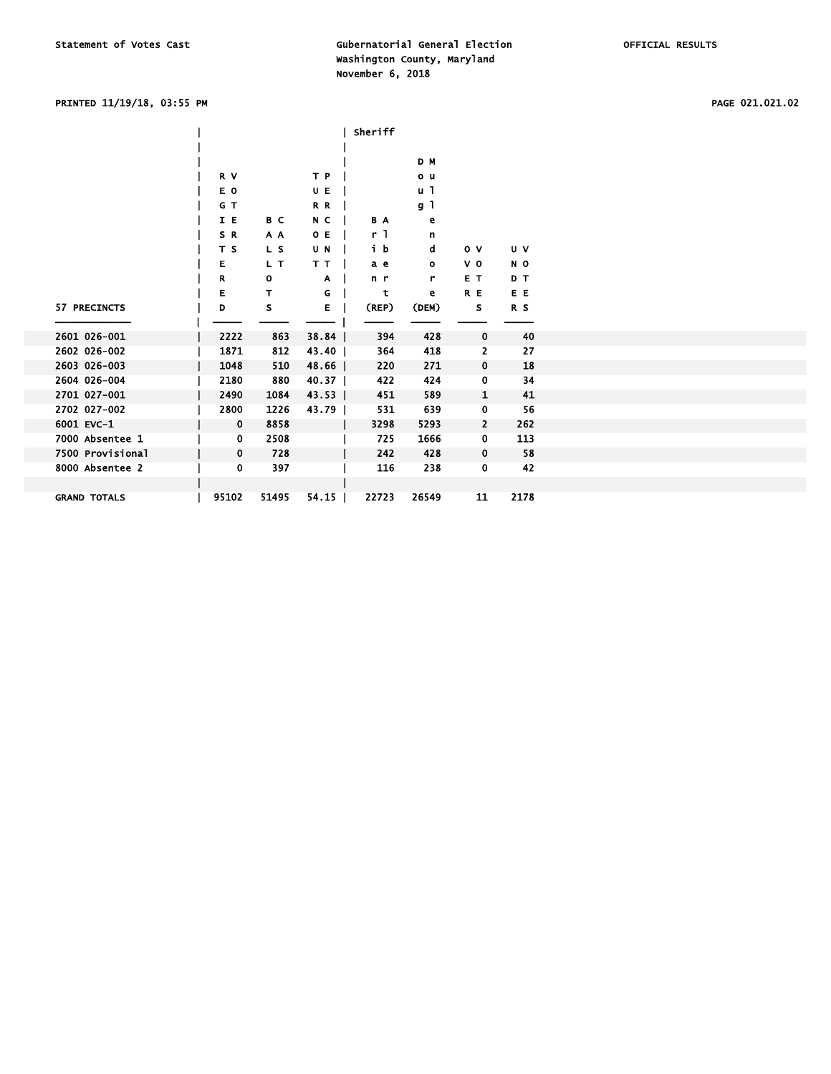PRINTED 11/19/18, 03:55 PM PAGE 021.021.02

|                  |      |      |         | Sheriff |              |                |                |  |
|------------------|------|------|---------|---------|--------------|----------------|----------------|--|
|                  |      |      |         |         |              |                |                |  |
|                  |      |      |         |         | D M          |                |                |  |
|                  | R V  |      | T P     |         | o u          |                |                |  |
|                  | E O  |      | UE      |         | u 1          |                |                |  |
|                  | G T  |      | R R     |         | g 1          |                |                |  |
|                  | IE   | B C  | N C     | B A     | е            |                |                |  |
|                  | SR   | A A  | O E     | r 1     | n            |                |                |  |
|                  | T S  | L S  | U N     | ib      | d            | 0 <sub>V</sub> | U V            |  |
|                  | Е    | L T  | T T     | a e     | $\mathbf{o}$ | v o            | N <sub>O</sub> |  |
|                  | R    | o    | A       | n r     | r            | E T            | D T            |  |
|                  | Е    | т    | G       | t       | e            | R E            | E E            |  |
| 57 PRECINCTS     | D    | s    | Е       | (REP)   | (DEM)        | s              | R <sub>S</sub> |  |
|                  |      |      |         |         |              |                |                |  |
|                  |      |      |         |         |              |                |                |  |
| 2601 026-001     | 2222 | 863  | 38.84   | 394     | 428          | $\mathbf 0$    | 40             |  |
| 2602 026-002     | 1871 | 812  | 43.40   | 364     | 418          | 2              | 27             |  |
| 2603 026-003     | 1048 | 510  | 48.66   | 220     | 271          | 0              | 18             |  |
| 2604 026-004     | 2180 | 880  | $40.37$ | 422     | 424          | 0              | 34             |  |
| 2701 027-001     | 2490 | 1084 | $43.53$ | 451     | 589          | 1              | 41             |  |
| 2702 027-002     | 2800 | 1226 | 43.79   | 531     | 639          | 0              | 56             |  |
| 6001 EVC-1       | 0    | 8858 |         | 3298    | 5293         | 2              | 262            |  |
| 7000 Absentee 1  | 0    | 2508 |         | 725     | 1666         | 0              | 113            |  |
| 7500 Provisional | 0    | 728  |         | 242     | 428          | $\bf{0}$       | 58             |  |
| 8000 Absentee 2  | 0    | 397  |         | 116     | 238          | 0              | 42             |  |
|                  |      |      |         |         |              |                |                |  |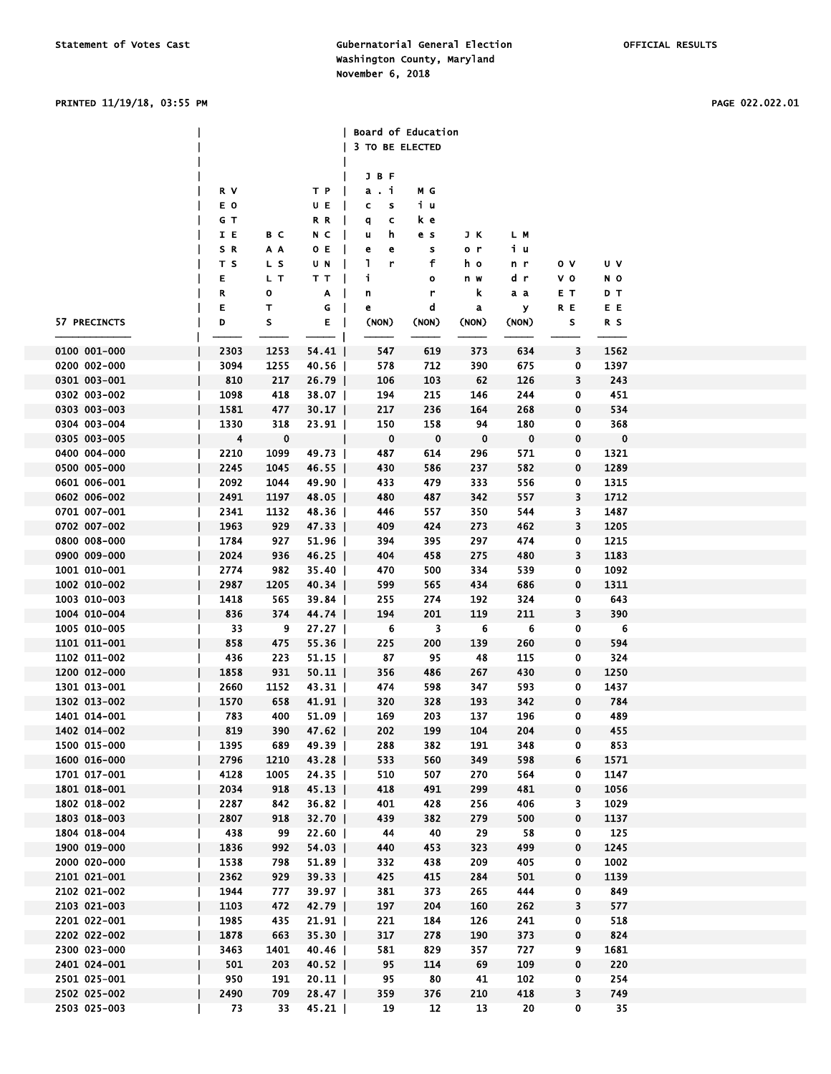### PRINTED 11/19/18, 03:55 PM PAGE 022.022.01

|              |                         |             |                | Board of Education       |             |             |                         |      |             |  |
|--------------|-------------------------|-------------|----------------|--------------------------|-------------|-------------|-------------------------|------|-------------|--|
|              |                         |             |                | 3 TO BE ELECTED          |             |             |                         |      |             |  |
|              |                         |             |                |                          |             |             |                         |      |             |  |
|              |                         |             |                | J B F                    |             |             |                         |      |             |  |
|              | R V                     |             | TР             | a.i                      | мc          |             |                         |      |             |  |
|              | E O                     |             | UE             | c<br>s                   | iч          |             |                         |      |             |  |
|              | G T                     |             | R R            | c<br>q                   | k e         |             |                         |      |             |  |
|              | IE                      | вc          | N C            | h<br>u                   | e s         | JК          | L M                     |      |             |  |
|              | SR                      | A A         | O E            | e<br>e                   | s           | o r         | iч                      |      |             |  |
|              | T S                     | L S         | U N            | <b>T</b><br>r            | f           | h o         | n r                     | o v  | U V         |  |
|              | Е                       | L T         | TT.            | j.                       | o           | n w         | d r                     | v o  | N O         |  |
|              | R                       | о           | A              | n                        | r           | k           | аa                      | E T. | DТ          |  |
|              | Е                       | т           | G              | e                        | d           | a           | У                       | R E  | E E         |  |
| 57 PRECINCTS | D                       | s           | E              | (NON)                    | (NON)       | (NON)       | (NON)                   | s    | R S         |  |
|              |                         |             |                |                          |             |             |                         |      |             |  |
| 0100 001-000 | 2303                    | 1253        | $54.41$        | 547                      | 619         | 373         | 634                     | 3    | 1562        |  |
| 0200 002-000 | 3094                    | 1255        | 40.56          | 578                      | 712         | 390         | 675                     | 0    | 1397        |  |
| 0301 003-001 | 810                     | 217         | $26.79$        | 106                      | 103         | 62          | 126                     | 3    | 243         |  |
| 0302 003-002 | 1098                    | 418         | $38.07$        | 194                      | 215         | 146         | 244                     | 0    | 451         |  |
| 0303 003-003 | 1581                    | 477         | $30.17$        | 217                      | 236         | 164         | 268                     | 0    | 534         |  |
| 0304 003-004 | 1330                    | 318         | $23.91$        | 150                      | 158         | 94          | 180                     | 0    | 368         |  |
| 0305 003-005 | $\overline{\mathbf{4}}$ | $\mathbf 0$ | $\blacksquare$ | $\overline{\phantom{a}}$ | $\mathbf 0$ | $\mathbf 0$ | $\overline{\mathbf{0}}$ | 0    | $\mathbf 0$ |  |
| 0400 004-000 | 2210                    | 1099        | 49.73          | 487                      | 614         | 296         | 571                     | 0    | 1321        |  |
| 0500 005-000 | 2245                    | 1045        | $46.55$        | 430                      | 586         | 237         | 582                     | 0    | 1289        |  |
| 0601 006-001 | 2092                    | 1044        | 49.90          | 433                      | 479         | 333         | 556                     | 0    | 1315        |  |
| 0602 006-002 | 2491                    | 1197        | $48.05$        | 480                      | 487         | 342         | 557                     | 3    | 1712        |  |
| 0701 007-001 | 2341                    | 1132        | 48.36          | 446                      | 557         | 350         | 544                     | 3    | 1487        |  |
| 0702 007-002 | 1963                    | 929         | $47.33$        | 409                      | 424         | 273         | 462                     | 3    | 1205        |  |
| 0800 008-000 | 1784                    | 927         | 51.96          | 394                      | 395         | 297         | 474                     | 0    | 1215        |  |
| 0900 009-000 | 2024                    | 936         | $46.25$        | 404                      | 458         | 275         | 480                     | 3    | 1183        |  |
| 1001 010-001 | 2774                    | 982         | $35.40$        | 470                      | 500         | 334         | 539                     | 0    | 1092        |  |
| 1002 010-002 | 2987                    | 1205        | $40.34$        | 599                      | 565         | 434         | 686                     | 0    | 1311        |  |
| 1003 010-003 | 1418                    | 565         | $39.84$        | 255                      | 274         | 192         | 324                     | 0    | 643         |  |
| 1004 010-004 | 836                     | 374         | 44.74          | 194                      | 201         | 119         | 211                     | 3    | 390         |  |
| 1005 010-005 | 33                      | 9           | $27.27$        | $6\phantom{.0}6$         | 3           | 6           | - 6                     | 0    | 6           |  |
| 1101 011-001 | 858                     | 475         | 55.36          | 225                      | 200         | 139         | 260                     | 0    | 594         |  |
| 1102 011-002 | 436                     | 223         | $51.15$        | 87                       | 95          | 48          | 115                     | 0    | 324         |  |
| 1200 012-000 | 1858                    | 931         | $50.11$        | 356                      | 486         | 267         | 430                     | 0    | 1250        |  |
| 1301 013-001 | 2660                    | 1152        | 43.31          | 474                      | 598         | 347         | 593                     | 0    | 1437        |  |
| 1302 013-002 | 1570                    | 658         | $41.91$        | 320                      | 328         | 193         | 342                     | 0    | 784         |  |
| 1401 014-001 | 783                     | 400         | $51.09$        | 169                      | 203         | 137         | 196                     | 0    | 489         |  |
| 1402 014-002 | 819                     |             | 390 47.62      | 202                      | 199         | 104         | 204                     | 0    | 455         |  |
| 1500 015-000 | 1395                    | 689         | 49.39          | 288                      | 382         | 191         | 348                     | 0    | 853         |  |
| 1600 016-000 | 2796                    | 1210        | $43.28$        | 533                      | 560         | 349         | 598                     | 6    | 1571        |  |
| 1701 017-001 | 4128                    | 1005        | 24.35          | 510                      | 507         | 270         | 564                     | 0    | 1147        |  |
| 1801 018-001 | 2034                    | 918         | $45.13$        | 418                      | 491         | 299         | 481                     | 0    | 1056        |  |
| 1802 018-002 | 2287                    | 842         | $36.82$        | 401                      | 428         | 256         | 406                     | 3.   | 1029        |  |
| 1803 018-003 | 2807                    | 918         | $32.70$        | 439                      | 382         | 279         | 500                     | 0    | 1137        |  |
| 1804 018-004 | 438                     | 99          | $22.60$        | - 44                     | 40          | - 29        | 58                      | 0    | 125         |  |
| 1900 019-000 | 1836                    | 992         | 54.03          | 440                      | 453         | 323         | 499                     | 0    | 1245        |  |
| 2000 020-000 | 1538                    | 798         | 51.89          | 332                      | 438         | 209         | 405                     | 0    | 1002        |  |
| 2101 021-001 | 2362                    | 929         | 39.33          | 425                      | 415         | 284         | 501                     | 0    | 1139        |  |
| 2102 021-002 | 1944                    | 777         | $39.97$        | 381                      | 373         | 265         | 444                     | 0    | 849         |  |
| 2103 021-003 | 1103                    | 472         | $42.79$        | 197                      | 204         | 160         | 262                     | 3    | 577         |  |
| 2201 022-001 | 1985                    | 435         | 21.91          | 221                      | 184         | 126         | 241                     | 0    | 518         |  |
| 2202 022-002 | 1878                    | 663         | $35.30$        | 317                      | 278         | 190         | 373                     | 0    | 824         |  |
| 2300 023-000 | 3463                    | 1401        | 40.46          | 581                      | 829         | 357         | 727                     | 9    | 1681        |  |
| 2401 024-001 | 501                     | 203         | $40.52$        | 95                       | 114         | 69          | 109                     | 0    | 220         |  |
| 2501 025-001 | 950                     | 191         | $20.11$        | 95                       | 80          | 41          | 102                     | 0    | 254         |  |
| 2502 025-002 | 2490                    | 709         | 28.47          | 359                      | 376         | 210         | 418                     | 3    | 749         |  |
| 2503 025-003 | 73                      | $33 -$      | $45.21$        | 19                       | 12          | 13          | 20                      | 0    | 35          |  |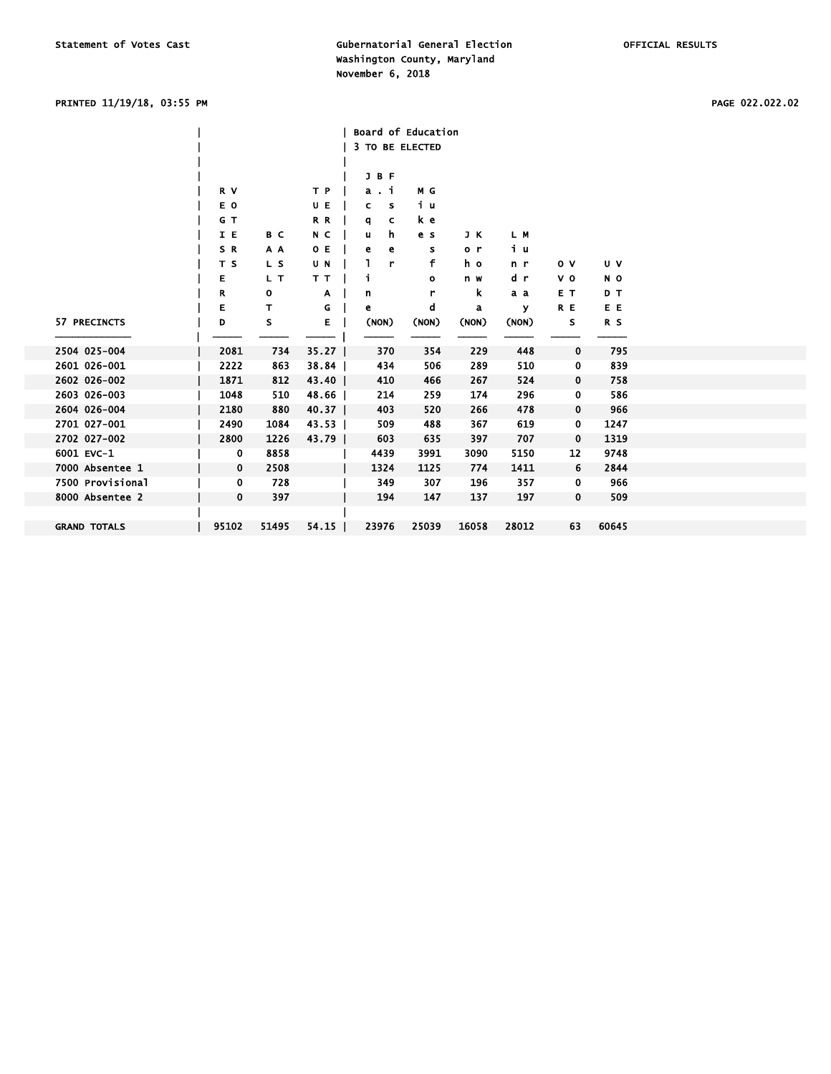# PRINTED 11/19/18, 03:55 PM PAGE 022.022.02

|                     |             |       |         | <b>Board of Education</b> |       |                |       |                |                |
|---------------------|-------------|-------|---------|---------------------------|-------|----------------|-------|----------------|----------------|
|                     |             |       |         | 3 TO BE ELECTED           |       |                |       |                |                |
|                     |             |       |         |                           |       |                |       |                |                |
|                     |             |       |         | J B F                     |       |                |       |                |                |
|                     | R V         |       | T P     | a.i                       | МG    |                |       |                |                |
|                     | E O         |       | UE      | c<br>s                    | iυ    |                |       |                |                |
|                     | G T         |       | R R     | c<br>a                    | k e   |                |       |                |                |
|                     | I E         | B C   | N C     | h<br>u                    | e s   | J K            | L M   |                |                |
|                     | SR.         | A A   | O E     | e<br>е                    | s     | o <sub>r</sub> | iυ    |                |                |
|                     | T S         | L S   | U N     | ı<br>r                    | f     | h o            | n r   | 0 <sub>v</sub> | U V            |
|                     | Е           | L T   | T T     | i                         | o     | n w            | d r   | V <sub>0</sub> | N <sub>O</sub> |
|                     | R           | 0     | Α       | n                         | r     | k              | a a   | E T            | DT             |
|                     | E           | T     | G       | е                         | d     | a              | y     | R E            | E E            |
| 57 PRECINCTS        | D           | S     | Е       | (NON)                     | (NON) | (NON)          | (NON) | s              | R S            |
|                     |             |       |         |                           |       |                |       |                |                |
| 2504 025-004        | 2081        | 734   | $35.27$ | 370                       | 354   | 229            | 448   | $\mathbf 0$    | 795            |
| 2601 026-001        | 2222        | 863   | 38.84   | 434                       | 506   | 289            | 510   | 0              | 839            |
| 2602 026-002        | 1871        | 812   | 43.40   | 410                       | 466   | 267            | 524   | 0              | 758            |
| 2603 026-003        | 1048        | 510   | 48.66   | 214                       | 259   | 174            | 296   | 0              | 586            |
| 2604 026-004        | 2180        | 880   | 40.37   | 403                       | 520   | 266            | 478   | 0              | 966            |
| 2701 027-001        | 2490        | 1084  | 43.53   | 509                       | 488   | 367            | 619   | 0              | 1247           |
| 2702 027-002        | 2800        | 1226  | 43.79   | 603                       | 635   | 397            | 707   | $\mathbf 0$    | 1319           |
| 6001 EVC-1          | 0           | 8858  |         | 4439                      | 3991  | 3090           | 5150  | 12             | 9748           |
| 7000 Absentee 1     | $\mathbf 0$ | 2508  |         | 1324                      | 1125  | 774            | 1411  | 6              | 2844           |
| 7500 Provisional    | 0           | 728   |         | 349                       | 307   | 196            | 357   | 0              | 966            |
| 8000 Absentee 2     | $\mathbf 0$ | 397   |         | 194                       | 147   | 137            | 197   | $\mathbf{0}$   | 509            |
|                     |             |       |         |                           |       |                |       |                |                |
| <b>GRAND TOTALS</b> | 95102       | 51495 | 54.15   | 23976                     | 25039 | 16058          | 28012 | 63             | 60645          |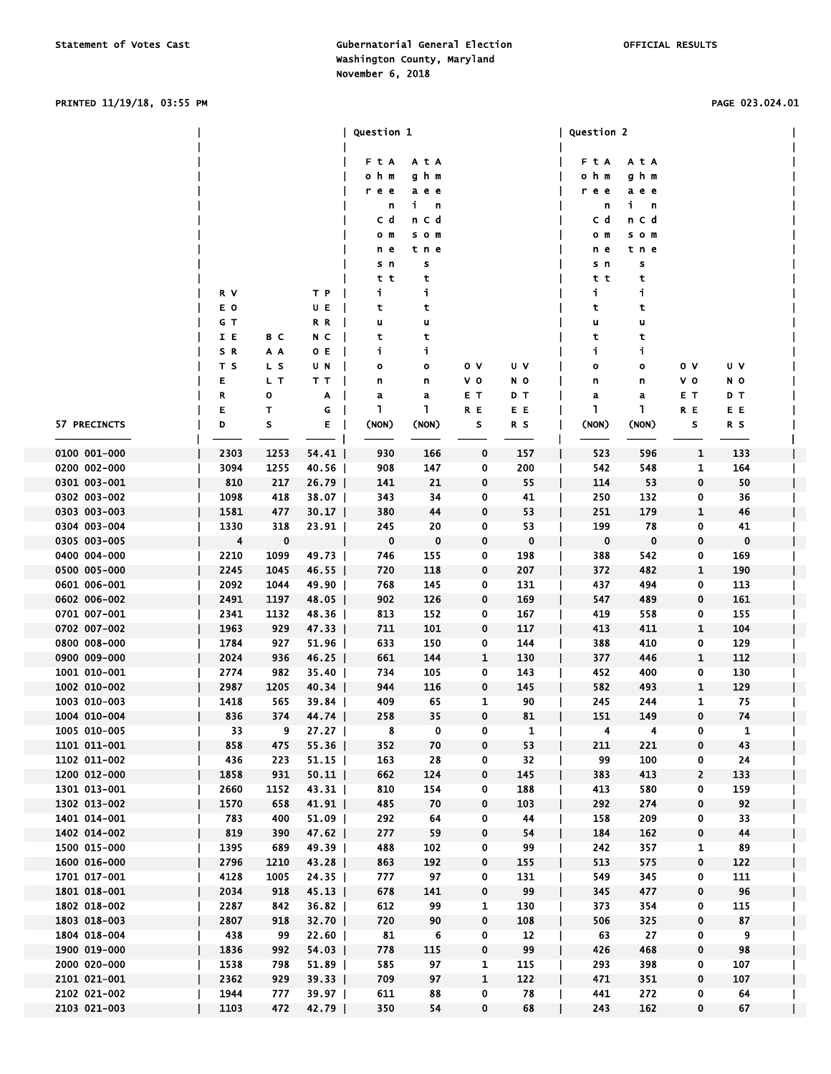### PRINTED 11/19/18, 03:55 PM PAGE 023.024.01

|                              |              |             |                | Question 1        |                  |                |            | Question 2 |                   |                     |            |  |
|------------------------------|--------------|-------------|----------------|-------------------|------------------|----------------|------------|------------|-------------------|---------------------|------------|--|
|                              |              |             |                |                   |                  |                |            |            |                   |                     |            |  |
|                              |              |             |                | FtA               | AtA              |                |            | FtA        | AtA               |                     |            |  |
|                              |              |             |                | ohm               | g h m            |                |            | ohm        | ghm               |                     |            |  |
|                              |              |             |                | ree               | a e e            |                |            | ree        | a e e             |                     |            |  |
|                              |              |             |                | n                 | j.<br>n<br>n C d |                |            | n          | i.<br>n           |                     |            |  |
|                              |              |             |                | Сd                |                  |                |            | Сd         | n C d             |                     |            |  |
|                              |              |             |                | o m               | s o m            |                |            | o m        | s o m             |                     |            |  |
|                              |              |             |                | n e               | tne              |                |            | n e        | tne               |                     |            |  |
|                              |              |             |                | s n               | s                |                |            | s n        | s                 |                     |            |  |
|                              |              |             |                | t t               | t                |                |            | tt         | t                 |                     |            |  |
|                              | R V          |             | T P            | i                 | j.               |                |            | j.         | j.                |                     |            |  |
|                              | E O          |             | U E            | t                 | t                |                |            | t          | t                 |                     |            |  |
|                              | G T          |             | R R            | u                 | u                |                |            | u          | u                 |                     |            |  |
|                              | IE           | вс          | N C            | t<br>j,           | t<br>i           |                |            | t<br>j.    | t<br>i            |                     |            |  |
|                              | S R<br>T S   | A A         | 0 E            |                   |                  | 0 <sub>v</sub> | U V        |            |                   | οv                  | υv         |  |
|                              | Ε            | L S<br>L T  | U N<br>TТ      | o                 | o                | v o            |            | o          | $\mathbf{o}$      | v o                 | N O        |  |
|                              | R            | o           |                | n                 | n                | EТ             | N O<br>DТ  | n          | n                 | EТ                  | DТ         |  |
|                              | Е            | Τ           | A<br>G         | a<br>$\mathbf{1}$ | а<br>L           | R E            | E E        | a<br>L     | a<br>$\mathbf{1}$ | R E                 | E E        |  |
| 57 PRECINCTS                 | D            | s           | Е              | (NON)             | (NON)            | s              | R S        | (NON)      | (NON)             | s                   | R S        |  |
|                              |              |             |                |                   |                  |                |            |            |                   |                     |            |  |
| 0100 001-000                 | 2303         | 1253        | 54.41          | 930               | 166              | 0              | 157        | 523        | 596               | 1                   | 133        |  |
| 0200 002-000                 | 3094         | 1255        | $40.56$        | 908               | 147              | 0              | 200        | 542        | 548               | 1                   | 164        |  |
| 0301 003-001                 | 810          | 217         | $26.79$        | 141               | 21               | 0              | 55         | 114        | 53                | 0                   | 50         |  |
| 0302 003-002                 | 1098         | 418         | $38.07$        | 343               | 34               | 0              | 41         | 250        | 132               | 0                   | 36         |  |
| 0303 003-003                 | 1581         | 477         | $30.17$        | 380               | 44               | 0              | 53         | 251        | 179               | 1                   | 46         |  |
| 0304 003-004                 | 1330         | 318         | 23.91          | 245               | 20               | 0              | 53         | 199        | 78                | 0                   | 41         |  |
| 0305 003-005                 | 4            | $\mathbf 0$ |                | $\mathbf 0$       | $\mathbf 0$      | 0              | 0          | 0          | 0                 | 0                   | 0          |  |
| 0400 004-000                 | 2210         | 1099        | 49.73          | 746               | 155              | 0              | 198        | 388        | 542               | 0                   | 169        |  |
| 0500 005-000                 | 2245         | 1045        | $46.55$        | 720               | 118              | 0              | 207        | 372        | 482               | $\mathbf{1}$        | 190        |  |
| 0601 006-001                 | 2092         | 1044        | 49.90          | 768               | 145              | 0              | 131        | 437        | 494               | 0                   | 113        |  |
| 0602 006-002                 | 2491         | 1197        | $48.05$        | 902               | 126              | 0              | 169        | 547        | 489               | 0                   | 161        |  |
| 0701 007-001                 | 2341         | 1132        | 48.36          | 813               | 152              | 0              | 167        | 419        | 558               | 0                   | 155        |  |
| 0702 007-002                 | 1963         | 929         | 47.33          | 711               | 101              | 0              | 117        | 413        | 411               | $\mathbf{1}$        | 104        |  |
| 0800 008-000                 | 1784         | 927         | 51.96          | 633               | 150              | 0              | 144        | 388        | 410               | 0                   | 129        |  |
| 0900 009-000                 | 2024         | 936         | $46.25$        | 661               | 144              | 1              | 130        | 377        | 446               | 1                   | 112        |  |
| 1001 010-001                 | 2774         | 982         | 35.40          | 734               | 105              | 0              | 143        | 452        | 400               | 0                   | 130        |  |
| 1002 010-002                 | 2987         | 1205        | $40.34$        | 944               | 116              | 0              | 145        | 582        | 493               | $\mathbf{1}$        | 129        |  |
| 1003 010-003                 | 1418         | 565         | 39.84          | 409               | 65               | 1              | 90         | 245        | 244               | 1                   | 75         |  |
| 1004 010-004                 | 836          | 374         | 44.74          | 258               | 35               | 0              | 81         | 151        | 149               | $\mathbf 0$         | 74         |  |
| 1005 010-005                 | 33           | 9           | $27.27$        | 8                 | 0                | 0              | 1          | 4          | 4                 | 0                   | 1          |  |
| 1101 011-001                 | 858          | 475         | $55.36$        | 352               | 70               | 0              | 53         | 211        | 221               | 0                   | 43         |  |
| 1102 011-002                 | 436          | 223         | 51.15          | 163               | 28               | 0              | 32         | 99         | 100               | 0                   | 24         |  |
| 1200 012-000                 | 1858<br>2660 | 931<br>1152 | 50.11          | 662<br>810        | 124<br>154       | 0              | 145<br>188 | 383<br>413 | 413<br>580        | $\overline{2}$<br>0 | 133<br>159 |  |
| 1301 013-001<br>1302 013-002 | 1570         | 658         | 43.31<br>41.91 | 485               | 70               | 0<br>0         | 103        | 292        | 274               | 0                   | 92         |  |
| 1401 014-001                 | 783          | 400         | $51.09$        | 292               | 64               | 0              | 44         | 158        | 209               | 0                   | 33         |  |
| 1402 014-002                 | 819          | 390         | 47.62          | 277               | 59               | 0              | 54         | 184        | 162               | $\pmb{0}$           | 44         |  |
| 1500 015-000                 | 1395         | 689         | 49.39          | 488               | 102              | 0              | 99         | 242        | 357               | $\mathbf{1}$        | 89         |  |
| 1600 016-000                 | 2796         | 1210        | $43.28$        | 863               | 192              | 0              | 155        | 513        | 575               | 0                   | 122        |  |
| 1701 017-001                 | 4128         | 1005        | $24.35$        | 777               | 97               | 0              | 131        | 549        | 345               | 0                   | 111        |  |
| 1801 018-001                 | 2034         | 918         | 45.13          | 678               | 141              | 0              | 99         | 345        | 477               | 0                   | 96         |  |
| 1802 018-002                 | 2287         | 842         | 36.82          | 612               | 99               | 1              | 130        | 373        | 354               | 0                   | 115        |  |
| 1803 018-003                 | 2807         | 918         | $32.70$        | 720               | 90               | 0              | 108        | 506        | 325               | 0                   | 87         |  |
| 1804 018-004                 | 438          | 99          | 22.60          | 81                | 6                | 0              | 12         | 63         | 27                | 0                   | 9          |  |
| 1900 019-000                 | 1836         | 992         | 54.03          | 778               | 115              | 0              | 99         | 426        | 468               | 0                   | 98         |  |
| 2000 020-000                 | 1538         | 798         | $51.89$        | 585               | 97               | 1              | 115        | 293        | 398               | 0                   | 107        |  |
| 2101 021-001                 | 2362         | 929         | 39.33          | 709               | 97               | $\mathbf{1}$   | 122        | 471        | 351               | 0                   | 107        |  |
| 2102 021-002                 | 1944         | 777         | 39.97          | 611               | 88               | 0              | 78         | 441        | 272               | 0                   | 64         |  |
| 2103 021-003                 | 1103         | 472         | 42.79          | 350               | 54               | $\mathbf 0$    | 68         | 243        | 162               | 0                   | 67         |  |